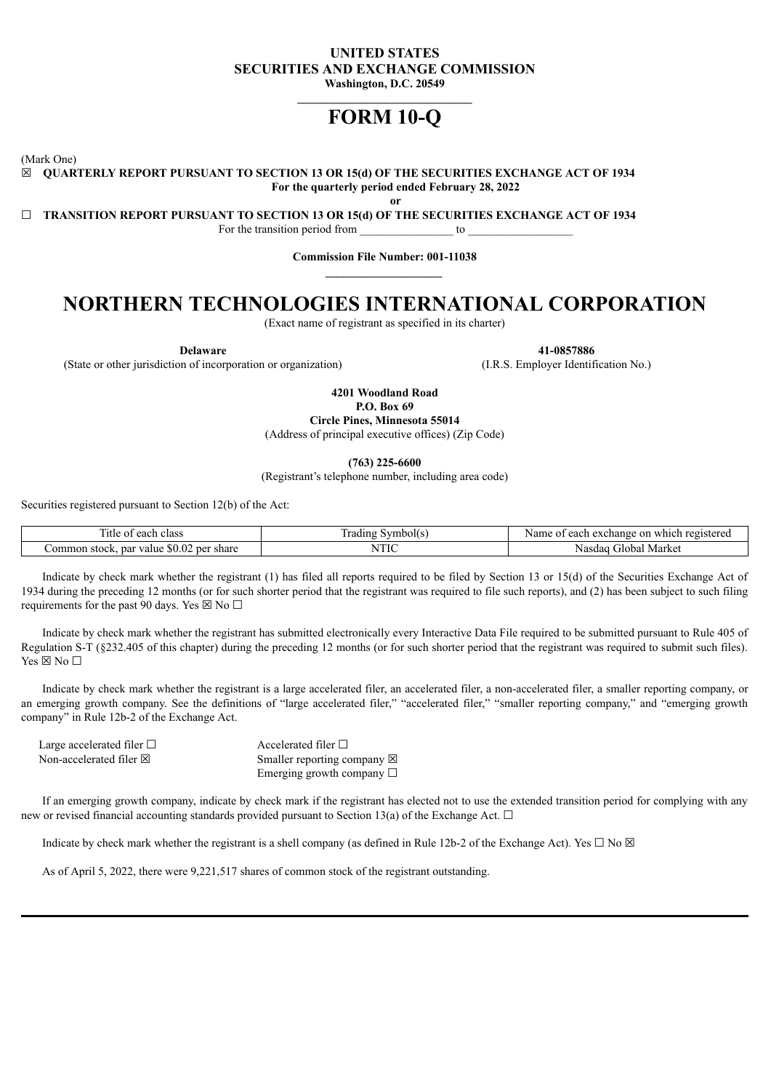#### **UNITED STATES SECURITIES AND EXCHANGE COMMISSION Washington, D.C. 20549**

# **FORM 10-Q**

(Mark One)

☒ **QUARTERLY REPORT PURSUANT TO SECTION 13 OR 15(d) OF THE SECURITIES EXCHANGE ACT OF 1934 For the quarterly period ended February 28, 2022**

☐ **TRANSITION REPORT PURSUANT TO SECTION 13 OR 15(d) OF THE SECURITIES EXCHANGE ACT OF 1934** For the transition period from to  $\sim$ 

**Commission File Number: 001-11038**

**or**

## **NORTHERN TECHNOLOGIES INTERNATIONAL CORPORATION**

(Exact name of registrant as specified in its charter)

**Delaware**

(State or other jurisdiction of incorporation or organization)

**41-0857886**

(I.R.S. Employer Identification No.)

**4201 Woodland Road P.O. Box 69 Circle Pines, Minnesota 55014**

(Address of principal executive offices) (Zip Code)

**(763) 225-6600**

(Registrant's telephone number, including area code)

Securities registered pursuant to Section 12(b) of the Act:

| —<br>each<br>class<br>не                                        | --<br>-11.<br>nΠ<br>.ung | Nar<br>registered<br>$\sqrt{2}$ change<br>-on<br>which<br>each<br>$\mathbf{v}$ |
|-----------------------------------------------------------------|--------------------------|--------------------------------------------------------------------------------|
| ጣጣ<br>par<br>- ner<br>\$0.02<br>share<br>ommon<br>∕alue<br>stoc | $\bf{11}$                | Marke<br>ำhล∟<br>.sdae<br>N1<br>NG.                                            |

Indicate by check mark whether the registrant (1) has filed all reports required to be filed by Section 13 or 15(d) of the Securities Exchange Act of 1934 during the preceding 12 months (or for such shorter period that the registrant was required to file such reports), and (2) has been subject to such filing requirements for the past 90 days. Yes  $\boxtimes$  No  $\Box$ 

Indicate by check mark whether the registrant has submitted electronically every Interactive Data File required to be submitted pursuant to Rule 405 of Regulation S-T (§232.405 of this chapter) during the preceding 12 months (or for such shorter period that the registrant was required to submit such files). Yes  $\boxtimes$  No  $\square$ 

Indicate by check mark whether the registrant is a large accelerated filer, an accelerated filer, a non-accelerated filer, a smaller reporting company, or an emerging growth company. See the definitions of "large accelerated filer," "accelerated filer," "smaller reporting company," and "emerging growth company" in Rule 12b-2 of the Exchange Act.

| Large accelerated filer $\square$ | Accelerated filer $\square$           |
|-----------------------------------|---------------------------------------|
| Non-accelerated filer ⊠           | Smaller reporting company $\boxtimes$ |
|                                   | Emerging growth company $\Box$        |

If an emerging growth company, indicate by check mark if the registrant has elected not to use the extended transition period for complying with any new or revised financial accounting standards provided pursuant to Section 13(a) of the Exchange Act.  $\Box$ 

Indicate by check mark whether the registrant is a shell company (as defined in Rule 12b-2 of the Exchange Act). Yes  $\Box$  No  $\boxtimes$ 

As of April 5, 2022, there were 9,221,517 shares of common stock of the registrant outstanding.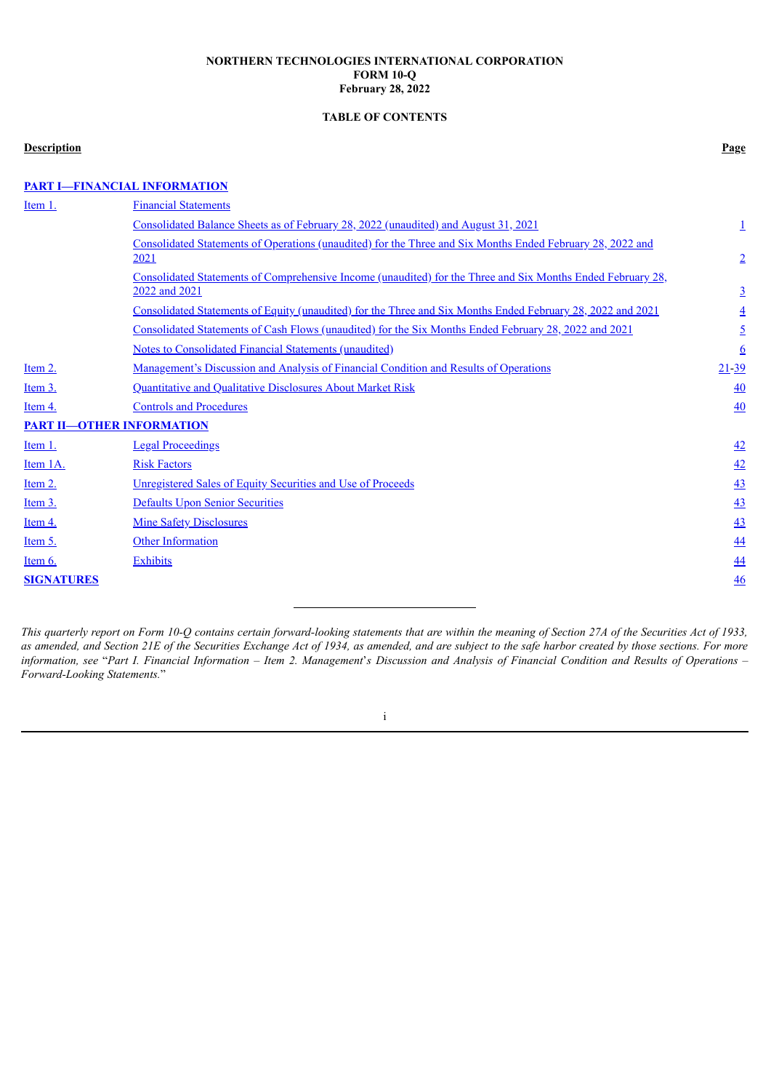## **NORTHERN TECHNOLOGIES INTERNATIONAL CORPORATION FORM 10-Q February 28, 2022**

## **TABLE OF CONTENTS**

## **Description Page**

**PART I—FINANCIAL [INFORMATION](#page-3-0)**

|                   | нам г—гимметацин омианов                                                                                                     |                 |
|-------------------|------------------------------------------------------------------------------------------------------------------------------|-----------------|
| Item 1.           | <b>Financial Statements</b>                                                                                                  |                 |
|                   | Consolidated Balance Sheets as of February 28, 2022 (unaudited) and August 31, 2021                                          |                 |
|                   | Consolidated Statements of Operations (unaudited) for the Three and Six Months Ended February 28, 2022 and<br>2021           | $\overline{2}$  |
|                   | Consolidated Statements of Comprehensive Income (unaudited) for the Three and Six Months Ended February 28,<br>2022 and 2021 | $\overline{3}$  |
|                   | Consolidated Statements of Equity (unaudited) for the Three and Six Months Ended February 28, 2022 and 2021                  | $\overline{4}$  |
|                   | Consolidated Statements of Cash Flows (unaudited) for the Six Months Ended February 28, 2022 and 2021                        | $\overline{2}$  |
|                   | <b>Notes to Consolidated Financial Statements (unaudited)</b>                                                                | $6\overline{6}$ |
| Item 2.           | <u>Management's Discussion and Analysis of Financial Condition and Results of Operations</u>                                 | $21 - 39$       |
| Item 3.           | Quantitative and Qualitative Disclosures About Market Risk                                                                   | 40              |
| Item 4.           | <b>Controls and Procedures</b>                                                                                               | 40              |
|                   | <b>PART II-OTHER INFORMATION</b>                                                                                             |                 |
| Item 1.           | <b>Legal Proceedings</b>                                                                                                     | 42              |
| Item 1A.          | <b>Risk Factors</b>                                                                                                          | 42              |
| Item 2.           | <b>Unregistered Sales of Equity Securities and Use of Proceeds</b>                                                           | 43              |
| Item 3.           | <b>Defaults Upon Senior Securities</b>                                                                                       | 43              |
| Item 4.           | <b>Mine Safety Disclosures</b>                                                                                               | 43              |
| Item 5.           | <b>Other Information</b>                                                                                                     | 44              |
| Item 6.           | <b>Exhibits</b>                                                                                                              | 44              |
| <b>SIGNATURES</b> |                                                                                                                              | $\overline{46}$ |

This quarterly report on Form 10-Q contains certain forward-looking statements that are within the meaning of Section 27A of the Securities Act of 1933, as amended, and Section 21E of the Securities Exchange Act of 1934, as amended, and are subject to the safe harbor created by those sections. For more information, see "Part I. Financial Information - Item 2. Management's Discussion and Analysis of Financial Condition and Results of Operations -*Forward-Looking Statements.*"

i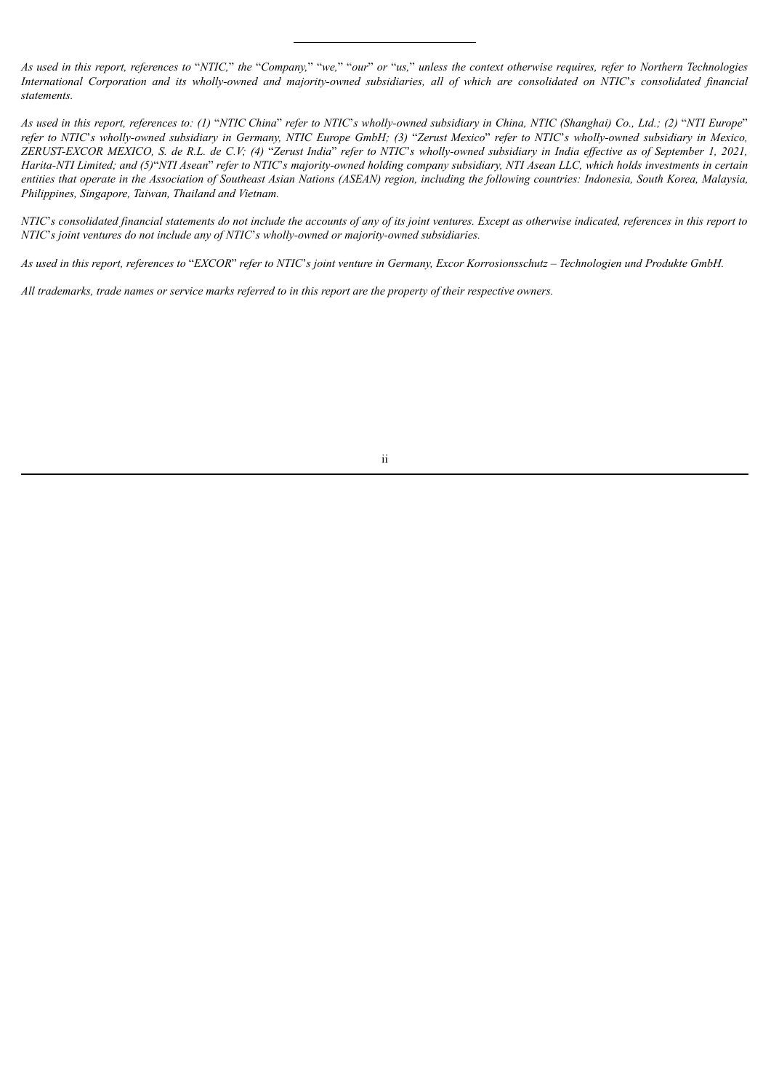As used in this report, references to "NTIC," the "Company," "we," "our" or "us," unless the context otherwise requires, refer to Northern Technologies International Corporation and its wholly-owned and majority-owned subsidiaries, all of which are consolidated on NTIC's consolidated financial *statements.*

As used in this report, references to: (1) "NTIC China" refer to NTIC's wholly-owned subsidiary in China, NTIC (Shanghai) Co., Ltd.; (2) "NTI Europe" refer to NTIC's wholly-owned subsidiary in Germany, NTIC Europe GmbH; (3) "Zerust Mexico" refer to NTIC's wholly-owned subsidiary in Mexico, ZERUST-EXCOR MEXICO, S. de R.L. de C.V; (4) "Zerust India" refer to NTIC's wholly-owned subsidiary in India effective as of September 1, 2021, Harita-NTI Limited; and (5)"NTI Asean" refer to NTIC's majority-owned holding company subsidiary, NTI Asean LLC, which holds investments in certain entities that operate in the Association of Southeast Asian Nations (ASEAN) region, including the following countries: Indonesia, South Korea, Malaysia, *Philippines, Singapore, Taiwan, Thailand and Vietnam.*

NTIC's consolidated financial statements do not include the accounts of any of its joint ventures. Except as otherwise indicated, references in this report to *NTIC*'*s joint ventures do not include any of NTIC*'*s wholly-owned or majority-owned subsidiaries.*

As used in this report, references to "EXCOR" refer to NTIC's joint venture in Germany, Excor Korrosionsschutz - Technologien und Produkte GmbH.

All trademarks, trade names or service marks referred to in this report are the property of their respective owners.

ii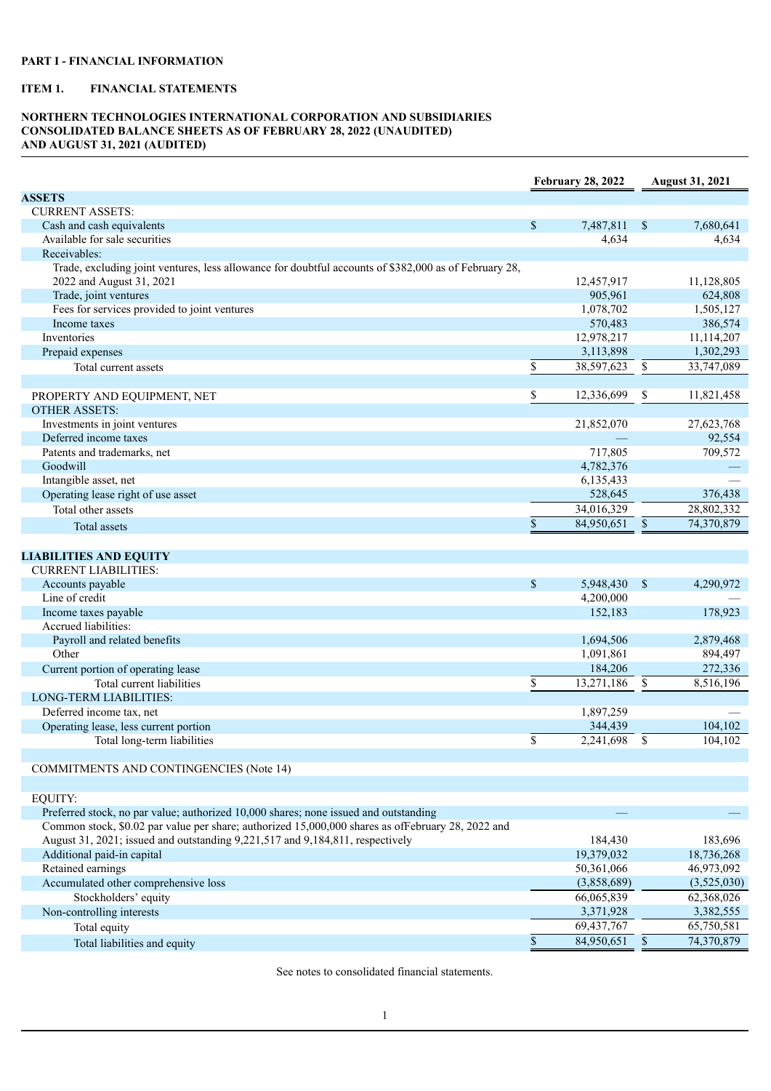#### <span id="page-3-0"></span>**PART I - FINANCIAL INFORMATION**

## <span id="page-3-1"></span>**ITEM 1. FINANCIAL STATEMENTS**

#### <span id="page-3-2"></span>**NORTHERN TECHNOLOGIES INTERNATIONAL CORPORATION AND SUBSIDIARIES CONSOLIDATED BALANCE SHEETS AS OF FEBRUARY 28, 2022 (UNAUDITED) AND AUGUST 31, 2021 (AUDITED)**

|                                                                                                       | <b>February 28, 2022</b> |                 |                 | <b>August 31, 2021</b> |  |  |
|-------------------------------------------------------------------------------------------------------|--------------------------|-----------------|-----------------|------------------------|--|--|
| <b>ASSETS</b>                                                                                         |                          |                 |                 |                        |  |  |
| <b>CURRENT ASSETS:</b>                                                                                |                          |                 |                 |                        |  |  |
| Cash and cash equivalents                                                                             | \$                       | 7,487,811       | $\mathbb{S}$    | 7,680,641              |  |  |
| Available for sale securities                                                                         |                          | 4,634           |                 | 4,634                  |  |  |
| Receivables:                                                                                          |                          |                 |                 |                        |  |  |
| Trade, excluding joint ventures, less allowance for doubtful accounts of \$382,000 as of February 28, |                          |                 |                 |                        |  |  |
| 2022 and August 31, 2021                                                                              |                          | 12,457,917      |                 | 11,128,805             |  |  |
| Trade, joint ventures                                                                                 |                          | 905,961         |                 | 624,808                |  |  |
| Fees for services provided to joint ventures                                                          |                          | 1,078,702       |                 | 1,505,127              |  |  |
| Income taxes                                                                                          |                          | 570,483         |                 | 386,574                |  |  |
| Inventories                                                                                           |                          | 12,978,217      |                 | 11,114,207             |  |  |
| Prepaid expenses                                                                                      |                          | 3,113,898       |                 | 1,302,293              |  |  |
| Total current assets                                                                                  | \$                       | 38,597,623      | $\mathbb{S}$    | 33,747,089             |  |  |
|                                                                                                       |                          |                 |                 |                        |  |  |
| PROPERTY AND EQUIPMENT, NET                                                                           | \$                       | 12,336,699      | \$              | 11,821,458             |  |  |
| <b>OTHER ASSETS:</b>                                                                                  |                          |                 |                 |                        |  |  |
| Investments in joint ventures                                                                         |                          | 21,852,070      |                 | 27,623,768             |  |  |
| Deferred income taxes                                                                                 |                          |                 |                 | 92,554                 |  |  |
| Patents and trademarks, net                                                                           |                          | 717,805         |                 | 709,572                |  |  |
| Goodwill                                                                                              |                          | 4,782,376       |                 |                        |  |  |
| Intangible asset, net                                                                                 |                          | 6,135,433       |                 |                        |  |  |
| Operating lease right of use asset                                                                    |                          | 528,645         |                 | 376,438                |  |  |
| Total other assets                                                                                    |                          | 34,016,329      |                 | 28,802,332             |  |  |
| <b>Total assets</b>                                                                                   | $\mathbf S$              | $84,950,651$ \$ |                 | 74,370,879             |  |  |
|                                                                                                       |                          |                 |                 |                        |  |  |
| <b>LIABILITIES AND EQUITY</b>                                                                         |                          |                 |                 |                        |  |  |
| <b>CURRENT LIABILITIES:</b>                                                                           |                          |                 |                 |                        |  |  |
| Accounts payable                                                                                      | \$                       | 5,948,430       | $\mathbb{S}$    | 4,290,972              |  |  |
| Line of credit                                                                                        |                          | 4,200,000       |                 |                        |  |  |
| Income taxes payable                                                                                  |                          | 152,183         |                 | 178,923                |  |  |
| Accrued liabilities:                                                                                  |                          |                 |                 |                        |  |  |
| Payroll and related benefits                                                                          |                          | 1,694,506       |                 | 2,879,468              |  |  |
| Other                                                                                                 |                          | 1,091,861       |                 | 894,497                |  |  |
| Current portion of operating lease                                                                    |                          | 184,206         |                 | 272,336                |  |  |
| Total current liabilities                                                                             | \$                       | 13,271,186      | \$              | 8,516,196              |  |  |
| LONG-TERM LIABILITIES:                                                                                |                          |                 |                 |                        |  |  |
| Deferred income tax, net                                                                              |                          | 1,897,259       |                 |                        |  |  |
| Operating lease, less current portion                                                                 |                          | 344,439         |                 | 104,102                |  |  |
| Total long-term liabilities                                                                           | \$                       | 2,241,698       | $\overline{\$}$ | 104,102                |  |  |
|                                                                                                       |                          |                 |                 |                        |  |  |
| <b>COMMITMENTS AND CONTINGENCIES (Note 14)</b>                                                        |                          |                 |                 |                        |  |  |
|                                                                                                       |                          |                 |                 |                        |  |  |
| EQUITY:                                                                                               |                          |                 |                 |                        |  |  |
| Preferred stock, no par value; authorized 10,000 shares; none issued and outstanding                  |                          |                 |                 |                        |  |  |
| Common stock, \$0.02 par value per share; authorized 15,000,000 shares as offebruary 28, 2022 and     |                          |                 |                 |                        |  |  |
| August 31, 2021; issued and outstanding 9,221,517 and 9,184,811, respectively                         |                          | 184,430         |                 | 183,696                |  |  |
| Additional paid-in capital                                                                            |                          | 19,379,032      |                 | 18,736,268             |  |  |
| Retained earnings                                                                                     |                          | 50,361,066      |                 | 46,973,092             |  |  |
| Accumulated other comprehensive loss                                                                  |                          | (3,858,689)     |                 | (3,525,030)            |  |  |
| Stockholders' equity                                                                                  |                          | 66,065,839      |                 | 62,368,026             |  |  |
| Non-controlling interests                                                                             |                          | 3,371,928       |                 | 3,382,555              |  |  |
| Total equity                                                                                          |                          | 69,437,767      |                 | 65,750,581             |  |  |
| Total liabilities and equity                                                                          | \$                       | 84,950,651      | $\mathbb{S}$    | 74,370,879             |  |  |
|                                                                                                       |                          |                 |                 |                        |  |  |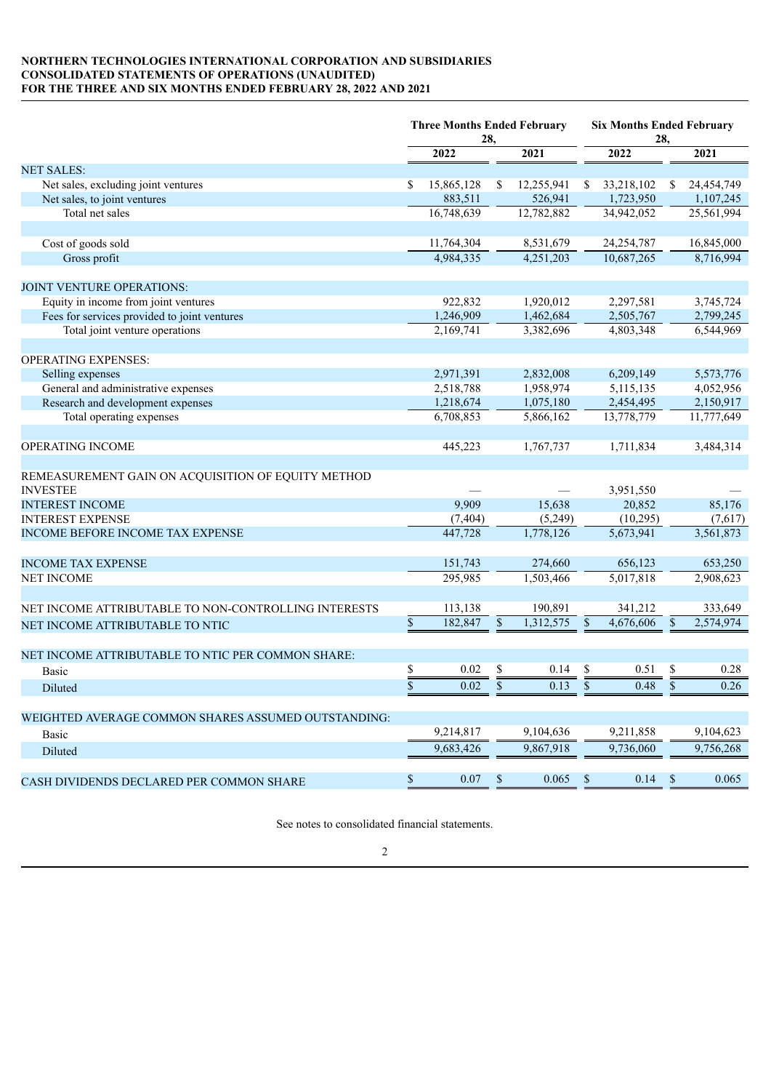## <span id="page-4-0"></span>**NORTHERN TECHNOLOGIES INTERNATIONAL CORPORATION AND SUBSIDIARIES CONSOLIDATED STATEMENTS OF OPERATIONS (UNAUDITED) FOR THE THREE AND SIX MONTHS ENDED FEBRUARY 28, 2022 AND 2021**

|                                                            | <b>Three Months Ended February</b><br>28, |            |      |            | <b>Six Months Ended February</b><br>28, |            |               |            |
|------------------------------------------------------------|-------------------------------------------|------------|------|------------|-----------------------------------------|------------|---------------|------------|
|                                                            |                                           | 2022       |      | 2021       |                                         | 2022       |               | 2021       |
| <b>NET SALES:</b>                                          |                                           |            |      |            |                                         |            |               |            |
| Net sales, excluding joint ventures                        | \$                                        | 15,865,128 | \$   | 12,255,941 | S                                       | 33,218,102 | <sup>\$</sup> | 24,454,749 |
| Net sales, to joint ventures                               |                                           | 883,511    |      | 526,941    |                                         | 1,723,950  |               | 1,107,245  |
| Total net sales                                            |                                           | 16,748,639 |      | 12,782,882 |                                         | 34,942,052 |               | 25,561,994 |
| Cost of goods sold                                         |                                           | 11,764,304 |      | 8,531,679  |                                         | 24,254,787 |               | 16,845,000 |
| Gross profit                                               |                                           | 4,984,335  |      | 4,251,203  |                                         | 10,687,265 |               | 8,716,994  |
| <b>JOINT VENTURE OPERATIONS:</b>                           |                                           |            |      |            |                                         |            |               |            |
| Equity in income from joint ventures                       |                                           | 922,832    |      | 1,920,012  |                                         | 2,297,581  |               | 3,745,724  |
| Fees for services provided to joint ventures               |                                           | 1,246,909  |      | 1,462,684  |                                         | 2,505,767  |               | 2,799,245  |
| Total joint venture operations                             |                                           | 2,169,741  |      | 3,382,696  |                                         | 4,803,348  |               | 6,544,969  |
| <b>OPERATING EXPENSES:</b>                                 |                                           |            |      |            |                                         |            |               |            |
| Selling expenses                                           |                                           | 2.971.391  |      | 2,832,008  |                                         | 6,209,149  |               | 5,573,776  |
| General and administrative expenses                        |                                           | 2,518,788  |      | 1,958,974  |                                         | 5,115,135  |               | 4,052,956  |
| Research and development expenses                          |                                           | 1,218,674  |      | 1,075,180  |                                         | 2,454,495  |               | 2,150,917  |
| Total operating expenses                                   |                                           | 6,708,853  |      | 5,866,162  |                                         | 13,778,779 |               | 11,777,649 |
| <b>OPERATING INCOME</b>                                    |                                           | 445,223    |      | 1,767,737  |                                         | 1,711,834  |               | 3,484,314  |
| REMEASUREMENT GAIN ON ACQUISITION OF EQUITY METHOD         |                                           |            |      |            |                                         |            |               |            |
| <b>INVESTEE</b>                                            |                                           |            |      |            |                                         | 3,951,550  |               |            |
| <b>INTEREST INCOME</b>                                     |                                           | 9,909      |      | 15,638     |                                         | 20,852     |               | 85,176     |
| <b>INTEREST EXPENSE</b>                                    |                                           | (7, 404)   |      | (5,249)    |                                         | (10, 295)  |               | (7,617)    |
| INCOME BEFORE INCOME TAX EXPENSE                           |                                           | 447,728    |      | 1,778,126  |                                         | 5,673,941  |               | 3,561,873  |
| <b>INCOME TAX EXPENSE</b>                                  |                                           | 151,743    |      | 274,660    |                                         | 656,123    |               | 653,250    |
| <b>NET INCOME</b>                                          |                                           | 295,985    |      | 1,503,466  |                                         | 5,017,818  |               | 2,908,623  |
| NET INCOME ATTRIBUTABLE TO NON-CONTROLLING INTERESTS       |                                           | 113,138    |      | 190,891    |                                         | 341,212    |               | 333,649    |
| NET INCOME ATTRIBUTABLE TO NTIC                            | \$                                        | 182,847    | $\$$ | 1,312,575  | $\boldsymbol{\mathsf{S}}$               | 4,676,606  | $\$$          | 2,574,974  |
|                                                            |                                           |            |      |            |                                         |            |               |            |
| NET INCOME ATTRIBUTABLE TO NTIC PER COMMON SHARE:<br>Basic | \$                                        | 0.02       | \$   | 0.14       | \$                                      | 0.51       | \$            | 0.28       |
| Diluted                                                    | \$                                        | 0.02       | \$   | 0.13       | $\boldsymbol{\mathsf{S}}$               | 0.48       | $\$$          | 0.26       |
|                                                            |                                           |            |      |            |                                         |            |               |            |
| WEIGHTED AVERAGE COMMON SHARES ASSUMED OUTSTANDING:        |                                           |            |      |            |                                         |            |               |            |
| <b>Basic</b>                                               |                                           | 9,214,817  |      | 9,104,636  |                                         | 9,211,858  |               | 9,104,623  |
| Diluted                                                    |                                           | 9,683,426  |      | 9,867,918  |                                         | 9,736,060  |               | 9,756,268  |
| CASH DIVIDENDS DECLARED PER COMMON SHARE                   | \$                                        | 0.07       | \$   | 0.065      | $\boldsymbol{\mathsf{S}}$               | 0.14       | <sup>\$</sup> | 0.065      |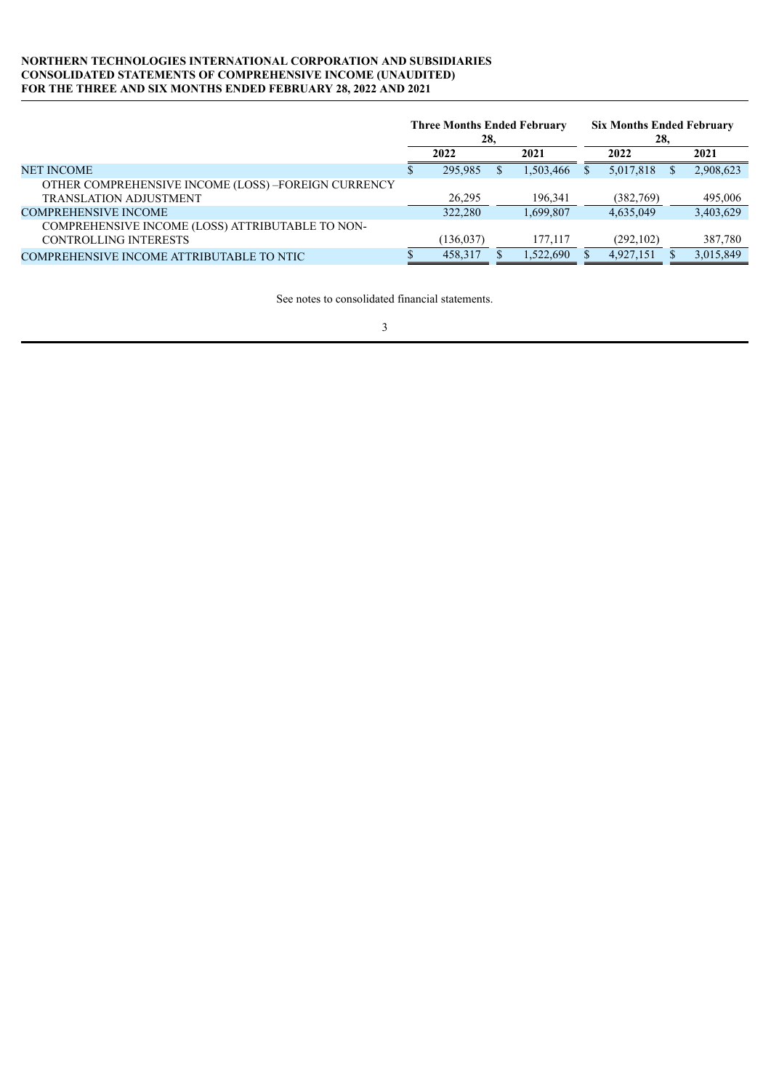## <span id="page-5-0"></span>**NORTHERN TECHNOLOGIES INTERNATIONAL CORPORATION AND SUBSIDIARIES CONSOLIDATED STATEMENTS OF COMPREHENSIVE INCOME (UNAUDITED) FOR THE THREE AND SIX MONTHS ENDED FEBRUARY 28, 2022 AND 2021**

|                                                     | <b>Three Months Ended February</b><br>28, |            |  | <b>Six Months Ended February</b><br>28. |  |            |  |           |
|-----------------------------------------------------|-------------------------------------------|------------|--|-----------------------------------------|--|------------|--|-----------|
|                                                     |                                           | 2022       |  | 2021                                    |  | 2022       |  | 2021      |
| NET INCOME                                          |                                           | 295,985    |  | 1,503,466                               |  | 5,017,818  |  | 2,908,623 |
| OTHER COMPREHENSIVE INCOME (LOSS) -FOREIGN CURRENCY |                                           |            |  |                                         |  |            |  |           |
| <b>TRANSLATION ADJUSTMENT</b>                       |                                           | 26,295     |  | 196.341                                 |  | (382,769)  |  | 495,006   |
| <b>COMPREHENSIVE INCOME</b>                         |                                           | 322,280    |  | 1.699.807                               |  | 4.635.049  |  | 3,403,629 |
| COMPREHENSIVE INCOME (LOSS) ATTRIBUTABLE TO NON-    |                                           |            |  |                                         |  |            |  |           |
| <b>CONTROLLING INTERESTS</b>                        |                                           | (136, 037) |  | 177.117                                 |  | (292, 102) |  | 387,780   |
| COMPREHENSIVE INCOME ATTRIBUTABLE TO NTIC           |                                           | 458,317    |  | 1.522.690                               |  | 4,927,151  |  | 3,015,849 |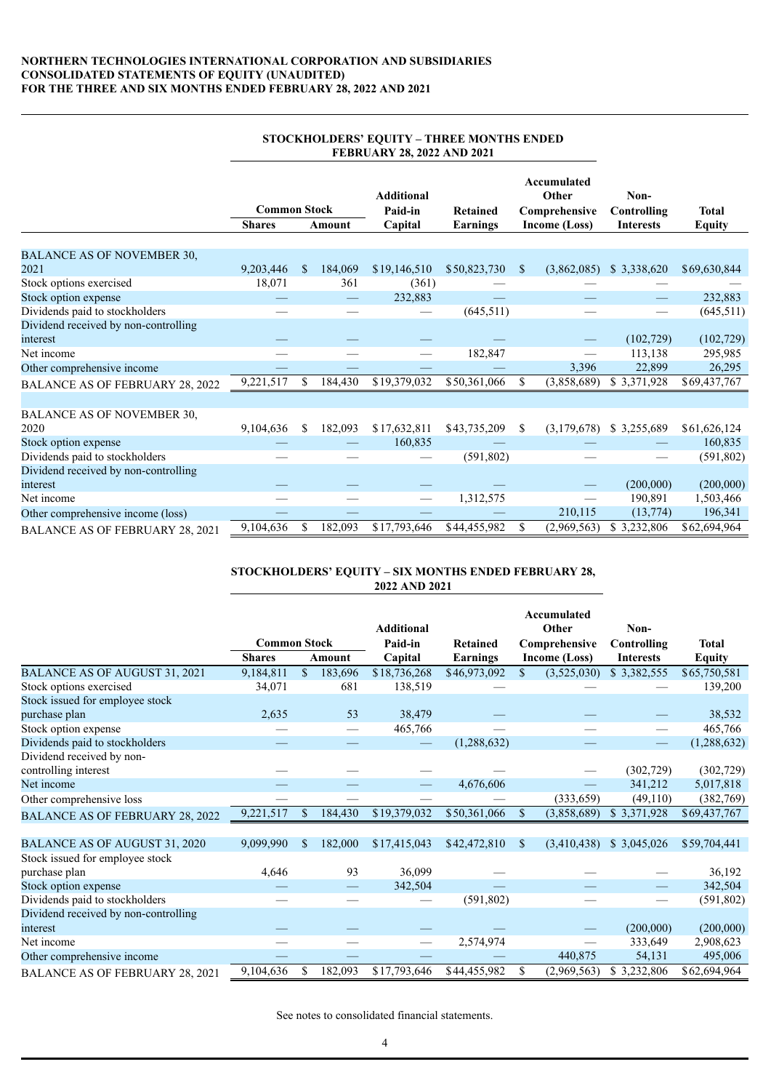## <span id="page-6-0"></span>**NORTHERN TECHNOLOGIES INTERNATIONAL CORPORATION AND SUBSIDIARIES CONSOLIDATED STATEMENTS OF EQUITY (UNAUDITED) FOR THE THREE AND SIX MONTHS ENDED FEBRUARY 28, 2022 AND 2021**

#### **STOCKHOLDERS' EQUITY – THREE MONTHS ENDED FEBRUARY 28, 2022 AND 2021**

|                                        |                     |    |         | <b>Additional</b>               |              |               | Accumulated<br>Other | Non-             |              |
|----------------------------------------|---------------------|----|---------|---------------------------------|--------------|---------------|----------------------|------------------|--------------|
|                                        | <b>Common Stock</b> |    |         | Paid-in<br>Retained             |              |               | Comprehensive        | Controlling      | <b>Total</b> |
|                                        | <b>Shares</b>       |    | Amount  | Capital                         | Earnings     | Income (Loss) |                      | <b>Interests</b> | Equity       |
|                                        |                     |    |         |                                 |              |               |                      |                  |              |
| <b>BALANCE AS OF NOVEMBER 30,</b>      |                     |    |         |                                 |              |               |                      |                  |              |
| 2021                                   | 9,203,446           | S. | 184,069 | \$19,146,510                    | \$50,823,730 | <sup>S</sup>  | (3,862,085)          | \$3,338,620      | \$69,630,844 |
| Stock options exercised                | 18,071              |    | 361     | (361)                           |              |               |                      |                  |              |
| Stock option expense                   |                     |    |         | 232,883                         |              |               |                      |                  | 232,883      |
| Dividends paid to stockholders         |                     |    |         |                                 | (645,511)    |               |                      |                  | (645,511)    |
| Dividend received by non-controlling   |                     |    |         |                                 |              |               |                      |                  |              |
| interest                               |                     |    |         |                                 |              |               |                      | (102, 729)       | (102, 729)   |
| Net income                             |                     |    |         |                                 | 182,847      |               |                      | 113,138          | 295,985      |
| Other comprehensive income             |                     |    |         |                                 |              |               | 3,396                | 22,899           | 26,295       |
| BALANCE AS OF FEBRUARY 28, 2022        | 9,221,517           | S. | 184,430 | \$19,379,032                    | \$50,361,066 | \$            | (3,858,689)          | \$3,371,928      | \$69,437,767 |
|                                        |                     |    |         |                                 |              |               |                      |                  |              |
| <b>BALANCE AS OF NOVEMBER 30,</b>      |                     |    |         |                                 |              |               |                      |                  |              |
| 2020                                   | 9,104,636           | S  | 182,093 | \$17,632,811                    | \$43,735,209 | S             | (3,179,678)          | \$3,255,689      | \$61,626,124 |
| Stock option expense                   |                     |    |         | 160,835                         |              |               |                      |                  | 160,835      |
| Dividends paid to stockholders         |                     |    |         |                                 | (591, 802)   |               |                      |                  | (591, 802)   |
| Dividend received by non-controlling   |                     |    |         |                                 |              |               |                      |                  |              |
| interest                               |                     |    |         |                                 |              |               |                      | (200,000)        | (200,000)    |
| Net income                             |                     |    |         | $\hspace{0.1mm}-\hspace{0.1mm}$ | 1,312,575    |               |                      | 190,891          | 1,503,466    |
| Other comprehensive income (loss)      |                     |    |         |                                 |              |               | 210,115              | (13, 774)        | 196,341      |
| <b>BALANCE AS OF FEBRUARY 28, 2021</b> | 9,104,636           | S  | 182,093 | \$17,793,646                    | \$44,455,982 | \$            | (2,969,563)          | \$3,232,806      | \$62,694,964 |

## **STOCKHOLDERS' EQUITY – SIX MONTHS ENDED FEBRUARY 28, 2022 AND 2021**

|                                        |                     |               |                          |                   |                 |               | Accumulated                  |                  |               |
|----------------------------------------|---------------------|---------------|--------------------------|-------------------|-----------------|---------------|------------------------------|------------------|---------------|
|                                        |                     |               |                          | <b>Additional</b> |                 |               | Other                        | Non-             |               |
|                                        | <b>Common Stock</b> |               |                          | Paid-in           | <b>Retained</b> |               | Comprehensive<br>Controlling |                  | <b>Total</b>  |
|                                        | <b>Shares</b>       |               | Amount                   | Capital           | <b>Earnings</b> |               | Income (Loss)                | <b>Interests</b> | <b>Equity</b> |
| BALANCE AS OF AUGUST 31, 2021          | 9,184,811           | $\mathbb{S}$  | 183,696                  | \$18,736,268      | \$46,973,092    | $\mathbf{\$}$ | (3,525,030)                  | \$3,382,555      | \$65,750,581  |
| Stock options exercised                | 34,071              |               | 681                      | 138,519           |                 |               |                              |                  | 139,200       |
| Stock issued for employee stock        |                     |               |                          |                   |                 |               |                              |                  |               |
| purchase plan                          | 2,635               |               | 53                       | 38,479            |                 |               |                              |                  | 38,532        |
| Stock option expense                   |                     |               |                          | 465,766           |                 |               |                              |                  | 465,766       |
| Dividends paid to stockholders         |                     |               |                          |                   | (1,288,632)     |               |                              |                  | (1,288,632)   |
| Dividend received by non-              |                     |               |                          |                   |                 |               |                              |                  |               |
| controlling interest                   |                     |               |                          |                   |                 |               |                              | (302, 729)       | (302, 729)    |
| Net income                             |                     |               |                          |                   | 4,676,606       |               |                              | 341,212          | 5,017,818     |
| Other comprehensive loss               |                     |               |                          |                   |                 |               | (333, 659)                   | (49,110)         | (382, 769)    |
| <b>BALANCE AS OF FEBRUARY 28, 2022</b> | 9,221,517           | \$.           | 184,430                  | \$19,379,032      | \$50,361,066    | <sup>\$</sup> | (3,858,689)                  | \$3,371,928      | \$69,437,767  |
|                                        |                     |               |                          |                   |                 |               |                              |                  |               |
| BALANCE AS OF AUGUST 31, 2020          | 9,099,990           | <sup>\$</sup> | 182,000                  | \$17,415,043      | \$42,472,810    | -S            | (3,410,438)                  | \$3,045,026      | \$59,704,441  |
| Stock issued for employee stock        |                     |               |                          |                   |                 |               |                              |                  |               |
| purchase plan                          | 4,646               |               | 93                       | 36,099            |                 |               |                              |                  | 36,192        |
| Stock option expense                   |                     |               | $\overline{\phantom{0}}$ | 342,504           |                 |               |                              |                  | 342,504       |
| Dividends paid to stockholders         |                     |               |                          |                   | (591, 802)      |               |                              |                  | (591, 802)    |
| Dividend received by non-controlling   |                     |               |                          |                   |                 |               |                              |                  |               |
| interest                               |                     |               |                          |                   |                 |               |                              | (200,000)        | (200,000)     |
| Net income                             |                     |               |                          |                   | 2,574,974       |               |                              | 333,649          | 2,908,623     |
| Other comprehensive income             |                     |               |                          |                   |                 |               | 440,875                      | 54,131           | 495,006       |
| <b>BALANCE AS OF FEBRUARY 28, 2021</b> | 9,104,636           | S             | 182,093                  | \$17,793,646      | \$44,455,982    | S             | (2,969,563)                  | \$3,232,806      | \$62,694,964  |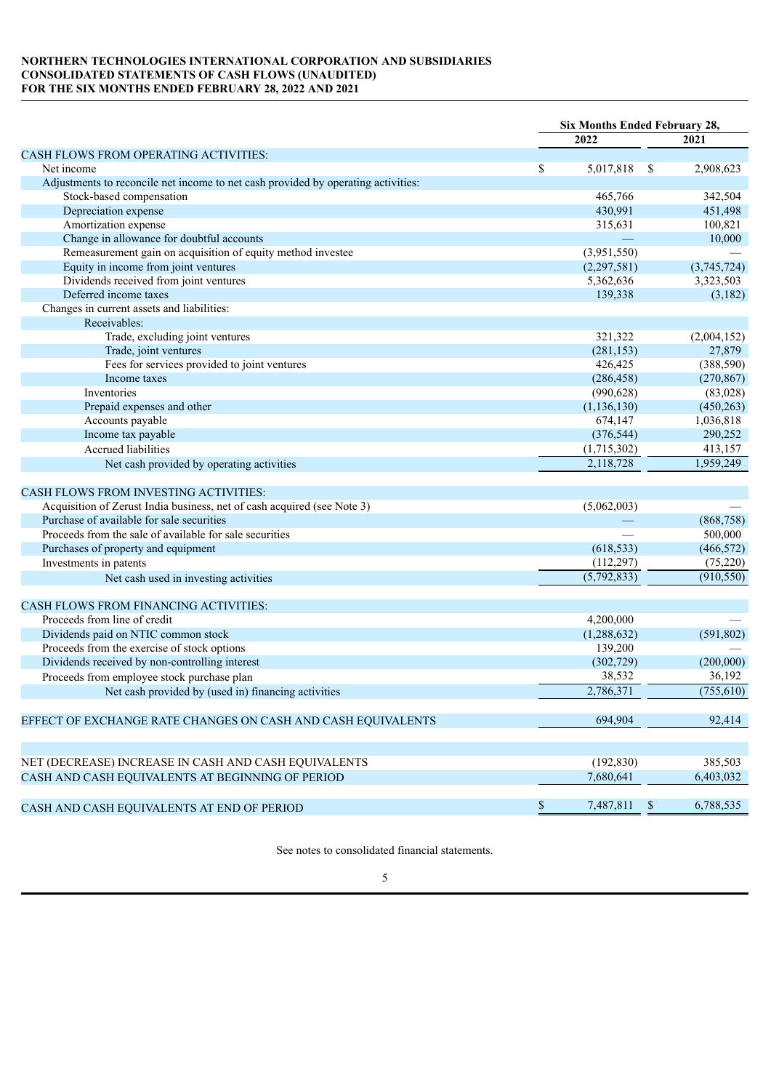## <span id="page-7-0"></span>**NORTHERN TECHNOLOGIES INTERNATIONAL CORPORATION AND SUBSIDIARIES CONSOLIDATED STATEMENTS OF CASH FLOWS (UNAUDITED) FOR THE SIX MONTHS ENDED FEBRUARY 28, 2022 AND 2021**

|                                                                                   | Six Months Ended February 28, |               |               |             |
|-----------------------------------------------------------------------------------|-------------------------------|---------------|---------------|-------------|
|                                                                                   |                               | 2022          |               | 2021        |
| <b>CASH FLOWS FROM OPERATING ACTIVITIES:</b>                                      |                               |               |               |             |
| Net income                                                                        | \$                            | 5,017,818     | -\$           | 2,908,623   |
| Adjustments to reconcile net income to net cash provided by operating activities: |                               |               |               |             |
| Stock-based compensation                                                          |                               | 465,766       |               | 342,504     |
| Depreciation expense                                                              |                               | 430,991       |               | 451,498     |
| Amortization expense                                                              |                               | 315,631       |               | 100,821     |
| Change in allowance for doubtful accounts                                         |                               |               |               | 10,000      |
| Remeasurement gain on acquisition of equity method investee                       |                               | (3,951,550)   |               |             |
| Equity in income from joint ventures                                              |                               | (2,297,581)   |               | (3,745,724) |
| Dividends received from joint ventures                                            |                               | 5,362,636     |               | 3,323,503   |
| Deferred income taxes                                                             |                               | 139,338       |               | (3,182)     |
| Changes in current assets and liabilities:                                        |                               |               |               |             |
| Receivables:                                                                      |                               |               |               |             |
| Trade, excluding joint ventures                                                   |                               | 321,322       |               | (2,004,152) |
| Trade, joint ventures                                                             |                               | (281, 153)    |               | 27,879      |
| Fees for services provided to joint ventures                                      |                               | 426,425       |               | (388, 590)  |
| Income taxes                                                                      |                               | (286, 458)    |               | (270, 867)  |
| Inventories                                                                       |                               | (990, 628)    |               | (83,028)    |
| Prepaid expenses and other                                                        |                               | (1, 136, 130) |               | (450, 263)  |
| Accounts payable                                                                  |                               | 674,147       |               | 1,036,818   |
| Income tax payable                                                                |                               | (376, 544)    |               | 290,252     |
| Accrued liabilities                                                               |                               | (1,715,302)   |               | 413,157     |
| Net cash provided by operating activities                                         |                               | 2,118,728     |               | 1,959,249   |
| CASH FLOWS FROM INVESTING ACTIVITIES:                                             |                               |               |               |             |
| Acquisition of Zerust India business, net of cash acquired (see Note 3)           |                               | (5,062,003)   |               |             |
| Purchase of available for sale securities                                         |                               |               |               | (868, 758)  |
| Proceeds from the sale of available for sale securities                           |                               |               |               | 500,000     |
| Purchases of property and equipment                                               |                               | (618, 533)    |               | (466, 572)  |
| Investments in patents                                                            |                               | (112, 297)    |               | (75,220)    |
| Net cash used in investing activities                                             |                               | (5,792,833)   |               | (910, 550)  |
| <b>CASH FLOWS FROM FINANCING ACTIVITIES:</b>                                      |                               |               |               |             |
| Proceeds from line of credit                                                      |                               | 4,200,000     |               |             |
| Dividends paid on NTIC common stock                                               |                               | (1,288,632)   |               | (591, 802)  |
| Proceeds from the exercise of stock options                                       |                               | 139,200       |               |             |
| Dividends received by non-controlling interest                                    |                               | (302, 729)    |               | (200,000)   |
| Proceeds from employee stock purchase plan                                        |                               | 38,532        |               | 36,192      |
| Net cash provided by (used in) financing activities                               |                               | 2,786,371     |               | (755, 610)  |
| EFFECT OF EXCHANGE RATE CHANGES ON CASH AND CASH EQUIVALENTS                      |                               | 694,904       |               | 92,414      |
|                                                                                   |                               |               |               |             |
| NET (DECREASE) INCREASE IN CASH AND CASH EQUIVALENTS                              |                               | (192, 830)    |               | 385,503     |
| CASH AND CASH EQUIVALENTS AT BEGINNING OF PERIOD                                  |                               | 7,680,641     |               | 6,403,032   |
| CASH AND CASH EQUIVALENTS AT END OF PERIOD                                        | \$                            | 7,487,811     | <sup>\$</sup> | 6,788,535   |
|                                                                                   |                               |               |               |             |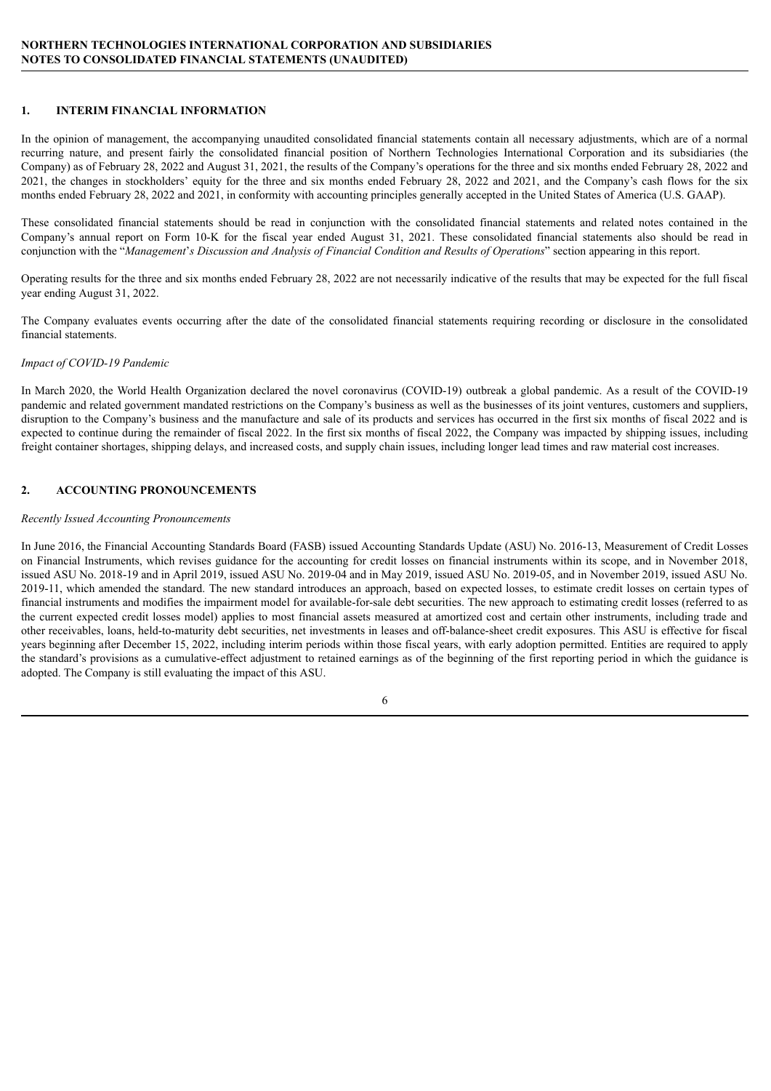#### <span id="page-8-0"></span>**1. INTERIM FINANCIAL INFORMATION**

In the opinion of management, the accompanying unaudited consolidated financial statements contain all necessary adjustments, which are of a normal recurring nature, and present fairly the consolidated financial position of Northern Technologies International Corporation and its subsidiaries (the Company) as of February 28, 2022 and August 31, 2021, the results of the Company's operations for the three and six months ended February 28, 2022 and 2021, the changes in stockholders' equity for the three and six months ended February 28, 2022 and 2021, and the Company's cash flows for the six months ended February 28, 2022 and 2021, in conformity with accounting principles generally accepted in the United States of America (U.S. GAAP).

These consolidated financial statements should be read in conjunction with the consolidated financial statements and related notes contained in the Company's annual report on Form 10-K for the fiscal year ended August 31, 2021. These consolidated financial statements also should be read in conjunction with the "Management's Discussion and Analysis of Financial Condition and Results of Operations" section appearing in this report.

Operating results for the three and six months ended February 28, 2022 are not necessarily indicative of the results that may be expected for the full fiscal year ending August 31, 2022.

The Company evaluates events occurring after the date of the consolidated financial statements requiring recording or disclosure in the consolidated financial statements.

#### *Impact of COVID-19 Pandemic*

In March 2020, the World Health Organization declared the novel coronavirus (COVID-19) outbreak a global pandemic. As a result of the COVID-19 pandemic and related government mandated restrictions on the Company's business as well as the businesses of its joint ventures, customers and suppliers, disruption to the Company's business and the manufacture and sale of its products and services has occurred in the first six months of fiscal 2022 and is expected to continue during the remainder of fiscal 2022. In the first six months of fiscal 2022, the Company was impacted by shipping issues, including freight container shortages, shipping delays, and increased costs, and supply chain issues, including longer lead times and raw material cost increases.

#### **2. ACCOUNTING PRONOUNCEMENTS**

#### *Recently Issued Accounting Pronouncements*

In June 2016, the Financial Accounting Standards Board (FASB) issued Accounting Standards Update (ASU) No. 2016-13, Measurement of Credit Losses on Financial Instruments, which revises guidance for the accounting for credit losses on financial instruments within its scope, and in November 2018, issued ASU No. 2018-19 and in April 2019, issued ASU No. 2019-04 and in May 2019, issued ASU No. 2019-05, and in November 2019, issued ASU No. 2019-11, which amended the standard. The new standard introduces an approach, based on expected losses, to estimate credit losses on certain types of financial instruments and modifies the impairment model for available-for-sale debt securities. The new approach to estimating credit losses (referred to as the current expected credit losses model) applies to most financial assets measured at amortized cost and certain other instruments, including trade and other receivables, loans, held-to-maturity debt securities, net investments in leases and off-balance-sheet credit exposures. This ASU is effective for fiscal years beginning after December 15, 2022, including interim periods within those fiscal years, with early adoption permitted. Entities are required to apply the standard's provisions as a cumulative-effect adjustment to retained earnings as of the beginning of the first reporting period in which the guidance is adopted. The Company is still evaluating the impact of this ASU.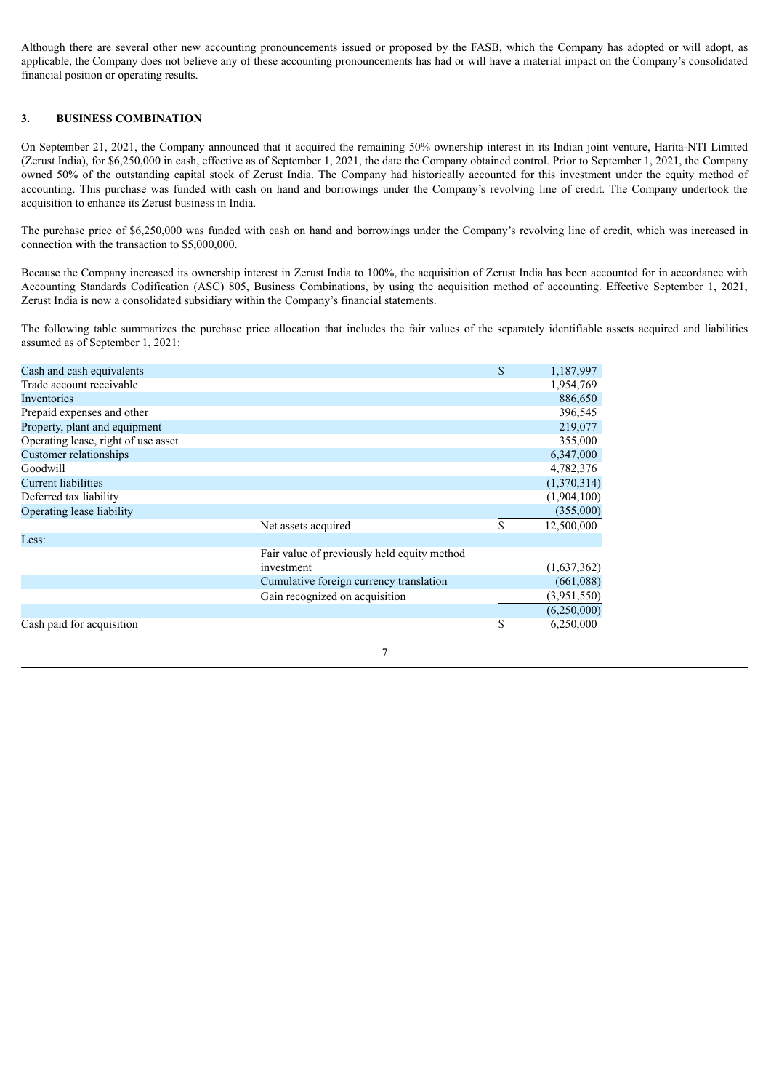Although there are several other new accounting pronouncements issued or proposed by the FASB, which the Company has adopted or will adopt, as applicable, the Company does not believe any of these accounting pronouncements has had or will have a material impact on the Company's consolidated financial position or operating results.

#### **3. BUSINESS COMBINATION**

On September 21, 2021, the Company announced that it acquired the remaining 50% ownership interest in its Indian joint venture, Harita-NTI Limited (Zerust India), for \$6,250,000 in cash, effective as of September 1, 2021, the date the Company obtained control. Prior to September 1, 2021, the Company owned 50% of the outstanding capital stock of Zerust India. The Company had historically accounted for this investment under the equity method of accounting. This purchase was funded with cash on hand and borrowings under the Company's revolving line of credit. The Company undertook the acquisition to enhance its Zerust business in India.

The purchase price of \$6,250,000 was funded with cash on hand and borrowings under the Company's revolving line of credit, which was increased in connection with the transaction to \$5,000,000.

Because the Company increased its ownership interest in Zerust India to 100%, the acquisition of Zerust India has been accounted for in accordance with Accounting Standards Codification (ASC) 805, Business Combinations, by using the acquisition method of accounting. Effective September 1, 2021, Zerust India is now a consolidated subsidiary within the Company's financial statements.

The following table summarizes the purchase price allocation that includes the fair values of the separately identifiable assets acquired and liabilities assumed as of September 1, 2021:

| Cash and cash equivalents           |                                             | <sup>\$</sup> | 1,187,997   |
|-------------------------------------|---------------------------------------------|---------------|-------------|
| Trade account receivable            |                                             |               | 1,954,769   |
| Inventories                         |                                             |               | 886,650     |
| Prepaid expenses and other          |                                             |               | 396,545     |
| Property, plant and equipment       |                                             |               | 219,077     |
| Operating lease, right of use asset |                                             |               | 355,000     |
| <b>Customer relationships</b>       |                                             |               | 6,347,000   |
| Goodwill                            |                                             |               | 4,782,376   |
| Current liabilities                 |                                             |               | (1,370,314) |
| Deferred tax liability              |                                             |               | (1,904,100) |
| Operating lease liability           |                                             |               | (355,000)   |
|                                     | Net assets acquired                         | \$            | 12,500,000  |
| Less:                               |                                             |               |             |
|                                     | Fair value of previously held equity method |               |             |
|                                     | investment                                  |               | (1,637,362) |
|                                     | Cumulative foreign currency translation     |               | (661,088)   |
|                                     | Gain recognized on acquisition              |               | (3,951,550) |
|                                     |                                             |               | (6,250,000) |
| Cash paid for acquisition           |                                             | \$            | 6,250,000   |

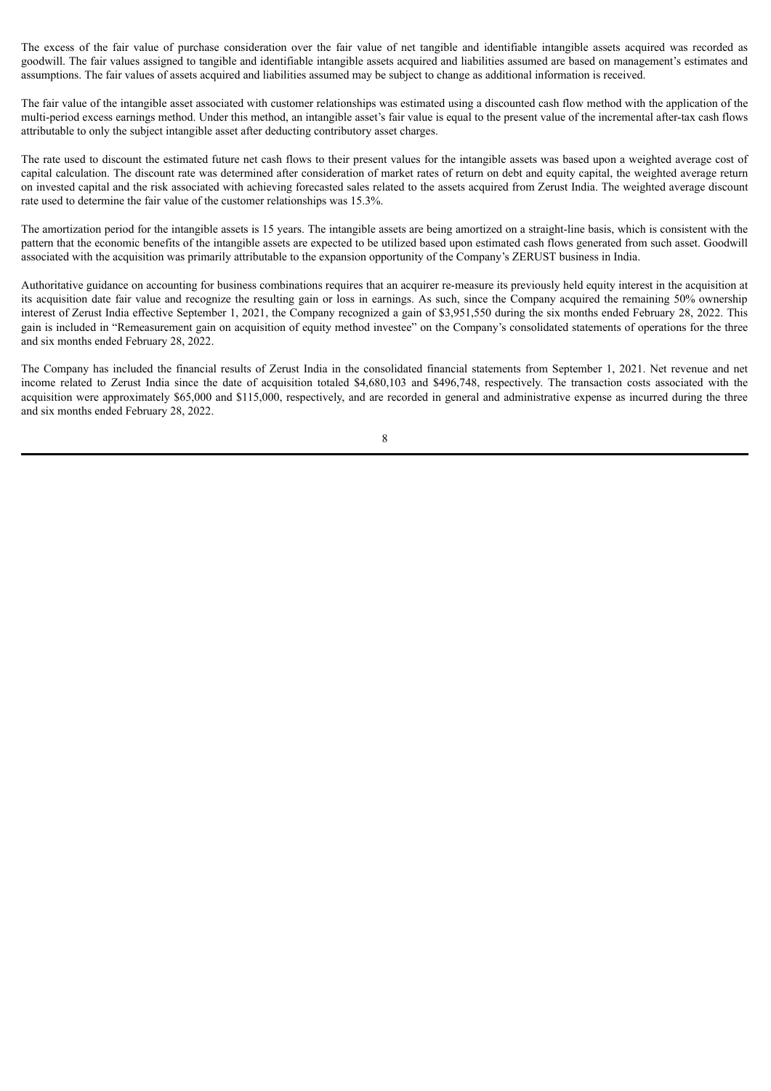The excess of the fair value of purchase consideration over the fair value of net tangible and identifiable intangible assets acquired was recorded as goodwill. The fair values assigned to tangible and identifiable intangible assets acquired and liabilities assumed are based on management's estimates and assumptions. The fair values of assets acquired and liabilities assumed may be subject to change as additional information is received.

The fair value of the intangible asset associated with customer relationships was estimated using a discounted cash flow method with the application of the multi-period excess earnings method. Under this method, an intangible asset's fair value is equal to the present value of the incremental after-tax cash flows attributable to only the subject intangible asset after deducting contributory asset charges.

The rate used to discount the estimated future net cash flows to their present values for the intangible assets was based upon a weighted average cost of capital calculation. The discount rate was determined after consideration of market rates of return on debt and equity capital, the weighted average return on invested capital and the risk associated with achieving forecasted sales related to the assets acquired from Zerust India. The weighted average discount rate used to determine the fair value of the customer relationships was 15.3%.

The amortization period for the intangible assets is 15 years. The intangible assets are being amortized on a straight-line basis, which is consistent with the pattern that the economic benefits of the intangible assets are expected to be utilized based upon estimated cash flows generated from such asset. Goodwill associated with the acquisition was primarily attributable to the expansion opportunity of the Company's ZERUST business in India.

Authoritative guidance on accounting for business combinations requires that an acquirer re-measure its previously held equity interest in the acquisition at its acquisition date fair value and recognize the resulting gain or loss in earnings. As such, since the Company acquired the remaining 50% ownership interest of Zerust India effective September 1, 2021, the Company recognized a gain of \$3,951,550 during the six months ended February 28, 2022. This gain is included in "Remeasurement gain on acquisition of equity method investee" on the Company's consolidated statements of operations for the three and six months ended February 28, 2022.

The Company has included the financial results of Zerust India in the consolidated financial statements from September 1, 2021. Net revenue and net income related to Zerust India since the date of acquisition totaled \$4,680,103 and \$496,748, respectively. The transaction costs associated with the acquisition were approximately \$65,000 and \$115,000, respectively, and are recorded in general and administrative expense as incurred during the three and six months ended February 28, 2022.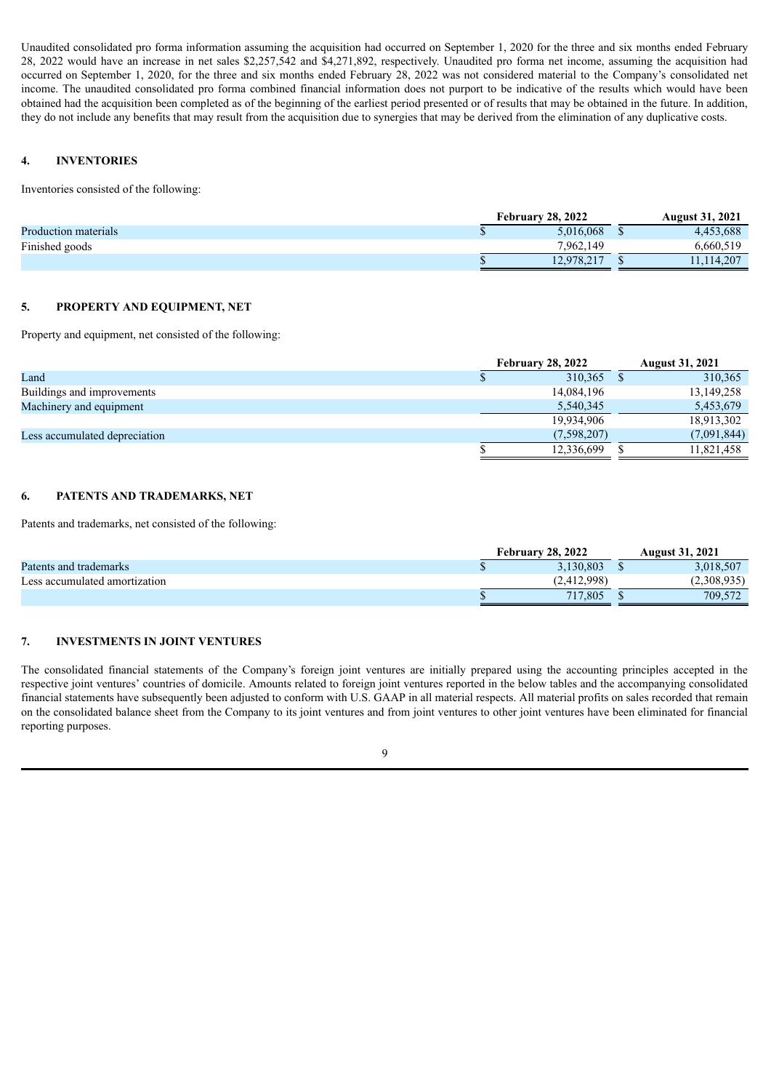Unaudited consolidated pro forma information assuming the acquisition had occurred on September 1, 2020 for the three and six months ended February 28, 2022 would have an increase in net sales \$2,257,542 and \$4,271,892, respectively. Unaudited pro forma net income, assuming the acquisition had occurred on September 1, 2020, for the three and six months ended February 28, 2022 was not considered material to the Company's consolidated net income. The unaudited consolidated pro forma combined financial information does not purport to be indicative of the results which would have been obtained had the acquisition been completed as of the beginning of the earliest period presented or of results that may be obtained in the future. In addition, they do not include any benefits that may result from the acquisition due to synergies that may be derived from the elimination of any duplicative costs.

### **4. INVENTORIES**

Inventories consisted of the following:

|                      |  | <b>February 28, 2022</b> | <b>August 31, 2021</b> |
|----------------------|--|--------------------------|------------------------|
| Production materials |  | 5.016.068                | 4.453.688              |
| Finished goods       |  | 7,962,149                | 6,660,519              |
|                      |  | 12,978,217               | 11,114,207             |

## **5. PROPERTY AND EQUIPMENT, NET**

Property and equipment, net consisted of the following:

|                               | <b>February 28, 2022</b> | <b>August 31, 2021</b> |
|-------------------------------|--------------------------|------------------------|
| Land                          | 310.365                  | 310,365                |
| Buildings and improvements    | 14,084,196               | 13,149,258             |
| Machinery and equipment       | 5,540,345                | 5,453,679              |
|                               | 19.934.906               | 18,913,302             |
| Less accumulated depreciation | (7.598, 207)             | (7,091,844)            |
|                               | 12,336,699               | 11,821,458             |

## **6. PATENTS AND TRADEMARKS, NET**

Patents and trademarks, net consisted of the following:

|                               | <b>February 28, 2022</b> |             |  | <b>August 31, 2021</b> |
|-------------------------------|--------------------------|-------------|--|------------------------|
| Patents and trademarks        |                          | 3.130.803   |  | 3.018.507              |
| Less accumulated amortization |                          | (2.412.998) |  | (2,308,935)            |
|                               |                          | 717.805     |  | 709.572                |

#### **7. INVESTMENTS IN JOINT VENTURES**

The consolidated financial statements of the Company's foreign joint ventures are initially prepared using the accounting principles accepted in the respective joint ventures' countries of domicile. Amounts related to foreign joint ventures reported in the below tables and the accompanying consolidated financial statements have subsequently been adjusted to conform with U.S. GAAP in all material respects. All material profits on sales recorded that remain on the consolidated balance sheet from the Company to its joint ventures and from joint ventures to other joint ventures have been eliminated for financial reporting purposes.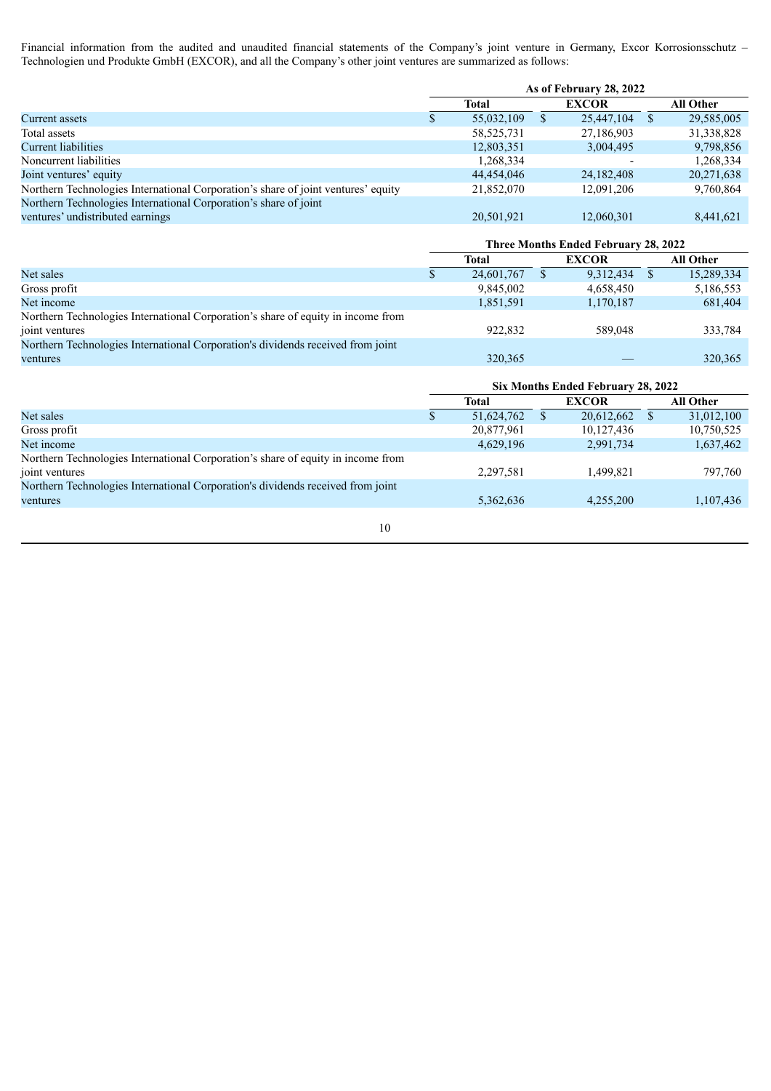Financial information from the audited and unaudited financial statements of the Company's joint venture in Germany, Excor Korrosionsschutz – Technologien und Produkte GmbH (EXCOR), and all the Company's other joint ventures are summarized as follows:

|                                                                                   | As of February 28, 2022 |              |  |              |  |            |  |
|-----------------------------------------------------------------------------------|-------------------------|--------------|--|--------------|--|------------|--|
|                                                                                   |                         | Total        |  | <b>EXCOR</b> |  | All Other  |  |
| Current assets                                                                    |                         | 55,032,109   |  | 25,447,104   |  | 29,585,005 |  |
| Total assets                                                                      |                         | 58, 525, 731 |  | 27,186,903   |  | 31,338,828 |  |
| Current liabilities                                                               |                         | 12,803,351   |  | 3,004,495    |  | 9,798,856  |  |
| Noncurrent liabilities                                                            |                         | 1,268,334    |  |              |  | 1,268,334  |  |
| Joint ventures' equity                                                            |                         | 44,454,046   |  | 24, 182, 408 |  | 20,271,638 |  |
| Northern Technologies International Corporation's share of joint ventures' equity |                         | 21,852,070   |  | 12,091,206   |  | 9,760,864  |  |
| Northern Technologies International Corporation's share of joint                  |                         |              |  |              |  |            |  |
| ventures' undistributed earnings                                                  |                         | 20,501,921   |  | 12,060,301   |  | 8,441,621  |  |

|                                                                                  | Three Months Ended February 28, 2022 |            |  |              |  |            |  |
|----------------------------------------------------------------------------------|--------------------------------------|------------|--|--------------|--|------------|--|
|                                                                                  | Total                                |            |  | <b>EXCOR</b> |  | All Other  |  |
| Net sales                                                                        | S                                    | 24,601,767 |  | 9.312.434    |  | 15,289,334 |  |
| Gross profit                                                                     |                                      | 9,845,002  |  | 4,658,450    |  | 5,186,553  |  |
| Net income                                                                       |                                      | 1,851,591  |  | 1,170,187    |  | 681,404    |  |
| Northern Technologies International Corporation's share of equity in income from |                                      |            |  |              |  |            |  |
| joint ventures                                                                   |                                      | 922.832    |  | 589,048      |  | 333,784    |  |
| Northern Technologies International Corporation's dividends received from joint  |                                      |            |  |              |  |            |  |
| ventures                                                                         |                                      | 320.365    |  |              |  | 320.365    |  |

|                                                                                  | Six Months Ended February 28, 2022 |            |              |            |  |            |  |                  |
|----------------------------------------------------------------------------------|------------------------------------|------------|--------------|------------|--|------------|--|------------------|
|                                                                                  | <b>Total</b>                       |            | <b>EXCOR</b> |            |  |            |  | <b>All Other</b> |
| Net sales                                                                        | Ж                                  | 51,624,762 |              | 20,612,662 |  | 31,012,100 |  |                  |
| Gross profit                                                                     |                                    | 20,877,961 |              | 10,127,436 |  | 10,750,525 |  |                  |
| Net income                                                                       |                                    | 4,629,196  |              | 2,991,734  |  | 1,637,462  |  |                  |
| Northern Technologies International Corporation's share of equity in income from |                                    |            |              |            |  |            |  |                  |
| joint ventures                                                                   |                                    | 2,297,581  |              | 1,499,821  |  | 797,760    |  |                  |
| Northern Technologies International Corporation's dividends received from joint  |                                    |            |              |            |  |            |  |                  |
| ventures                                                                         |                                    | 5,362,636  |              | 4,255,200  |  | 1,107,436  |  |                  |
|                                                                                  |                                    |            |              |            |  |            |  |                  |
| 10                                                                               |                                    |            |              |            |  |            |  |                  |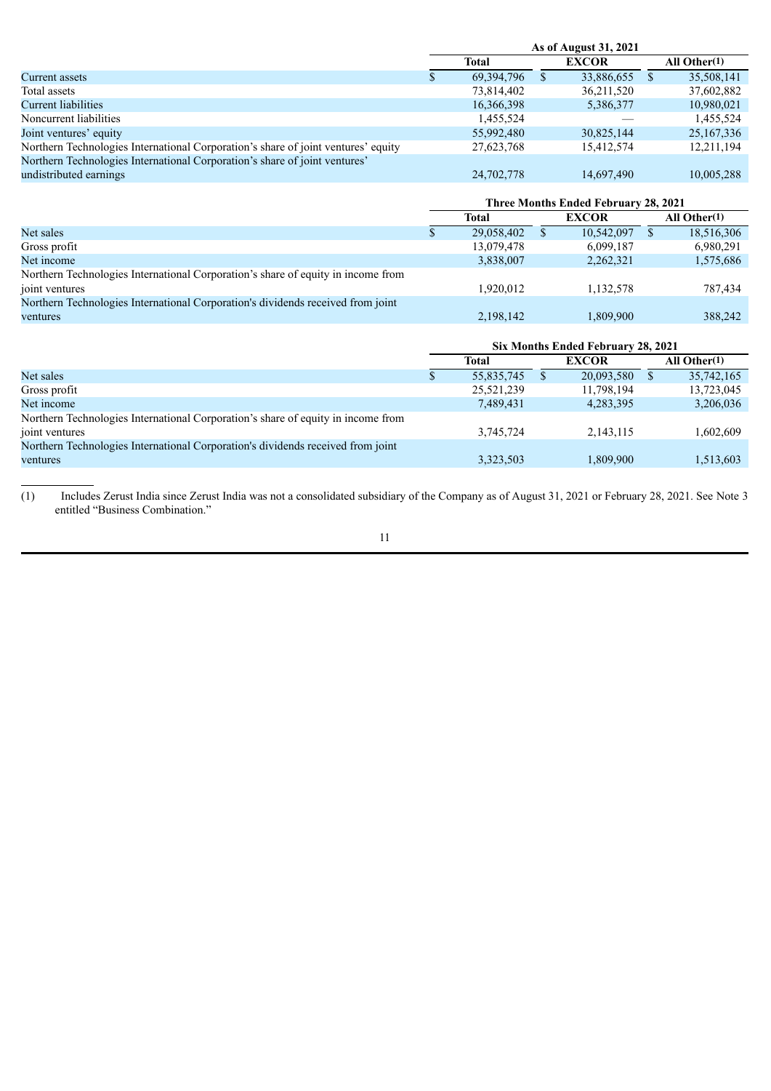|                                                                                   | As of August 31, 2021 |              |              |            |  |                 |  |
|-----------------------------------------------------------------------------------|-----------------------|--------------|--------------|------------|--|-----------------|--|
|                                                                                   |                       | <b>Total</b> | <b>EXCOR</b> |            |  | All Other $(1)$ |  |
| Current assets                                                                    | J.                    | 69, 394, 796 |              | 33,886,655 |  | 35,508,141      |  |
| Total assets                                                                      |                       | 73,814,402   |              | 36,211,520 |  | 37,602,882      |  |
| Current liabilities                                                               |                       | 16,366,398   |              | 5,386,377  |  | 10,980,021      |  |
| Noncurrent liabilities                                                            |                       | 1,455,524    |              |            |  | 1,455,524       |  |
| Joint ventures' equity                                                            |                       | 55,992,480   |              | 30,825,144 |  | 25, 167, 336    |  |
| Northern Technologies International Corporation's share of joint ventures' equity |                       | 27,623,768   |              | 15,412,574 |  | 12,211,194      |  |
| Northern Technologies International Corporation's share of joint ventures'        |                       |              |              |            |  |                 |  |
| undistributed earnings                                                            |                       | 24,702,778   |              | 14,697,490 |  | 10.005.288      |  |

|                                                                                  | Three Months Ended February 28, 2021 |            |  |              |  |              |  |  |
|----------------------------------------------------------------------------------|--------------------------------------|------------|--|--------------|--|--------------|--|--|
|                                                                                  | Total                                |            |  | <b>EXCOR</b> |  | All Other(1) |  |  |
| Net sales                                                                        | <sup>S</sup>                         | 29,058,402 |  | 10.542.097   |  | 18,516,306   |  |  |
| Gross profit                                                                     |                                      | 13,079,478 |  | 6,099,187    |  | 6,980,291    |  |  |
| Net income                                                                       |                                      | 3,838,007  |  | 2,262,321    |  | 1,575,686    |  |  |
| Northern Technologies International Corporation's share of equity in income from |                                      |            |  |              |  |              |  |  |
| joint ventures                                                                   |                                      | 1.920.012  |  | 1,132,578    |  | 787,434      |  |  |
| Northern Technologies International Corporation's dividends received from joint  |                                      |            |  |              |  |              |  |  |
| ventures                                                                         |                                      | 2,198,142  |  | 1,809,900    |  | 388,242      |  |  |

|                                                                                  | Six Months Ended February 28, 2021 |            |  |              |  |                 |  |  |
|----------------------------------------------------------------------------------|------------------------------------|------------|--|--------------|--|-----------------|--|--|
|                                                                                  | <b>Total</b>                       |            |  | <b>EXCOR</b> |  | All Other $(1)$ |  |  |
| Net sales                                                                        | <sup>8</sup>                       | 55,835,745 |  | 20,093,580   |  | 35,742,165      |  |  |
| Gross profit                                                                     |                                    | 25,521,239 |  | 11,798,194   |  | 13,723,045      |  |  |
| Net income                                                                       |                                    | 7,489,431  |  | 4,283,395    |  | 3,206,036       |  |  |
| Northern Technologies International Corporation's share of equity in income from |                                    |            |  |              |  |                 |  |  |
| joint ventures                                                                   |                                    | 3.745.724  |  | 2,143,115    |  | 1,602,609       |  |  |
| Northern Technologies International Corporation's dividends received from joint  |                                    |            |  |              |  |                 |  |  |
| ventures                                                                         |                                    | 3,323,503  |  | 1,809,900    |  | 1,513,603       |  |  |

(1) Includes Zerust India since Zerust India was not a consolidated subsidiary of the Company as of August 31, 2021 or February 28, 2021. See Note 3 entitled "Business Combination."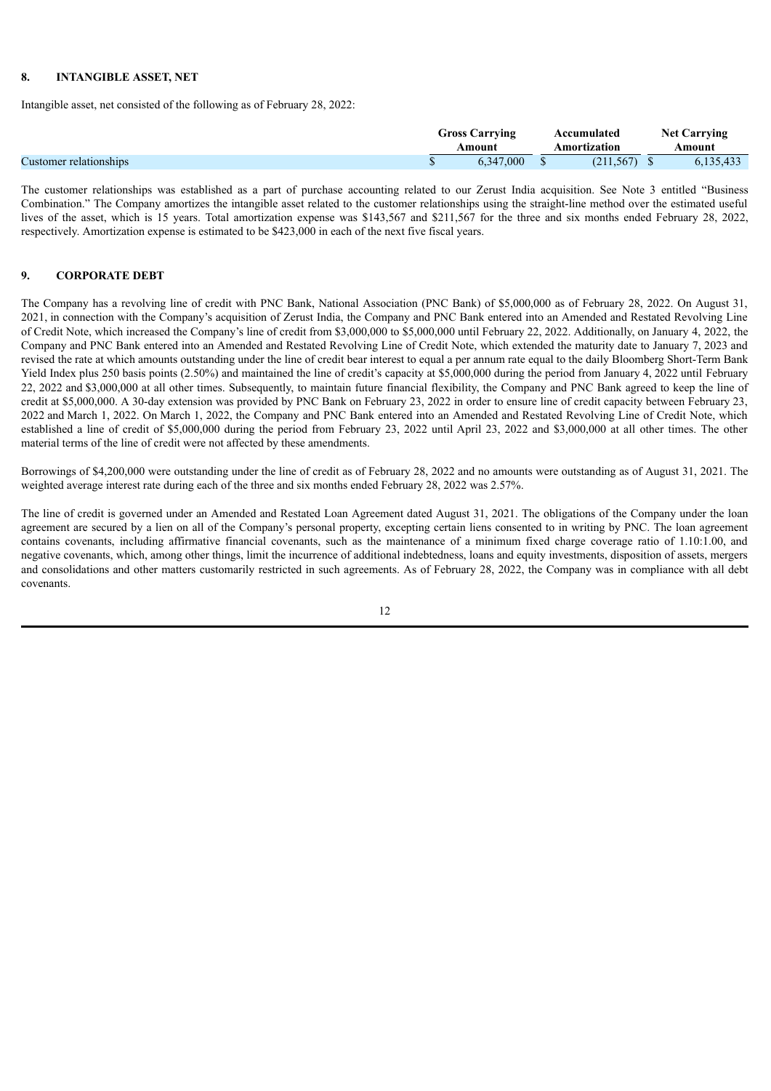## **8. INTANGIBLE ASSET, NET**

Intangible asset, net consisted of the following as of February 28, 2022:

| <b>Gross Carrying</b><br>Amount |           |  |                             | <b>Net Carrying</b><br>Amount |
|---------------------------------|-----------|--|-----------------------------|-------------------------------|
|                                 | 6.347.000 |  |                             | 6, 135, 433                   |
|                                 |           |  | Accumulated<br>Amortization | $(211.567)$ \$                |

The customer relationships was established as a part of purchase accounting related to our Zerust India acquisition. See Note 3 entitled "Business Combination." The Company amortizes the intangible asset related to the customer relationships using the straight-line method over the estimated useful lives of the asset, which is 15 years. Total amortization expense was \$143,567 and \$211,567 for the three and six months ended February 28, 2022, respectively. Amortization expense is estimated to be \$423,000 in each of the next five fiscal years.

## **9. CORPORATE DEBT**

The Company has a revolving line of credit with PNC Bank, National Association (PNC Bank) of \$5,000,000 as of February 28, 2022. On August 31, 2021, in connection with the Company's acquisition of Zerust India, the Company and PNC Bank entered into an Amended and Restated Revolving Line of Credit Note, which increased the Company's line of credit from \$3,000,000 to \$5,000,000 until February 22, 2022. Additionally, on January 4, 2022, the Company and PNC Bank entered into an Amended and Restated Revolving Line of Credit Note, which extended the maturity date to January 7, 2023 and revised the rate at which amounts outstanding under the line of credit bear interest to equal a per annum rate equal to the daily Bloomberg Short-Term Bank Yield Index plus 250 basis points (2.50%) and maintained the line of credit's capacity at \$5,000,000 during the period from January 4, 2022 until February 22, 2022 and \$3,000,000 at all other times. Subsequently, to maintain future financial flexibility, the Company and PNC Bank agreed to keep the line of credit at \$5,000,000. A 30-day extension was provided by PNC Bank on February 23, 2022 in order to ensure line of credit capacity between February 23, 2022 and March 1, 2022. On March 1, 2022, the Company and PNC Bank entered into an Amended and Restated Revolving Line of Credit Note, which established a line of credit of \$5,000,000 during the period from February 23, 2022 until April 23, 2022 and \$3,000,000 at all other times. The other material terms of the line of credit were not affected by these amendments.

Borrowings of \$4,200,000 were outstanding under the line of credit as of February 28, 2022 and no amounts were outstanding as of August 31, 2021. The weighted average interest rate during each of the three and six months ended February 28, 2022 was 2.57%.

The line of credit is governed under an Amended and Restated Loan Agreement dated August 31, 2021. The obligations of the Company under the loan agreement are secured by a lien on all of the Company's personal property, excepting certain liens consented to in writing by PNC. The loan agreement contains covenants, including affirmative financial covenants, such as the maintenance of a minimum fixed charge coverage ratio of 1.10:1.00, and negative covenants, which, among other things, limit the incurrence of additional indebtedness, loans and equity investments, disposition of assets, mergers and consolidations and other matters customarily restricted in such agreements. As of February 28, 2022, the Company was in compliance with all debt covenants.

<sup>12</sup>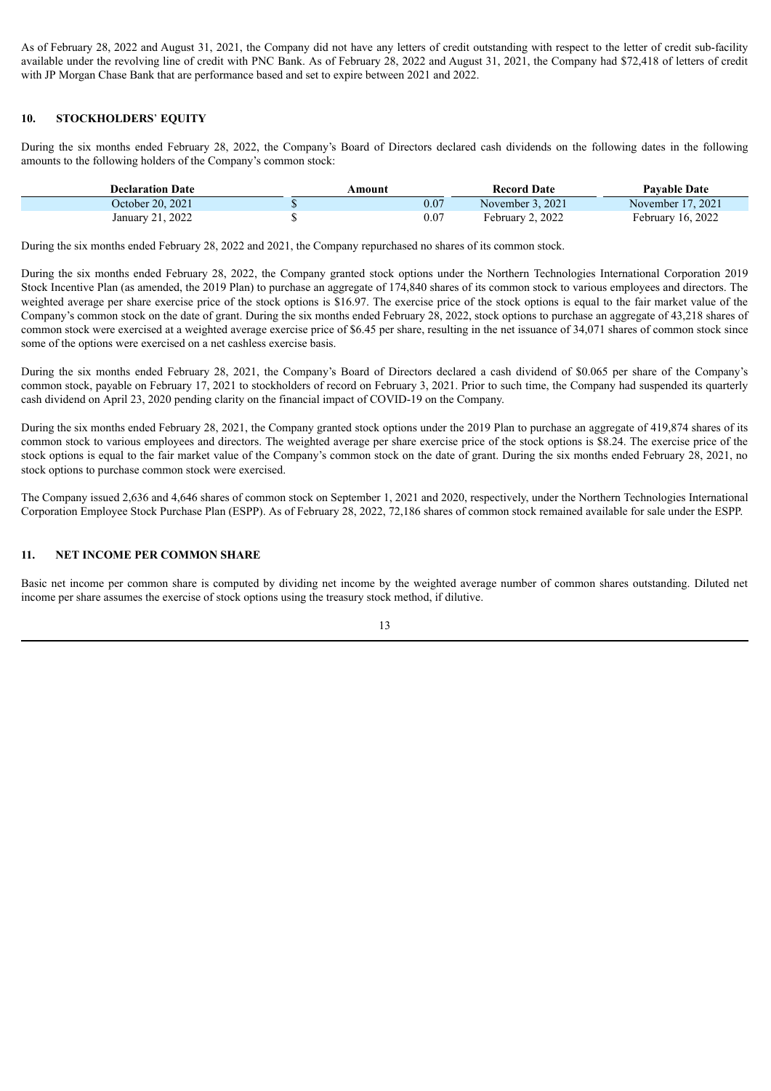As of February 28, 2022 and August 31, 2021, the Company did not have any letters of credit outstanding with respect to the letter of credit sub-facility available under the revolving line of credit with PNC Bank. As of February 28, 2022 and August 31, 2021, the Company had \$72,418 of letters of credit with JP Morgan Chase Bank that are performance based and set to expire between 2021 and 2022.

#### **10. STOCKHOLDERS**' **EQUITY**

During the six months ended February 28, 2022, the Company's Board of Directors declared cash dividends on the following dates in the following amounts to the following holders of the Company's common stock:

| <b>Declaration Date</b> | Amount |          | <b>Record Date</b> | <b>Pavable Date</b> |
|-------------------------|--------|----------|--------------------|---------------------|
| October 20, 2021        |        | $0.07\,$ | November 3, $2021$ | November 17, 2021   |
| January 21, 2022        |        | 0.07     | February $2, 2022$ | February 16, 2022   |

During the six months ended February 28, 2022 and 2021, the Company repurchased no shares of its common stock.

During the six months ended February 28, 2022, the Company granted stock options under the Northern Technologies International Corporation 2019 Stock Incentive Plan (as amended, the 2019 Plan) to purchase an aggregate of 174,840 shares of its common stock to various employees and directors. The weighted average per share exercise price of the stock options is \$16.97. The exercise price of the stock options is equal to the fair market value of the Company's common stock on the date of grant. During the six months ended February 28, 2022, stock options to purchase an aggregate of 43,218 shares of common stock were exercised at a weighted average exercise price of \$6.45 per share, resulting in the net issuance of 34,071 shares of common stock since some of the options were exercised on a net cashless exercise basis.

During the six months ended February 28, 2021, the Company's Board of Directors declared a cash dividend of \$0.065 per share of the Company's common stock, payable on February 17, 2021 to stockholders of record on February 3, 2021. Prior to such time, the Company had suspended its quarterly cash dividend on April 23, 2020 pending clarity on the financial impact of COVID-19 on the Company.

During the six months ended February 28, 2021, the Company granted stock options under the 2019 Plan to purchase an aggregate of 419,874 shares of its common stock to various employees and directors. The weighted average per share exercise price of the stock options is \$8.24. The exercise price of the stock options is equal to the fair market value of the Company's common stock on the date of grant. During the six months ended February 28, 2021, no stock options to purchase common stock were exercised.

The Company issued 2,636 and 4,646 shares of common stock on September 1, 2021 and 2020, respectively, under the Northern Technologies International Corporation Employee Stock Purchase Plan (ESPP). As of February 28, 2022, 72,186 shares of common stock remained available for sale under the ESPP.

#### **11. NET INCOME PER COMMON SHARE**

Basic net income per common share is computed by dividing net income by the weighted average number of common shares outstanding. Diluted net income per share assumes the exercise of stock options using the treasury stock method, if dilutive.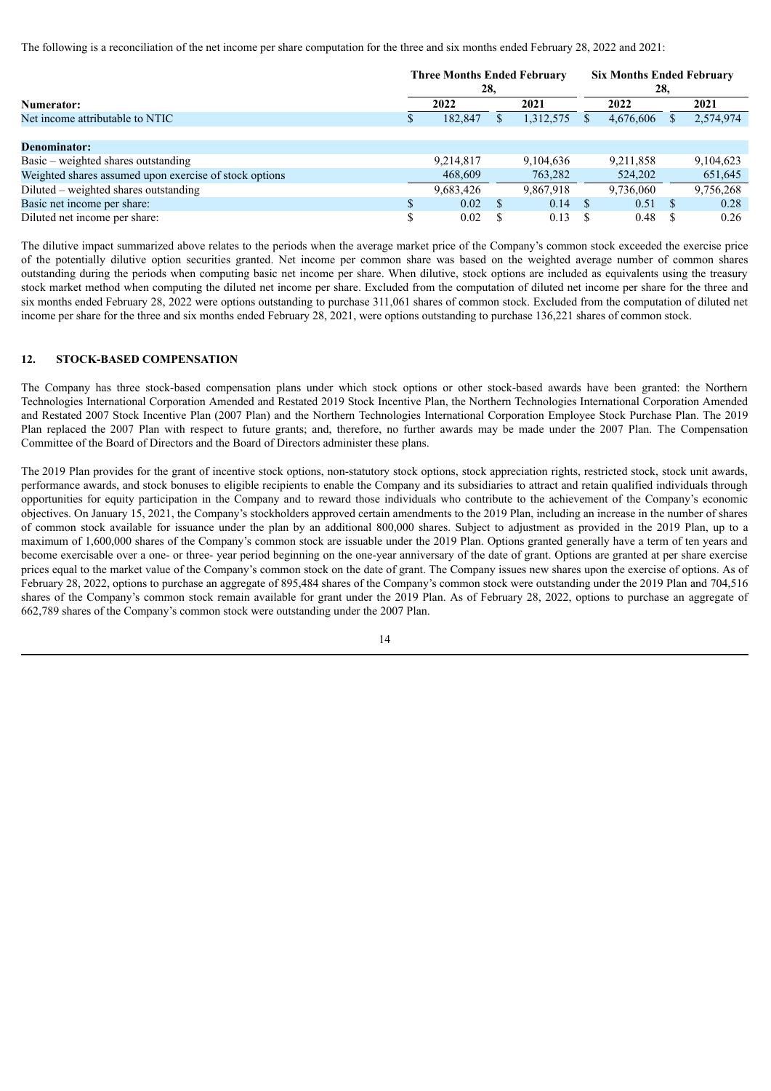The following is a reconciliation of the net income per share computation for the three and six months ended February 28, 2022 and 2021:

|                                                        |    | <b>Three Months Ended February</b> | 28, | <b>Six Months Ended February</b><br>28. |   |           |  |           |
|--------------------------------------------------------|----|------------------------------------|-----|-----------------------------------------|---|-----------|--|-----------|
| Numerator:                                             |    | 2022                               |     | 2021                                    |   | 2022      |  | 2021      |
| Net income attributable to NTIC                        |    | 182,847                            |     | 1,312,575                               |   | 4,676,606 |  | 2,574,974 |
|                                                        |    |                                    |     |                                         |   |           |  |           |
| <b>Denominator:</b>                                    |    |                                    |     |                                         |   |           |  |           |
| Basic – weighted shares outstanding                    |    | 9,214,817                          |     | 9,104,636                               |   | 9,211,858 |  | 9,104,623 |
| Weighted shares assumed upon exercise of stock options |    | 468,609                            |     | 763,282                                 |   | 524,202   |  | 651,645   |
| Diluted – weighted shares outstanding                  |    | 9,683,426                          |     | 9,867,918                               |   | 9,736,060 |  | 9,756,268 |
| Basic net income per share:                            | S  | 0.02                               | S   | 0.14                                    | S | 0.51      |  | 0.28      |
| Diluted net income per share:                          | \$ | 0.02                               |     | 0.13                                    |   | 0.48      |  | 0.26      |

The dilutive impact summarized above relates to the periods when the average market price of the Company's common stock exceeded the exercise price of the potentially dilutive option securities granted. Net income per common share was based on the weighted average number of common shares outstanding during the periods when computing basic net income per share. When dilutive, stock options are included as equivalents using the treasury stock market method when computing the diluted net income per share. Excluded from the computation of diluted net income per share for the three and six months ended February 28, 2022 were options outstanding to purchase 311,061 shares of common stock. Excluded from the computation of diluted net income per share for the three and six months ended February 28, 2021, were options outstanding to purchase 136,221 shares of common stock.

## **12. STOCK-BASED COMPENSATION**

The Company has three stock-based compensation plans under which stock options or other stock-based awards have been granted: the Northern Technologies International Corporation Amended and Restated 2019 Stock Incentive Plan, the Northern Technologies International Corporation Amended and Restated 2007 Stock Incentive Plan (2007 Plan) and the Northern Technologies International Corporation Employee Stock Purchase Plan. The 2019 Plan replaced the 2007 Plan with respect to future grants; and, therefore, no further awards may be made under the 2007 Plan. The Compensation Committee of the Board of Directors and the Board of Directors administer these plans.

The 2019 Plan provides for the grant of incentive stock options, non-statutory stock options, stock appreciation rights, restricted stock, stock unit awards, performance awards, and stock bonuses to eligible recipients to enable the Company and its subsidiaries to attract and retain qualified individuals through opportunities for equity participation in the Company and to reward those individuals who contribute to the achievement of the Company's economic objectives. On January 15, 2021, the Company's stockholders approved certain amendments to the 2019 Plan, including an increase in the number of shares of common stock available for issuance under the plan by an additional 800,000 shares. Subject to adjustment as provided in the 2019 Plan, up to a maximum of 1,600,000 shares of the Company's common stock are issuable under the 2019 Plan. Options granted generally have a term of ten years and become exercisable over a one- or three- year period beginning on the one-year anniversary of the date of grant. Options are granted at per share exercise prices equal to the market value of the Company's common stock on the date of grant. The Company issues new shares upon the exercise of options. As of February 28, 2022, options to purchase an aggregate of 895,484 shares of the Company's common stock were outstanding under the 2019 Plan and 704,516 shares of the Company's common stock remain available for grant under the 2019 Plan. As of February 28, 2022, options to purchase an aggregate of 662,789 shares of the Company's common stock were outstanding under the 2007 Plan.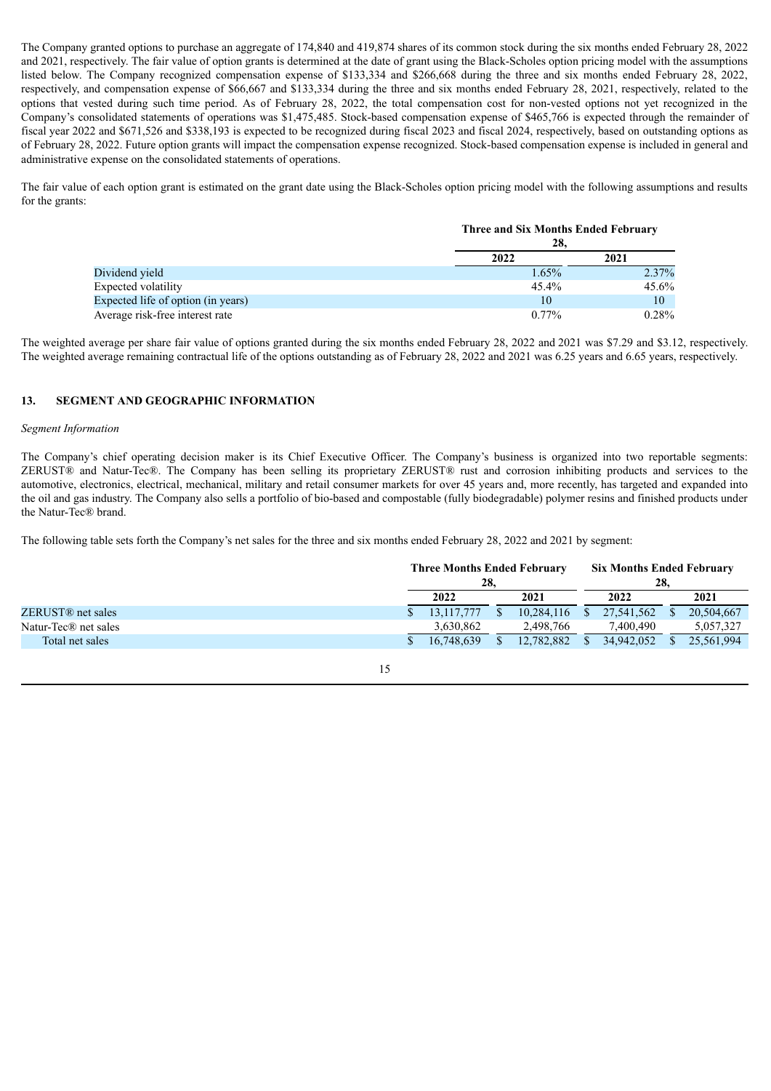The Company granted options to purchase an aggregate of 174,840 and 419,874 shares of its common stock during the six months ended February 28, 2022 and 2021, respectively. The fair value of option grants is determined at the date of grant using the Black-Scholes option pricing model with the assumptions listed below. The Company recognized compensation expense of \$133,334 and \$266,668 during the three and six months ended February 28, 2022, respectively, and compensation expense of \$66,667 and \$133,334 during the three and six months ended February 28, 2021, respectively, related to the options that vested during such time period. As of February 28, 2022, the total compensation cost for non-vested options not yet recognized in the Company's consolidated statements of operations was \$1,475,485. Stock-based compensation expense of \$465,766 is expected through the remainder of fiscal year 2022 and \$671,526 and \$338,193 is expected to be recognized during fiscal 2023 and fiscal 2024, respectively, based on outstanding options as of February 28, 2022. Future option grants will impact the compensation expense recognized. Stock-based compensation expense is included in general and administrative expense on the consolidated statements of operations.

The fair value of each option grant is estimated on the grant date using the Black-Scholes option pricing model with the following assumptions and results for the grants:

|                                    | Three and Six Months Ended February<br>28. |       |
|------------------------------------|--------------------------------------------|-------|
|                                    | 2022                                       | 2021  |
| Dividend yield                     | 1.65%                                      | 2.37% |
| Expected volatility                | 45.4%                                      | 45.6% |
| Expected life of option (in years) | 10                                         | 10    |
| Average risk-free interest rate    | $0.77\%$                                   | 0.28% |

The weighted average per share fair value of options granted during the six months ended February 28, 2022 and 2021 was \$7.29 and \$3.12, respectively. The weighted average remaining contractual life of the options outstanding as of February 28, 2022 and 2021 was 6.25 years and 6.65 years, respectively.

#### **13. SEGMENT AND GEOGRAPHIC INFORMATION**

#### *Segment Information*

The Company's chief operating decision maker is its Chief Executive Officer. The Company's business is organized into two reportable segments: ZERUST® and Natur-Tec®. The Company has been selling its proprietary ZERUST® rust and corrosion inhibiting products and services to the automotive, electronics, electrical, mechanical, military and retail consumer markets for over 45 years and, more recently, has targeted and expanded into the oil and gas industry. The Company also sells a portfolio of bio-based and compostable (fully biodegradable) polymer resins and finished products under the Natur-Tec® brand.

The following table sets forth the Company's net sales for the three and six months ended February 28, 2022 and 2021 by segment:

|                                  | <b>Three Months Ended February</b><br>28, |  | <b>Six Months Ended February</b><br>28. |            |            |
|----------------------------------|-------------------------------------------|--|-----------------------------------------|------------|------------|
|                                  | 2022                                      |  | 2021                                    | 2022       | 2021       |
| ZERUST® net sales                | 13, 117, 777                              |  | 10,284,116                              | 27,541,562 | 20,504,667 |
| Natur-Tec <sup>®</sup> net sales | 3,630,862                                 |  | 2,498,766                               | 7.400.490  | 5,057,327  |
| Total net sales                  | 16,748,639                                |  | 12.782.882                              | 34.942.052 | 25,561,994 |
|                                  |                                           |  |                                         |            |            |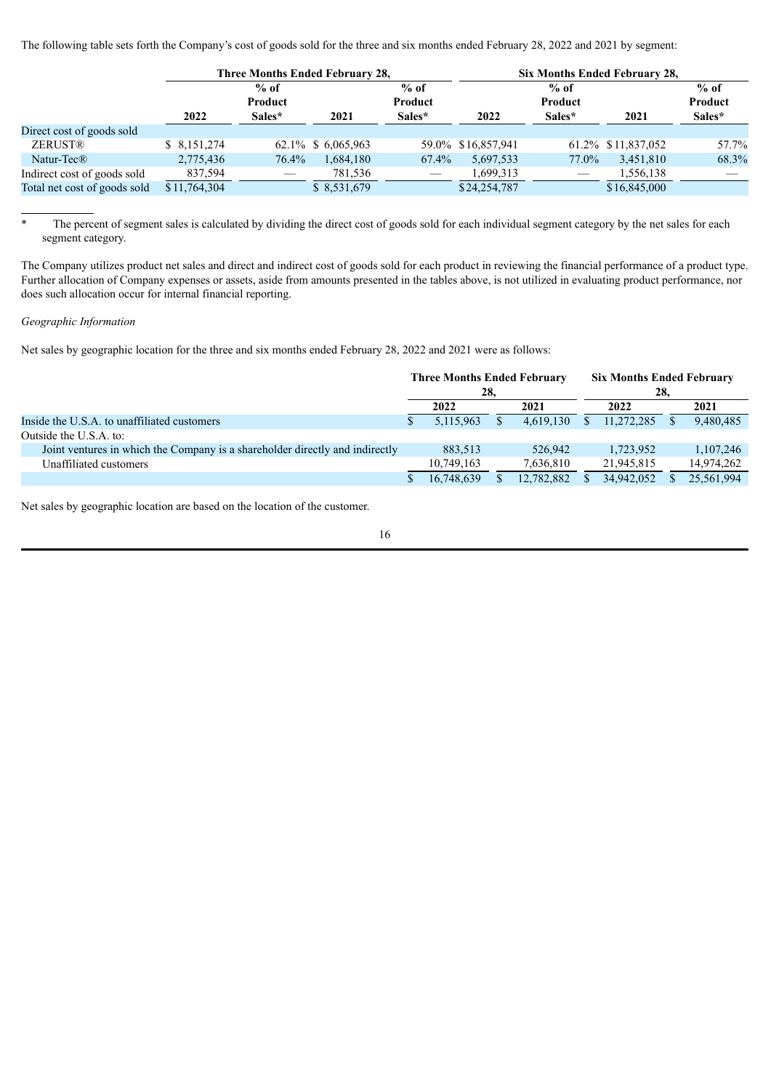The following table sets forth the Company's cost of goods sold for the three and six months ended February 28, 2022 and 2021 by segment:

|                              |              | Three Months Ended February 28, |                    |                             | Six Months Ended February 28, |                             |                    |                             |
|------------------------------|--------------|---------------------------------|--------------------|-----------------------------|-------------------------------|-----------------------------|--------------------|-----------------------------|
|                              | 2022         | $%$ of<br>Product<br>Sales*     | 2021               | $%$ of<br>Product<br>Sales* | 2022                          | $%$ of<br>Product<br>Sales* | 2021               | $%$ of<br>Product<br>Sales* |
| Direct cost of goods sold    |              |                                 |                    |                             |                               |                             |                    |                             |
| ZERUST®                      | \$8,151,274  |                                 | 62.1% \$ 6,065,963 |                             | 59.0% \$16,857,941            |                             | 61.2% \$11,837,052 | 57.7%                       |
| Natur-Tec $\mathbb R$        | 2,775,436    | $76.4\%$                        | 1,684,180          | 67.4%                       | 5,697,533                     | 77.0%                       | 3,451,810          | 68.3%                       |
| Indirect cost of goods sold  | 837,594      |                                 | 781,536            |                             | .699.313                      |                             | 1,556,138          |                             |
| Total net cost of goods sold | \$11,764,304 |                                 | \$ 8,531,679       |                             | \$24,254,787                  |                             | \$16,845,000       |                             |

\* The percent of segment sales is calculated by dividing the direct cost of goods sold for each individual segment category by the net sales for each segment category.

The Company utilizes product net sales and direct and indirect cost of goods sold for each product in reviewing the financial performance of a product type. Further allocation of Company expenses or assets, aside from amounts presented in the tables above, is not utilized in evaluating product performance, nor does such allocation occur for internal financial reporting.

#### *Geographic Information*

Net sales by geographic location for the three and six months ended February 28, 2022 and 2021 were as follows:

|                                                                              | <b>Three Months Ended February</b><br>28, |            |  |            | <b>Six Months Ended February</b><br>28. |  |            |
|------------------------------------------------------------------------------|-------------------------------------------|------------|--|------------|-----------------------------------------|--|------------|
|                                                                              |                                           | 2022       |  | 2021       | 2022                                    |  | 2021       |
| Inside the U.S.A. to unaffiliated customers                                  |                                           | 5,115,963  |  | 4.619.130  | 11.272.285                              |  | 9,480,485  |
| Outside the U.S.A. to:                                                       |                                           |            |  |            |                                         |  |            |
| Joint ventures in which the Company is a shareholder directly and indirectly |                                           | 883,513    |  | 526.942    | 1.723.952                               |  | 1,107,246  |
| Unaffiliated customers                                                       |                                           | 10,749,163 |  | 7.636.810  | 21,945,815                              |  | 14,974,262 |
|                                                                              |                                           | 16,748,639 |  | 12.782.882 | 34,942,052                              |  | 25,561,994 |

Net sales by geographic location are based on the location of the customer.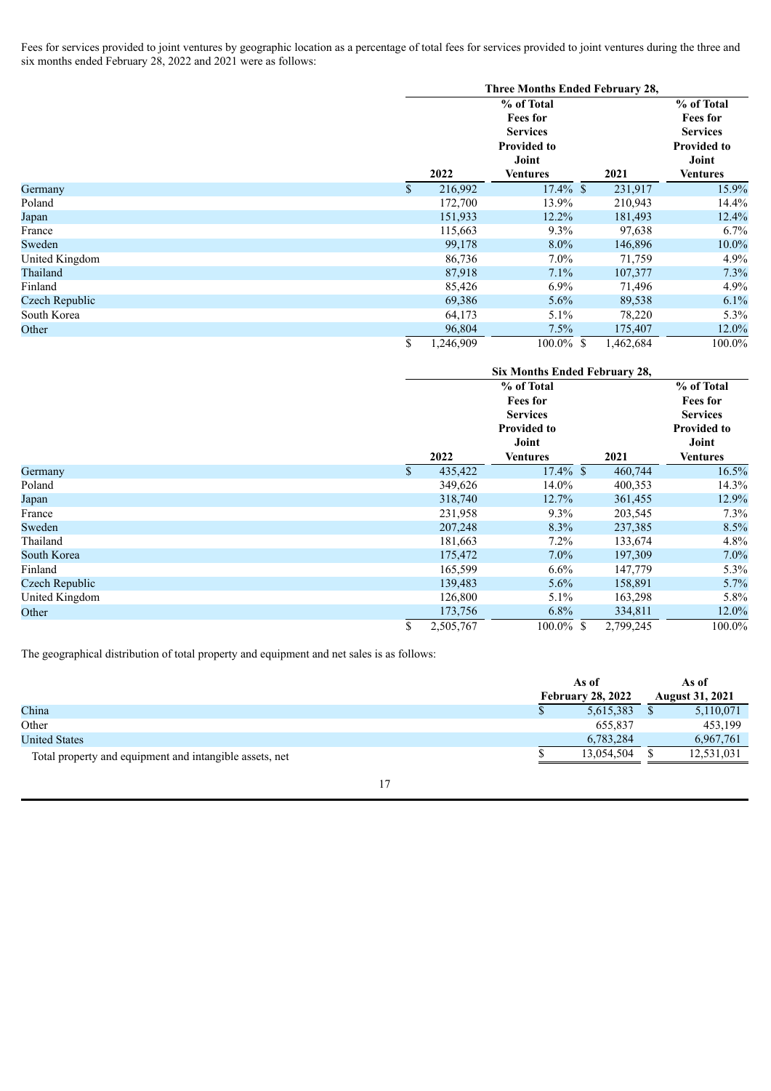Fees for services provided to joint ventures by geographic location as a percentage of total fees for services provided to joint ventures during the three and six months ended February 28, 2022 and 2021 were as follows:

|                |                 | Three Months Ended February 28, |           |                    |  |  |  |
|----------------|-----------------|---------------------------------|-----------|--------------------|--|--|--|
|                |                 | % of Total                      |           |                    |  |  |  |
|                |                 | <b>Fees for</b>                 |           | <b>Fees for</b>    |  |  |  |
|                |                 | <b>Services</b>                 |           | <b>Services</b>    |  |  |  |
|                |                 | <b>Provided to</b>              |           | <b>Provided to</b> |  |  |  |
|                |                 | Joint                           |           | Joint              |  |  |  |
|                | 2022            | <b>Ventures</b>                 | 2021      | <b>Ventures</b>    |  |  |  |
| Germany        | \$<br>216,992   | $17.4\%$ \$                     | 231,917   | 15.9%              |  |  |  |
| Poland         | 172,700         | 13.9%                           | 210,943   | 14.4%              |  |  |  |
| Japan          | 151,933         | 12.2%                           | 181,493   | 12.4%              |  |  |  |
| France         | 115,663         | 9.3%                            | 97,638    | $6.7\%$            |  |  |  |
| Sweden         | 99,178          | $8.0\%$                         | 146,896   | 10.0%              |  |  |  |
| United Kingdom | 86,736          | $7.0\%$                         | 71,759    | 4.9%               |  |  |  |
| Thailand       | 87,918          | 7.1%                            | 107,377   | 7.3%               |  |  |  |
| Finland        | 85,426          | $6.9\%$                         | 71,496    | $4.9\%$            |  |  |  |
| Czech Republic | 69,386          | 5.6%                            | 89,538    | 6.1%               |  |  |  |
| South Korea    | 64,173          | 5.1%                            | 78,220    | $5.3\%$            |  |  |  |
| Other          | 96,804          | 7.5%                            | 175,407   | 12.0%              |  |  |  |
|                | \$<br>1,246,909 | $100.0\%$ \$                    | 1,462,684 | 100.0%             |  |  |  |

|                |    | % of Total<br><b>Fees for</b><br><b>Services</b><br><b>Provided to</b><br>Joint<br>2022<br>2021<br><b>Ventures</b> |             |           | % of Total<br><b>Fees for</b><br><b>Services</b><br><b>Provided to</b><br>Joint<br><b>Ventures</b> |  |  |
|----------------|----|--------------------------------------------------------------------------------------------------------------------|-------------|-----------|----------------------------------------------------------------------------------------------------|--|--|
| Germany        | \$ | 435,422                                                                                                            | $17.4\%$ \$ | 460,744   | 16.5%                                                                                              |  |  |
| Poland         |    | 349,626                                                                                                            | 14.0%       | 400,353   | 14.3%                                                                                              |  |  |
| Japan          |    | 318,740                                                                                                            | 12.7%       | 361,455   | 12.9%                                                                                              |  |  |
| France         |    | 231,958                                                                                                            | 9.3%        | 203,545   | $7.3\%$                                                                                            |  |  |
| Sweden         |    | 207,248                                                                                                            | 8.3%        | 237,385   | 8.5%                                                                                               |  |  |
| Thailand       |    | 181,663                                                                                                            | $7.2\%$     | 133,674   | $4.8\%$                                                                                            |  |  |
| South Korea    |    | 175,472                                                                                                            | $7.0\%$     | 197,309   | 7.0%                                                                                               |  |  |
| Finland        |    | 165,599                                                                                                            | 6.6%        | 147,779   | 5.3%                                                                                               |  |  |
| Czech Republic |    | 139,483                                                                                                            | 5.6%        | 158,891   | 5.7%                                                                                               |  |  |
| United Kingdom |    | 126,800                                                                                                            | $5.1\%$     | 163,298   | 5.8%                                                                                               |  |  |
| Other          |    | 173,756                                                                                                            | 6.8%        | 334,811   | 12.0%                                                                                              |  |  |
|                | \$ | 2,505,767                                                                                                          | 100.0% \$   | 2,799,245 | 100.0%                                                                                             |  |  |

The geographical distribution of total property and equipment and net sales is as follows:

|                                                         |   | As of<br><b>February 28, 2022</b> | As of<br><b>August 31, 2021</b> |
|---------------------------------------------------------|---|-----------------------------------|---------------------------------|
| China                                                   | Ъ | 5,615,383                         | 5,110,071                       |
| Other                                                   |   | 655.837                           | 453,199                         |
| <b>United States</b>                                    |   | 6,783,284                         | 6,967,761                       |
| Total property and equipment and intangible assets, net |   | 13.054.504                        | 12,531,031                      |
|                                                         |   |                                   |                                 |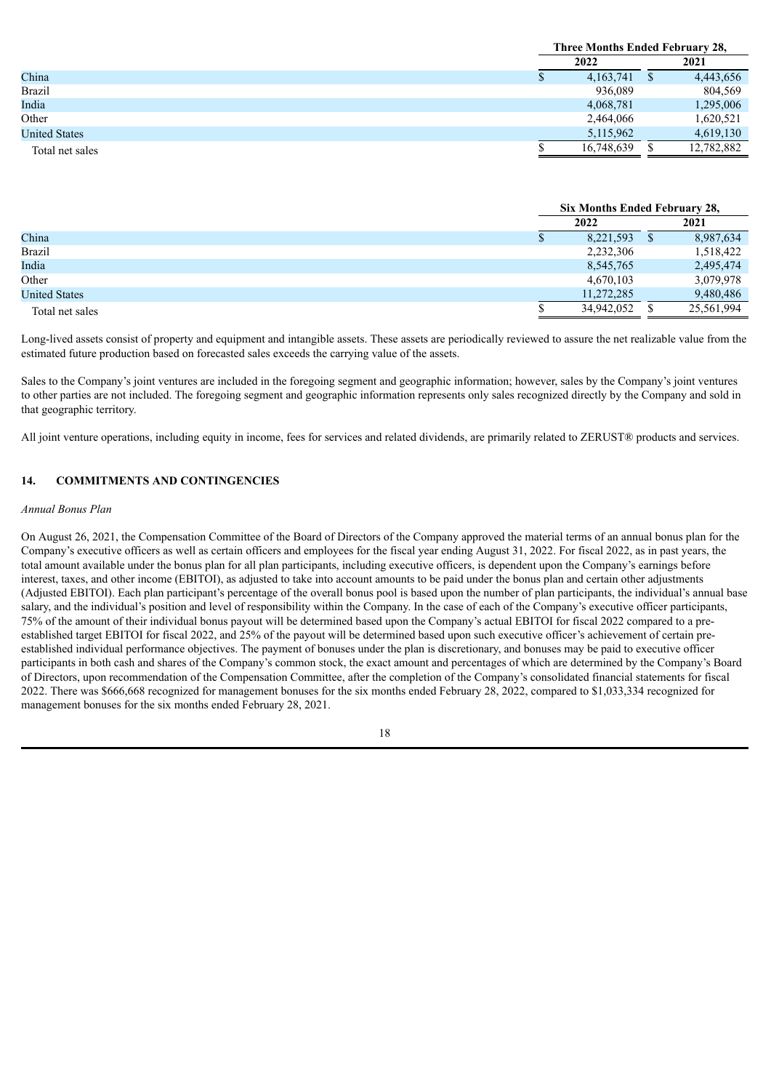|                      | Three Months Ended February 28, |  |            |  |  |  |  |
|----------------------|---------------------------------|--|------------|--|--|--|--|
|                      | 2022                            |  | 2021       |  |  |  |  |
| China                | 4, 163, 741                     |  | 4,443,656  |  |  |  |  |
| <b>Brazil</b>        | 936,089                         |  | 804,569    |  |  |  |  |
| India                | 4,068,781                       |  | 1,295,006  |  |  |  |  |
| Other                | 2,464,066                       |  | 1,620,521  |  |  |  |  |
| <b>United States</b> | 5,115,962                       |  | 4,619,130  |  |  |  |  |
| Total net sales      | 16,748,639                      |  | 12,782,882 |  |  |  |  |

|                      | Six Months Ended February 28, |  |            |  |  |  |
|----------------------|-------------------------------|--|------------|--|--|--|
|                      | 2022                          |  | 2021       |  |  |  |
| China                | 8,221,593                     |  | 8,987,634  |  |  |  |
| Brazil               | 2,232,306                     |  | 1,518,422  |  |  |  |
| India                | 8,545,765                     |  | 2,495,474  |  |  |  |
| Other                | 4,670,103                     |  | 3,079,978  |  |  |  |
| <b>United States</b> | 11,272,285                    |  | 9,480,486  |  |  |  |
| Total net sales      | 34,942,052                    |  | 25,561,994 |  |  |  |

Long-lived assets consist of property and equipment and intangible assets. These assets are periodically reviewed to assure the net realizable value from the estimated future production based on forecasted sales exceeds the carrying value of the assets.

Sales to the Company's joint ventures are included in the foregoing segment and geographic information; however, sales by the Company's joint ventures to other parties are not included. The foregoing segment and geographic information represents only sales recognized directly by the Company and sold in that geographic territory.

All joint venture operations, including equity in income, fees for services and related dividends, are primarily related to ZERUST® products and services.

## **14. COMMITMENTS AND CONTINGENCIES**

#### *Annual Bonus Plan*

On August 26, 2021, the Compensation Committee of the Board of Directors of the Company approved the material terms of an annual bonus plan for the Company's executive officers as well as certain officers and employees for the fiscal year ending August 31, 2022. For fiscal 2022, as in past years, the total amount available under the bonus plan for all plan participants, including executive officers, is dependent upon the Company's earnings before interest, taxes, and other income (EBITOI), as adjusted to take into account amounts to be paid under the bonus plan and certain other adjustments (Adjusted EBITOI). Each plan participant's percentage of the overall bonus pool is based upon the number of plan participants, the individual's annual base salary, and the individual's position and level of responsibility within the Company. In the case of each of the Company's executive officer participants, 75% of the amount of their individual bonus payout will be determined based upon the Company's actual EBITOI for fiscal 2022 compared to a preestablished target EBITOI for fiscal 2022, and 25% of the payout will be determined based upon such executive officer's achievement of certain preestablished individual performance objectives. The payment of bonuses under the plan is discretionary, and bonuses may be paid to executive officer participants in both cash and shares of the Company's common stock, the exact amount and percentages of which are determined by the Company's Board of Directors, upon recommendation of the Compensation Committee, after the completion of the Company's consolidated financial statements for fiscal 2022. There was \$666,668 recognized for management bonuses for the six months ended February 28, 2022, compared to \$1,033,334 recognized for management bonuses for the six months ended February 28, 2021.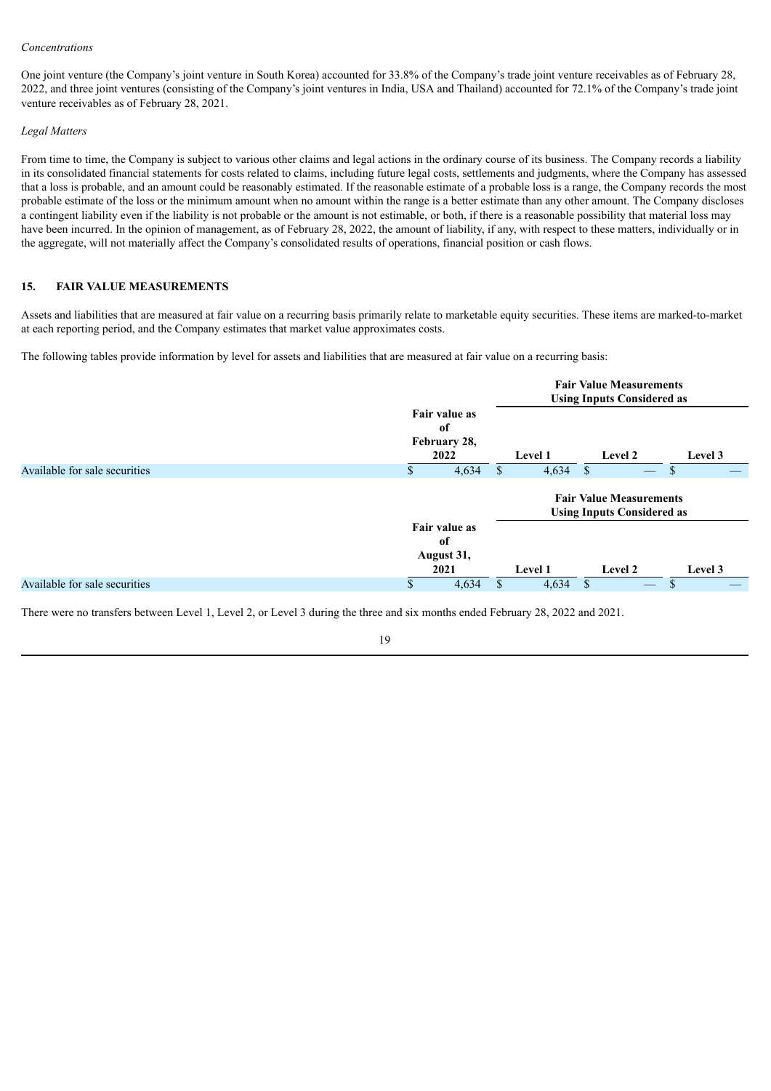#### *Concentrations*

One joint venture (the Company's joint venture in South Korea) accounted for 33.8% of the Company's trade joint venture receivables as of February 28, 2022, and three joint ventures (consisting of the Company's joint ventures in India, USA and Thailand) accounted for 72.1% of the Company's trade joint venture receivables as of February 28, 2021.

#### *Legal Matters*

From time to time, the Company is subject to various other claims and legal actions in the ordinary course of its business. The Company records a liability in its consolidated financial statements for costs related to claims, including future legal costs, settlements and judgments, where the Company has assessed that a loss is probable, and an amount could be reasonably estimated. If the reasonable estimate of a probable loss is a range, the Company records the most probable estimate of the loss or the minimum amount when no amount within the range is a better estimate than any other amount. The Company discloses a contingent liability even if the liability is not probable or the amount is not estimable, or both, if there is a reasonable possibility that material loss may have been incurred. In the opinion of management, as of February 28, 2022, the amount of liability, if any, with respect to these matters, individually or in the aggregate, will not materially affect the Company's consolidated results of operations, financial position or cash flows.

#### **15. FAIR VALUE MEASUREMENTS**

Assets and liabilities that are measured at fair value on a recurring basis primarily relate to marketable equity securities. These items are marked-to-market at each reporting period, and the Company estimates that market value approximates costs.

The following tables provide information by level for assets and liabilities that are measured at fair value on a recurring basis:

|                               |                                           |                                       | <b>Fair Value Measurements</b><br><b>Using Inputs Considered as</b> |            |                                                                     |                           |  |         |
|-------------------------------|-------------------------------------------|---------------------------------------|---------------------------------------------------------------------|------------|---------------------------------------------------------------------|---------------------------|--|---------|
|                               | of                                        | Fair value as<br>February 28,<br>2022 |                                                                     |            |                                                                     | Level 2<br><b>Level 1</b> |  | Level 3 |
| Available for sale securities | \$                                        | 4,634                                 |                                                                     | $4,634$ \$ |                                                                     | $\mathbf{s}$              |  |         |
|                               |                                           |                                       |                                                                     |            | <b>Fair Value Measurements</b><br><b>Using Inputs Considered as</b> |                           |  |         |
|                               | Fair value as<br>of<br>August 31,<br>2021 |                                       |                                                                     | Level 1    | Level 2                                                             | Level 3                   |  |         |
| Available for sale securities | S.                                        | 4,634                                 |                                                                     | $4,634$ \$ | $\overline{\phantom{0}}$                                            |                           |  |         |

There were no transfers between Level 1, Level 2, or Level 3 during the three and six months ended February 28, 2022 and 2021.

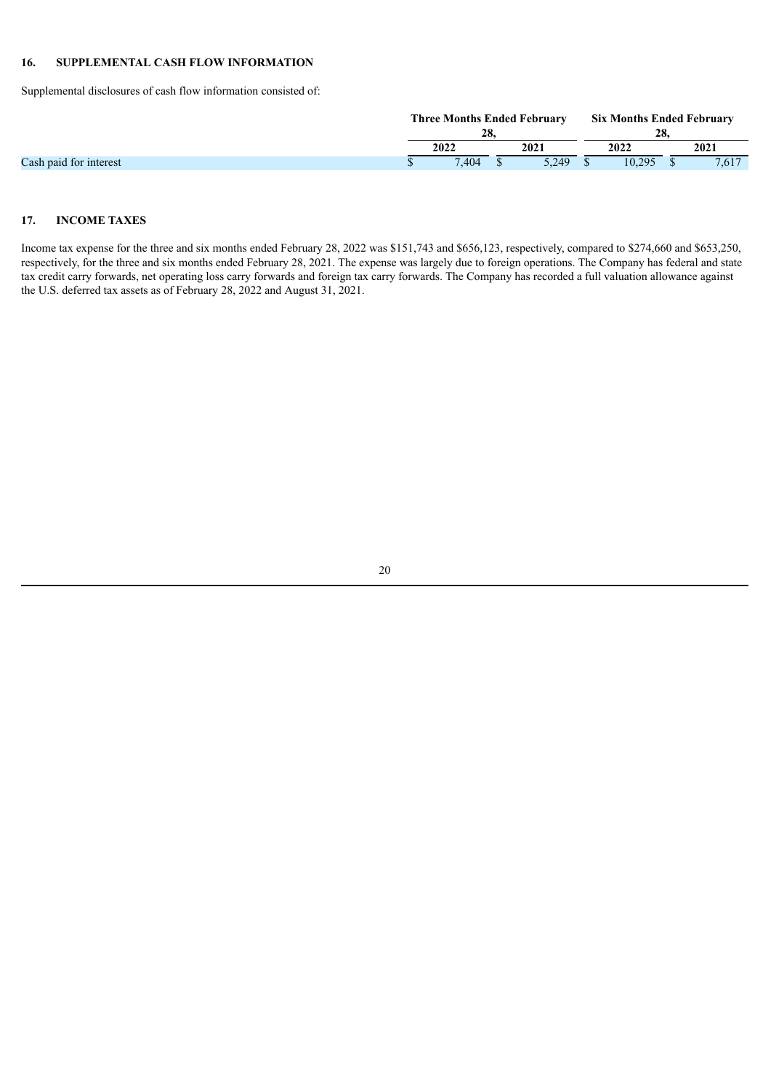#### **16. SUPPLEMENTAL CASH FLOW INFORMATION**

Supplemental disclosures of cash flow information consisted of:

|                        | <b>Three Months Ended February</b><br>28. |       |  |       | <b>Six Months Ended February</b> |        |  |       |
|------------------------|-------------------------------------------|-------|--|-------|----------------------------------|--------|--|-------|
|                        |                                           |       |  | 28.   |                                  |        |  |       |
|                        |                                           | 2022  |  | 2021  |                                  | 2022   |  | 2021  |
| Cash paid for interest |                                           | 7.404 |  | 5.249 |                                  | 10.295 |  | 7,617 |

## **17. INCOME TAXES**

Income tax expense for the three and six months ended February 28, 2022 was \$151,743 and \$656,123, respectively, compared to \$274,660 and \$653,250, respectively, for the three and six months ended February 28, 2021. The expense was largely due to foreign operations. The Company has federal and state tax credit carry forwards, net operating loss carry forwards and foreign tax carry forwards. The Company has recorded a full valuation allowance against the U.S. deferred tax assets as of February 28, 2022 and August 31, 2021.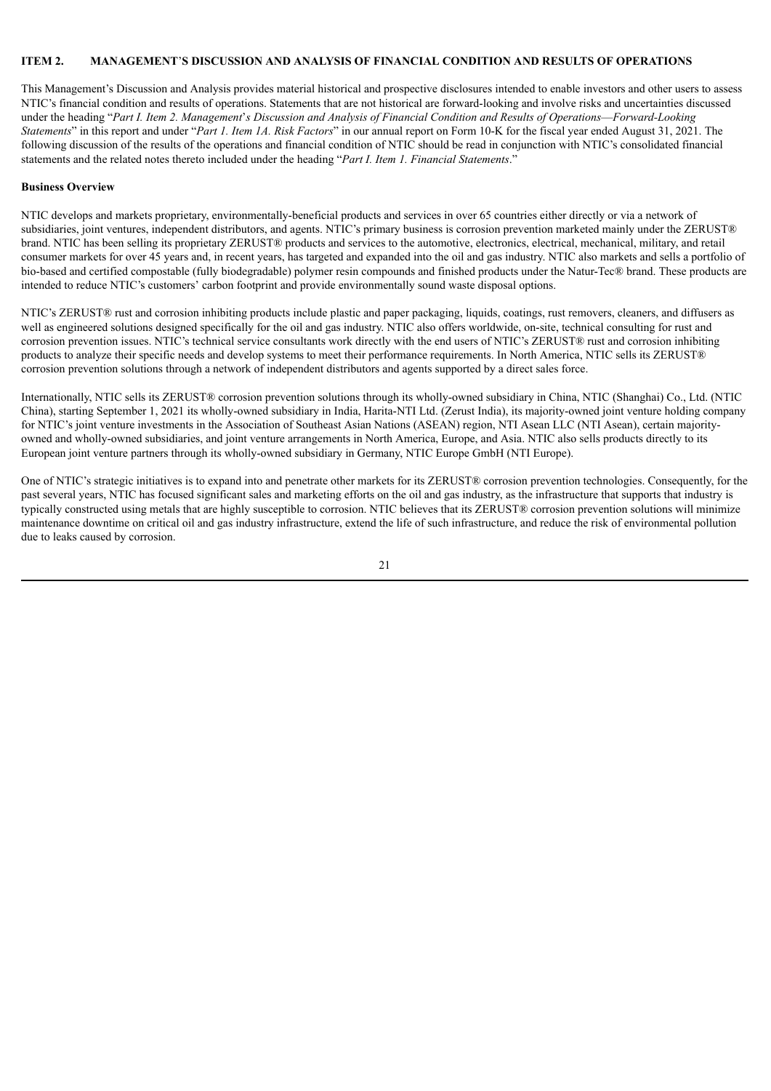#### <span id="page-23-0"></span>**ITEM 2. MANAGEMENT**'**S DISCUSSION AND ANALYSIS OF FINANCIAL CONDITION AND RESULTS OF OPERATIONS**

This Management's Discussion and Analysis provides material historical and prospective disclosures intended to enable investors and other users to assess NTIC's financial condition and results of operations. Statements that are not historical are forward-looking and involve risks and uncertainties discussed under the heading "Part I. Item 2. Management's Discussion and Analysis of Financial Condition and Results of Operations—Forward-Looking *Statements*" in this report and under "*Part 1. Item 1A. Risk Factors*" in our annual report on Form 10-K for the fiscal year ended August 31, 2021. The following discussion of the results of the operations and financial condition of NTIC should be read in conjunction with NTIC's consolidated financial statements and the related notes thereto included under the heading "*Part I. Item 1. Financial Statements*."

#### **Business Overview**

NTIC develops and markets proprietary, environmentally-beneficial products and services in over 65 countries either directly or via a network of subsidiaries, joint ventures, independent distributors, and agents. NTIC's primary business is corrosion prevention marketed mainly under the ZERUST® brand. NTIC has been selling its proprietary ZERUST® products and services to the automotive, electronics, electrical, mechanical, military, and retail consumer markets for over 45 years and, in recent years, has targeted and expanded into the oil and gas industry. NTIC also markets and sells a portfolio of bio-based and certified compostable (fully biodegradable) polymer resin compounds and finished products under the Natur-Tec® brand. These products are intended to reduce NTIC's customers' carbon footprint and provide environmentally sound waste disposal options.

NTIC's ZERUST® rust and corrosion inhibiting products include plastic and paper packaging, liquids, coatings, rust removers, cleaners, and diffusers as well as engineered solutions designed specifically for the oil and gas industry. NTIC also offers worldwide, on-site, technical consulting for rust and corrosion prevention issues. NTIC's technical service consultants work directly with the end users of NTIC's ZERUST® rust and corrosion inhibiting products to analyze their specific needs and develop systems to meet their performance requirements. In North America, NTIC sells its ZERUST® corrosion prevention solutions through a network of independent distributors and agents supported by a direct sales force.

Internationally, NTIC sells its ZERUST® corrosion prevention solutions through its wholly-owned subsidiary in China, NTIC (Shanghai) Co., Ltd. (NTIC China), starting September 1, 2021 its wholly-owned subsidiary in India, Harita-NTI Ltd. (Zerust India), its majority-owned joint venture holding company for NTIC's joint venture investments in the Association of Southeast Asian Nations (ASEAN) region, NTI Asean LLC (NTI Asean), certain majorityowned and wholly-owned subsidiaries, and joint venture arrangements in North America, Europe, and Asia. NTIC also sells products directly to its European joint venture partners through its wholly-owned subsidiary in Germany, NTIC Europe GmbH (NTI Europe).

One of NTIC's strategic initiatives is to expand into and penetrate other markets for its ZERUST® corrosion prevention technologies. Consequently, for the past several years, NTIC has focused significant sales and marketing efforts on the oil and gas industry, as the infrastructure that supports that industry is typically constructed using metals that are highly susceptible to corrosion. NTIC believes that its ZERUST® corrosion prevention solutions will minimize maintenance downtime on critical oil and gas industry infrastructure, extend the life of such infrastructure, and reduce the risk of environmental pollution due to leaks caused by corrosion.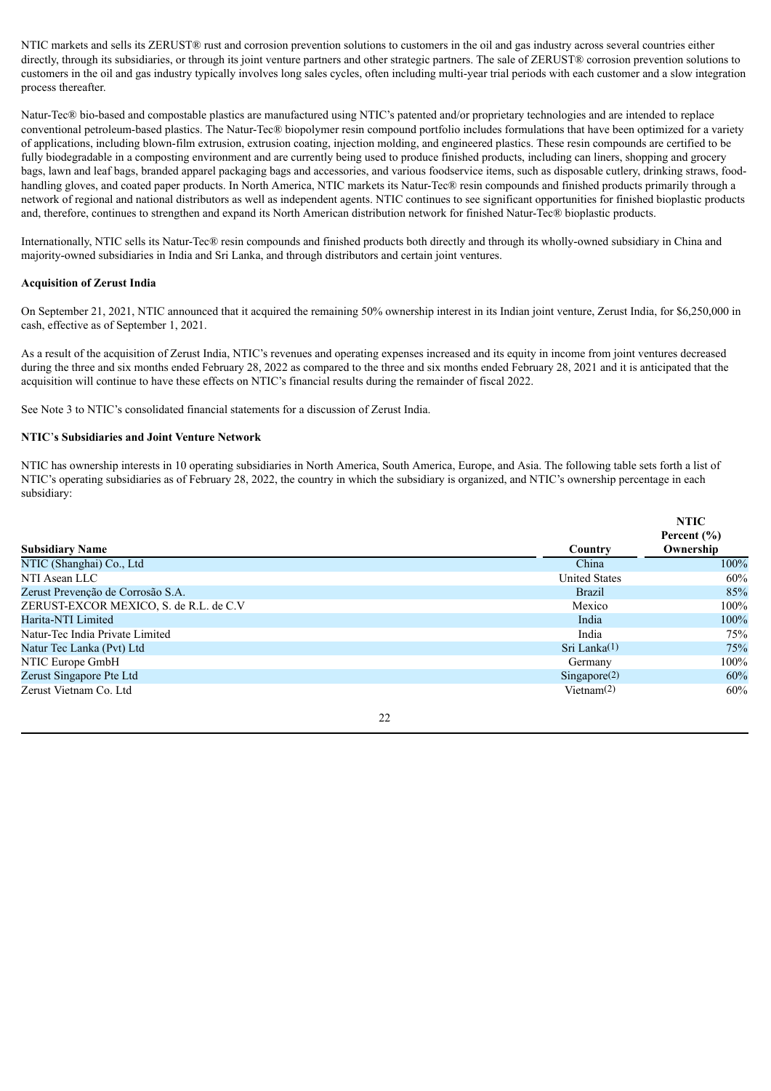NTIC markets and sells its ZERUST® rust and corrosion prevention solutions to customers in the oil and gas industry across several countries either directly, through its subsidiaries, or through its joint venture partners and other strategic partners. The sale of ZERUST® corrosion prevention solutions to customers in the oil and gas industry typically involves long sales cycles, often including multi-year trial periods with each customer and a slow integration process thereafter.

Natur-Tec® bio-based and compostable plastics are manufactured using NTIC's patented and/or proprietary technologies and are intended to replace conventional petroleum-based plastics. The Natur-Tec® biopolymer resin compound portfolio includes formulations that have been optimized for a variety of applications, including blown-film extrusion, extrusion coating, injection molding, and engineered plastics. These resin compounds are certified to be fully biodegradable in a composting environment and are currently being used to produce finished products, including can liners, shopping and grocery bags, lawn and leaf bags, branded apparel packaging bags and accessories, and various foodservice items, such as disposable cutlery, drinking straws, foodhandling gloves, and coated paper products. In North America, NTIC markets its Natur-Tec® resin compounds and finished products primarily through a network of regional and national distributors as well as independent agents. NTIC continues to see significant opportunities for finished bioplastic products and, therefore, continues to strengthen and expand its North American distribution network for finished Natur-Tec® bioplastic products.

Internationally, NTIC sells its Natur-Tec® resin compounds and finished products both directly and through its wholly-owned subsidiary in China and majority-owned subsidiaries in India and Sri Lanka, and through distributors and certain joint ventures.

## **Acquisition of Zerust India**

On September 21, 2021, NTIC announced that it acquired the remaining 50% ownership interest in its Indian joint venture, Zerust India, for \$6,250,000 in cash, effective as of September 1, 2021.

As a result of the acquisition of Zerust India, NTIC's revenues and operating expenses increased and its equity in income from joint ventures decreased during the three and six months ended February 28, 2022 as compared to the three and six months ended February 28, 2021 and it is anticipated that the acquisition will continue to have these effects on NTIC's financial results during the remainder of fiscal 2022.

See Note 3 to NTIC's consolidated financial statements for a discussion of Zerust India.

#### **NTIC**'**s Subsidiaries and Joint Venture Network**

NTIC has ownership interests in 10 operating subsidiaries in North America, South America, Europe, and Asia. The following table sets forth a list of NTIC's operating subsidiaries as of February 28, 2022, the country in which the subsidiary is organized, and NTIC's ownership percentage in each subsidiary:

|                                        |                          | <b>NTIC</b>     |
|----------------------------------------|--------------------------|-----------------|
|                                        |                          | Percent $(\% )$ |
| <b>Subsidiary Name</b>                 | Country                  | Ownership       |
| NTIC (Shanghai) Co., Ltd               | China                    | 100%            |
| NTI Asean LLC                          | <b>United States</b>     | 60%             |
| Zerust Prevenção de Corrosão S.A.      | <b>Brazil</b>            | 85%             |
| ZERUST-EXCOR MEXICO, S. de R.L. de C.V | Mexico                   | $100\%$         |
| Harita-NTI Limited                     | India                    | 100%            |
| Natur-Tec India Private Limited        | India                    | 75%             |
| Natur Tec Lanka (Pvt) Ltd              | $Sri$ Lanka $(1)$        | 75%             |
| NTIC Europe GmbH                       | Germany                  | $100\%$         |
| Zerust Singapore Pte Ltd               | Singapore <sup>(2)</sup> | 60%             |
| Zerust Vietnam Co. Ltd.                | Vietnam(2)               | 60%             |

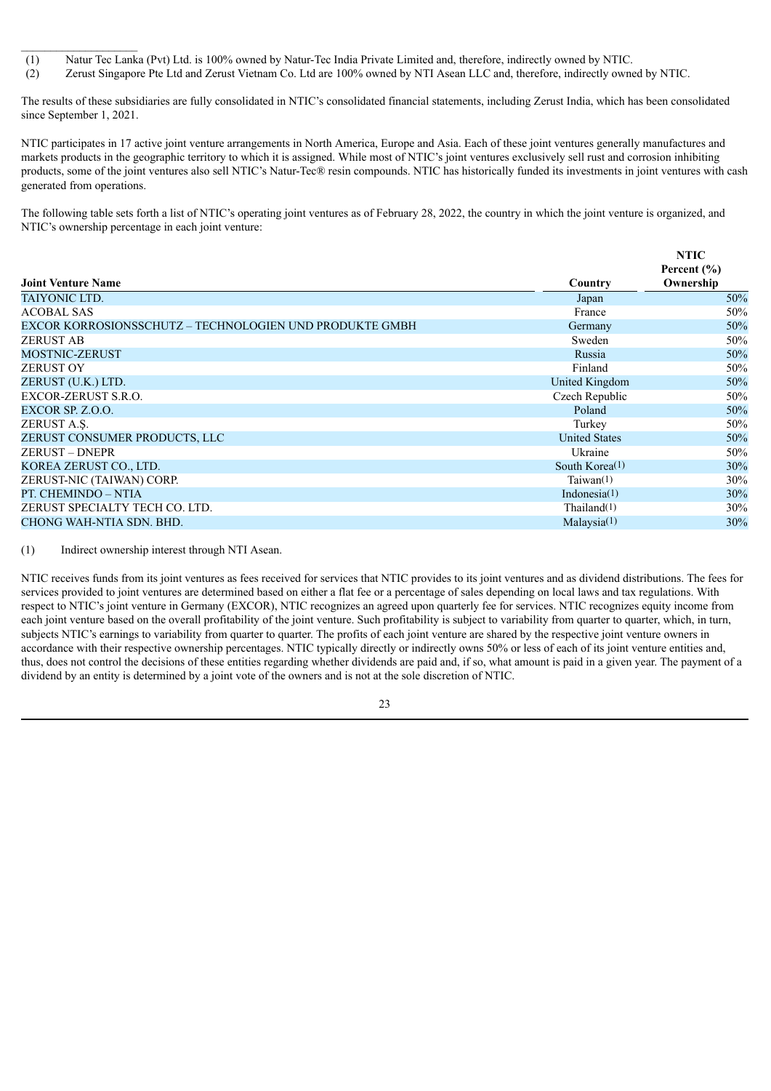- (1) Natur Tec Lanka (Pvt) Ltd. is 100% owned by Natur-Tec India Private Limited and, therefore, indirectly owned by NTIC.
- (2) Zerust Singapore Pte Ltd and Zerust Vietnam Co. Ltd are 100% owned by NTI Asean LLC and, therefore, indirectly owned by NTIC.

The results of these subsidiaries are fully consolidated in NTIC's consolidated financial statements, including Zerust India, which has been consolidated since September 1, 2021.

NTIC participates in 17 active joint venture arrangements in North America, Europe and Asia. Each of these joint ventures generally manufactures and markets products in the geographic territory to which it is assigned. While most of NTIC's joint ventures exclusively sell rust and corrosion inhibiting products, some of the joint ventures also sell NTIC's Natur-Tec® resin compounds. NTIC has historically funded its investments in joint ventures with cash generated from operations.

The following table sets forth a list of NTIC's operating joint ventures as of February 28, 2022, the country in which the joint venture is organized, and NTIC's ownership percentage in each joint venture:

|                                                         |                      | <b>NTIC</b>     |
|---------------------------------------------------------|----------------------|-----------------|
|                                                         |                      | Percent $(\% )$ |
| <b>Joint Venture Name</b>                               | Country              | Ownership       |
| <b>TAIYONIC LTD.</b>                                    | Japan                | 50%             |
| <b>ACOBAL SAS</b>                                       | France               | 50%             |
| EXCOR KORROSIONSSCHUTZ – TECHNOLOGIEN UND PRODUKTE GMBH | Germany              | 50%             |
| <b>ZERUST AB</b>                                        | Sweden               | 50%             |
| <b>MOSTNIC-ZERUST</b>                                   | Russia               | 50%             |
| <b>ZERUST OY</b>                                        | Finland              | 50%             |
| ZERUST (U.K.) LTD.                                      | United Kingdom       | 50%             |
| EXCOR-ZERUST S.R.O.                                     | Czech Republic       | 50%             |
| EXCOR SP. Z.O.O.                                        | Poland               | 50%             |
| ZERUST A.S.                                             | Turkey               | 50%             |
| ZERUST CONSUMER PRODUCTS, LLC                           | <b>United States</b> | 50%             |
| <b>ZERUST-DNEPR</b>                                     | Ukraine              | 50%             |
| KOREA ZERUST CO., LTD.                                  | South Korea $(1)$    | 30%             |
| ZERUST-NIC (TAIWAN) CORP.                               | Taiwan(1)            | $30\%$          |
| PT. CHEMINDO - NTIA                                     | Indonesia $(1)$      | 30%             |
| ZERUST SPECIALTY TECH CO. LTD.                          | Thailand $(1)$       | 30%             |
| CHONG WAH-NTIA SDN. BHD.                                | Malaysia(1)          | 30%             |

(1) Indirect ownership interest through NTI Asean.

NTIC receives funds from its joint ventures as fees received for services that NTIC provides to its joint ventures and as dividend distributions. The fees for services provided to joint ventures are determined based on either a flat fee or a percentage of sales depending on local laws and tax regulations. With respect to NTIC's joint venture in Germany (EXCOR), NTIC recognizes an agreed upon quarterly fee for services. NTIC recognizes equity income from each joint venture based on the overall profitability of the joint venture. Such profitability is subject to variability from quarter to quarter, which, in turn, subjects NTIC's earnings to variability from quarter to quarter. The profits of each joint venture are shared by the respective joint venture owners in accordance with their respective ownership percentages. NTIC typically directly or indirectly owns 50% or less of each of its joint venture entities and, thus, does not control the decisions of these entities regarding whether dividends are paid and, if so, what amount is paid in a given year. The payment of a dividend by an entity is determined by a joint vote of the owners and is not at the sole discretion of NTIC.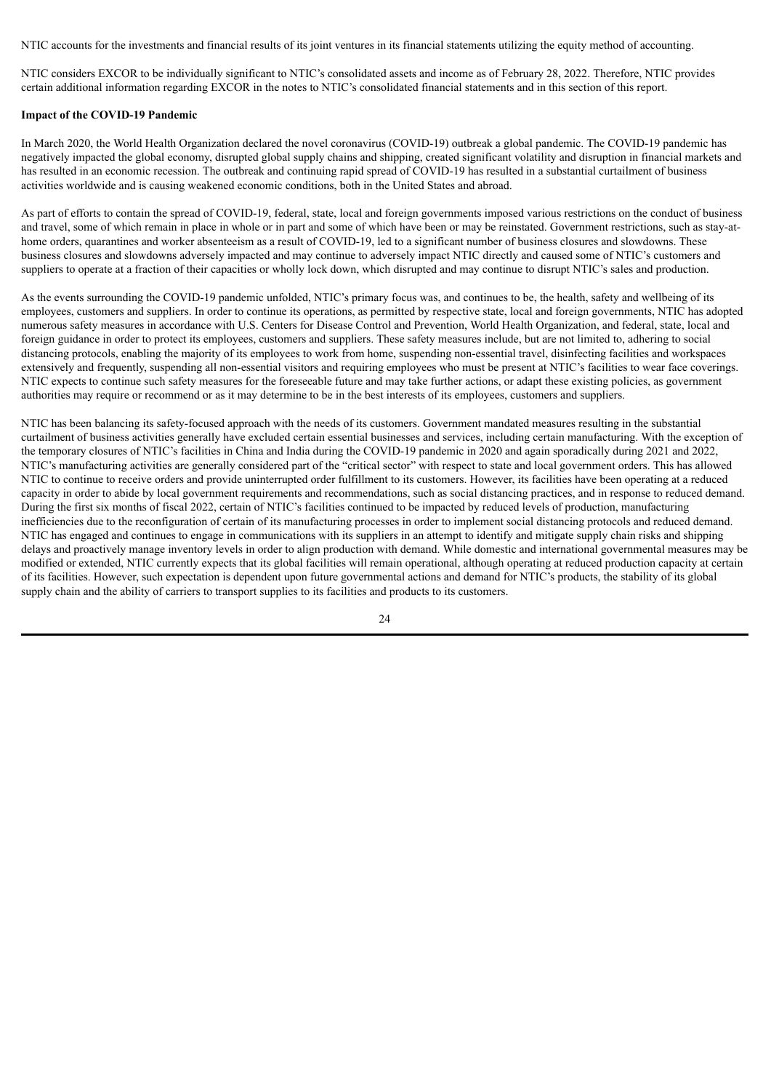NTIC accounts for the investments and financial results of its joint ventures in its financial statements utilizing the equity method of accounting.

NTIC considers EXCOR to be individually significant to NTIC's consolidated assets and income as of February 28, 2022. Therefore, NTIC provides certain additional information regarding EXCOR in the notes to NTIC's consolidated financial statements and in this section of this report.

#### **Impact of the COVID-19 Pandemic**

In March 2020, the World Health Organization declared the novel coronavirus (COVID-19) outbreak a global pandemic. The COVID-19 pandemic has negatively impacted the global economy, disrupted global supply chains and shipping, created significant volatility and disruption in financial markets and has resulted in an economic recession. The outbreak and continuing rapid spread of COVID-19 has resulted in a substantial curtailment of business activities worldwide and is causing weakened economic conditions, both in the United States and abroad.

As part of efforts to contain the spread of COVID-19, federal, state, local and foreign governments imposed various restrictions on the conduct of business and travel, some of which remain in place in whole or in part and some of which have been or may be reinstated. Government restrictions, such as stay-athome orders, quarantines and worker absenteeism as a result of COVID-19, led to a significant number of business closures and slowdowns. These business closures and slowdowns adversely impacted and may continue to adversely impact NTIC directly and caused some of NTIC's customers and suppliers to operate at a fraction of their capacities or wholly lock down, which disrupted and may continue to disrupt NTIC's sales and production.

As the events surrounding the COVID-19 pandemic unfolded, NTIC's primary focus was, and continues to be, the health, safety and wellbeing of its employees, customers and suppliers. In order to continue its operations, as permitted by respective state, local and foreign governments, NTIC has adopted numerous safety measures in accordance with U.S. Centers for Disease Control and Prevention, World Health Organization, and federal, state, local and foreign guidance in order to protect its employees, customers and suppliers. These safety measures include, but are not limited to, adhering to social distancing protocols, enabling the majority of its employees to work from home, suspending non-essential travel, disinfecting facilities and workspaces extensively and frequently, suspending all non-essential visitors and requiring employees who must be present at NTIC's facilities to wear face coverings. NTIC expects to continue such safety measures for the foreseeable future and may take further actions, or adapt these existing policies, as government authorities may require or recommend or as it may determine to be in the best interests of its employees, customers and suppliers.

NTIC has been balancing its safety-focused approach with the needs of its customers. Government mandated measures resulting in the substantial curtailment of business activities generally have excluded certain essential businesses and services, including certain manufacturing. With the exception of the temporary closures of NTIC's facilities in China and India during the COVID-19 pandemic in 2020 and again sporadically during 2021 and 2022, NTIC's manufacturing activities are generally considered part of the "critical sector" with respect to state and local government orders. This has allowed NTIC to continue to receive orders and provide uninterrupted order fulfillment to its customers. However, its facilities have been operating at a reduced capacity in order to abide by local government requirements and recommendations, such as social distancing practices, and in response to reduced demand. During the first six months of fiscal 2022, certain of NTIC's facilities continued to be impacted by reduced levels of production, manufacturing inefficiencies due to the reconfiguration of certain of its manufacturing processes in order to implement social distancing protocols and reduced demand. NTIC has engaged and continues to engage in communications with its suppliers in an attempt to identify and mitigate supply chain risks and shipping delays and proactively manage inventory levels in order to align production with demand. While domestic and international governmental measures may be modified or extended, NTIC currently expects that its global facilities will remain operational, although operating at reduced production capacity at certain of its facilities. However, such expectation is dependent upon future governmental actions and demand for NTIC's products, the stability of its global supply chain and the ability of carriers to transport supplies to its facilities and products to its customers.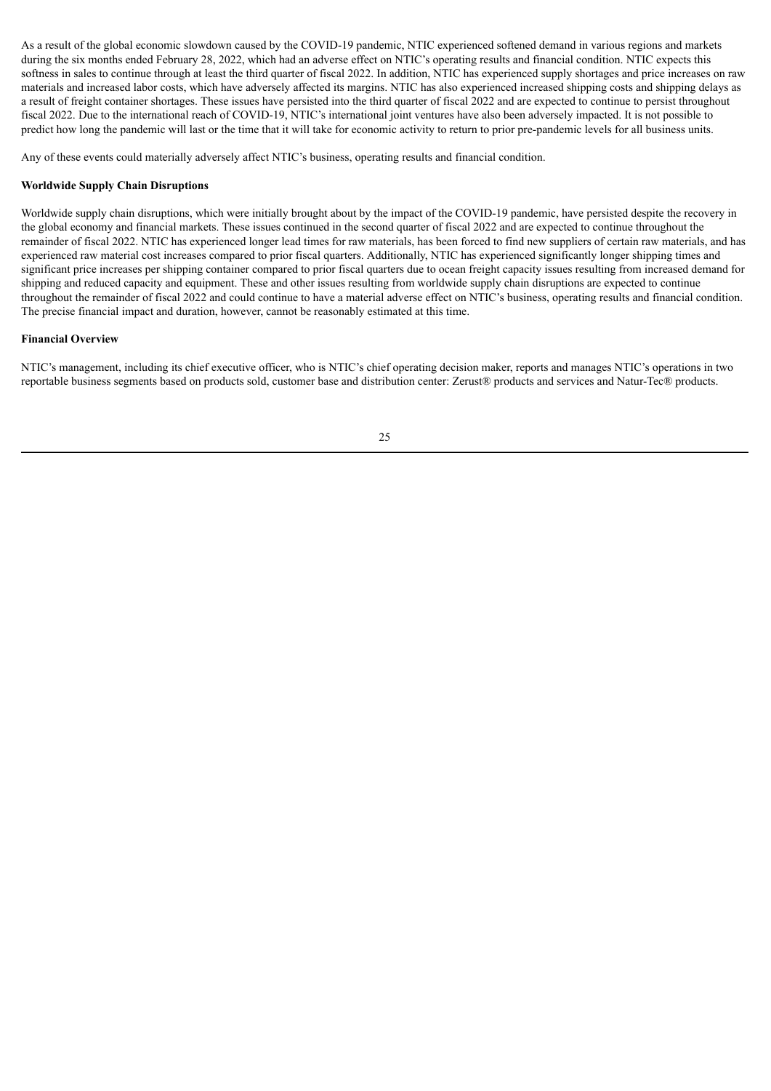As a result of the global economic slowdown caused by the COVID-19 pandemic, NTIC experienced softened demand in various regions and markets during the six months ended February 28, 2022, which had an adverse effect on NTIC's operating results and financial condition. NTIC expects this softness in sales to continue through at least the third quarter of fiscal 2022. In addition, NTIC has experienced supply shortages and price increases on raw materials and increased labor costs, which have adversely affected its margins. NTIC has also experienced increased shipping costs and shipping delays as a result of freight container shortages. These issues have persisted into the third quarter of fiscal 2022 and are expected to continue to persist throughout fiscal 2022. Due to the international reach of COVID-19, NTIC's international joint ventures have also been adversely impacted. It is not possible to predict how long the pandemic will last or the time that it will take for economic activity to return to prior pre-pandemic levels for all business units.

Any of these events could materially adversely affect NTIC's business, operating results and financial condition.

#### **Worldwide Supply Chain Disruptions**

Worldwide supply chain disruptions, which were initially brought about by the impact of the COVID-19 pandemic, have persisted despite the recovery in the global economy and financial markets. These issues continued in the second quarter of fiscal 2022 and are expected to continue throughout the remainder of fiscal 2022. NTIC has experienced longer lead times for raw materials, has been forced to find new suppliers of certain raw materials, and has experienced raw material cost increases compared to prior fiscal quarters. Additionally, NTIC has experienced significantly longer shipping times and significant price increases per shipping container compared to prior fiscal quarters due to ocean freight capacity issues resulting from increased demand for shipping and reduced capacity and equipment. These and other issues resulting from worldwide supply chain disruptions are expected to continue throughout the remainder of fiscal 2022 and could continue to have a material adverse effect on NTIC's business, operating results and financial condition. The precise financial impact and duration, however, cannot be reasonably estimated at this time.

#### **Financial Overview**

NTIC's management, including its chief executive officer, who is NTIC's chief operating decision maker, reports and manages NTIC's operations in two reportable business segments based on products sold, customer base and distribution center: Zerust® products and services and Natur-Tec® products.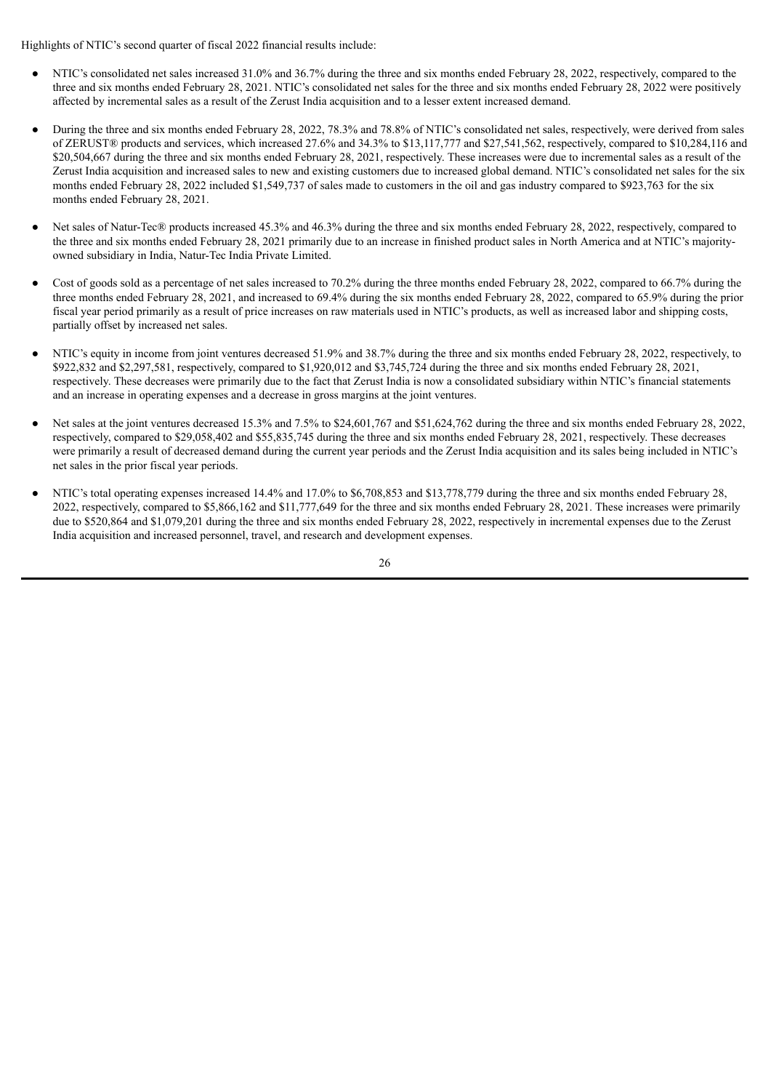Highlights of NTIC's second quarter of fiscal 2022 financial results include:

- NTIC's consolidated net sales increased 31.0% and 36.7% during the three and six months ended February 28, 2022, respectively, compared to the three and six months ended February 28, 2021. NTIC's consolidated net sales for the three and six months ended February 28, 2022 were positively affected by incremental sales as a result of the Zerust India acquisition and to a lesser extent increased demand.
- During the three and six months ended February 28, 2022, 78.3% and 78.8% of NTIC's consolidated net sales, respectively, were derived from sales of ZERUST® products and services, which increased 27.6% and 34.3% to \$13,117,777 and \$27,541,562, respectively, compared to \$10,284,116 and \$20,504,667 during the three and six months ended February 28, 2021, respectively. These increases were due to incremental sales as a result of the Zerust India acquisition and increased sales to new and existing customers due to increased global demand. NTIC's consolidated net sales for the six months ended February 28, 2022 included \$1,549,737 of sales made to customers in the oil and gas industry compared to \$923,763 for the six months ended February 28, 2021.
- Net sales of Natur-Tec® products increased 45.3% and 46.3% during the three and six months ended February 28, 2022, respectively, compared to the three and six months ended February 28, 2021 primarily due to an increase in finished product sales in North America and at NTIC's majorityowned subsidiary in India, Natur-Tec India Private Limited.
- Cost of goods sold as a percentage of net sales increased to 70.2% during the three months ended February 28, 2022, compared to 66.7% during the three months ended February 28, 2021, and increased to 69.4% during the six months ended February 28, 2022, compared to 65.9% during the prior fiscal year period primarily as a result of price increases on raw materials used in NTIC's products, as well as increased labor and shipping costs, partially offset by increased net sales.
- NTIC's equity in income from joint ventures decreased 51.9% and 38.7% during the three and six months ended February 28, 2022, respectively, to \$922,832 and \$2,297,581, respectively, compared to \$1,920,012 and \$3,745,724 during the three and six months ended February 28, 2021, respectively. These decreases were primarily due to the fact that Zerust India is now a consolidated subsidiary within NTIC's financial statements and an increase in operating expenses and a decrease in gross margins at the joint ventures.
- Net sales at the joint ventures decreased 15.3% and 7.5% to \$24,601,767 and \$51,624,762 during the three and six months ended February 28, 2022, respectively, compared to \$29,058,402 and \$55,835,745 during the three and six months ended February 28, 2021, respectively. These decreases were primarily a result of decreased demand during the current year periods and the Zerust India acquisition and its sales being included in NTIC's net sales in the prior fiscal year periods.
- NTIC's total operating expenses increased 14.4% and 17.0% to \$6,708,853 and \$13,778,779 during the three and six months ended February 28, 2022, respectively, compared to \$5,866,162 and \$11,777,649 for the three and six months ended February 28, 2021. These increases were primarily due to \$520,864 and \$1,079,201 during the three and six months ended February 28, 2022, respectively in incremental expenses due to the Zerust India acquisition and increased personnel, travel, and research and development expenses.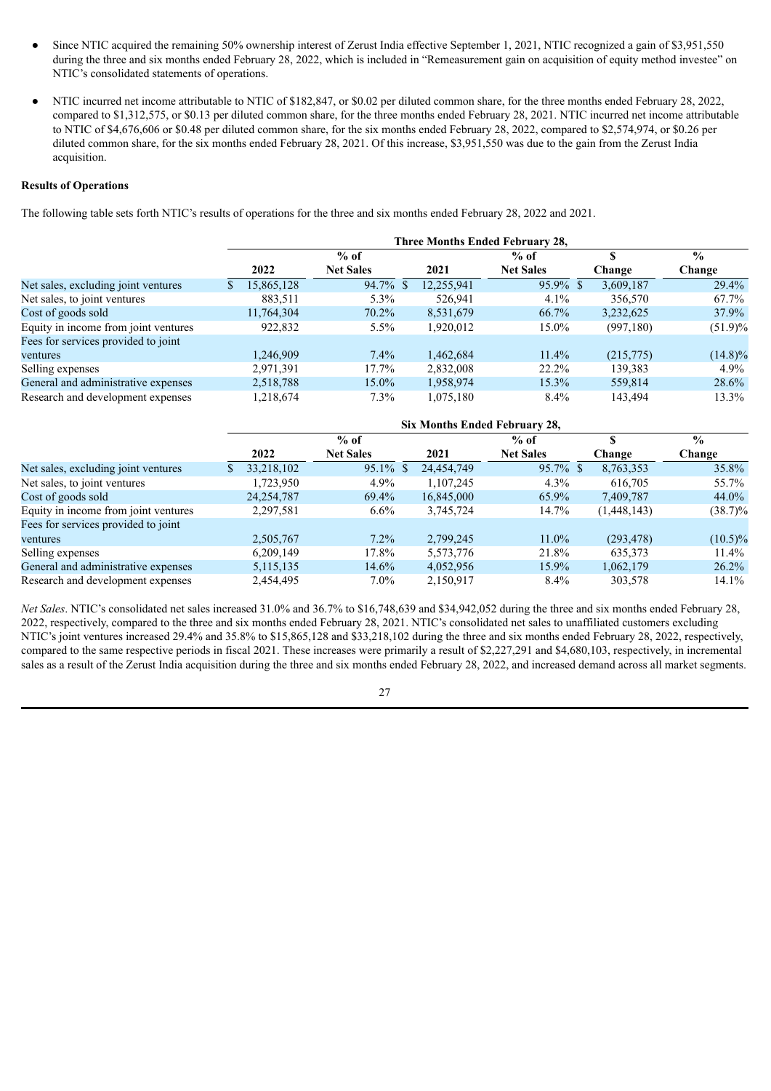- Since NTIC acquired the remaining 50% ownership interest of Zerust India effective September 1, 2021, NTIC recognized a gain of \$3,951,550 during the three and six months ended February 28, 2022, which is included in "Remeasurement gain on acquisition of equity method investee" on NTIC's consolidated statements of operations.
- NTIC incurred net income attributable to NTIC of \$182,847, or \$0.02 per diluted common share, for the three months ended February 28, 2022, compared to \$1,312,575, or \$0.13 per diluted common share, for the three months ended February 28, 2021. NTIC incurred net income attributable to NTIC of \$4,676,606 or \$0.48 per diluted common share, for the six months ended February 28, 2022, compared to \$2,574,974, or \$0.26 per diluted common share, for the six months ended February 28, 2021. Of this increase, \$3,951,550 was due to the gain from the Zerust India acquisition.

#### **Results of Operations**

The following table sets forth NTIC's results of operations for the three and six months ended February 28, 2022 and 2021.

|                                      |    | <b>Three Months Ended February 28,</b> |                  |  |            |                  |  |            |               |            |  |
|--------------------------------------|----|----------------------------------------|------------------|--|------------|------------------|--|------------|---------------|------------|--|
|                                      |    |                                        | $%$ of           |  |            | $%$ of           |  |            | $\frac{0}{0}$ |            |  |
|                                      |    | 2022                                   | <b>Net Sales</b> |  | 2021       | <b>Net Sales</b> |  | Change     | Change        |            |  |
| Net sales, excluding joint ventures  | S. | 15,865,128                             | 94.7% \$         |  | 12,255,941 | $95.9\%$ \$      |  | 3,609,187  |               | 29.4%      |  |
| Net sales, to joint ventures         |    | 883,511                                | $5.3\%$          |  | 526,941    | $4.1\%$          |  | 356,570    |               | 67.7%      |  |
| Cost of goods sold                   |    | 11,764,304                             | 70.2%            |  | 8,531,679  | 66.7%            |  | 3,232,625  |               | 37.9%      |  |
| Equity in income from joint ventures |    | 922,832                                | $5.5\%$          |  | 1,920,012  | $15.0\%$         |  | (997, 180) |               | $(51.9)\%$ |  |
| Fees for services provided to joint  |    |                                        |                  |  |            |                  |  |            |               |            |  |
| ventures                             |    | 1,246,909                              | 7.4%             |  | 1,462,684  | $11.4\%$         |  | (215,775)  |               | $(14.8)\%$ |  |
| Selling expenses                     |    | 2,971,391                              | 17.7%            |  | 2,832,008  | 22.2%            |  | 139,383    |               | 4.9%       |  |
| General and administrative expenses  |    | 2,518,788                              | 15.0%            |  | 1,958,974  | $15.3\%$         |  | 559,814    |               | 28.6%      |  |
| Research and development expenses    |    | 1,218,674                              | 7.3%             |  | 1,075,180  | $8.4\%$          |  | 143,494    |               | 13.3%      |  |

|                                      | Six Months Ended February 28, |                  |            |                  |             |               |  |
|--------------------------------------|-------------------------------|------------------|------------|------------------|-------------|---------------|--|
|                                      |                               | $%$ of           |            | $%$ of           |             | $\frac{0}{0}$ |  |
|                                      | 2022                          | <b>Net Sales</b> | 2021       | <b>Net Sales</b> | Change      | Change        |  |
| Net sales, excluding joint ventures  | 33,218,102                    | $95.1\%$ \$      | 24,454,749 | $95.7\%$ \$      | 8,763,353   | 35.8%         |  |
| Net sales, to joint ventures         | 1,723,950                     | 4.9%             | 1,107,245  | $4.3\%$          | 616.705     | 55.7%         |  |
| Cost of goods sold                   | 24, 254, 787                  | 69.4%            | 16,845,000 | 65.9%            | 7,409,787   | 44.0%         |  |
| Equity in income from joint ventures | 2,297,581                     | $6.6\%$          | 3,745,724  | 14.7%            | (1,448,143) | $(38.7)\%$    |  |
| Fees for services provided to joint  |                               |                  |            |                  |             |               |  |
| ventures                             | 2,505,767                     | 7.2%             | 2,799,245  | $11.0\%$         | (293, 478)  | $(10.5)\%$    |  |
| Selling expenses                     | 6,209,149                     | 17.8%            | 5,573,776  | 21.8%            | 635,373     | $11.4\%$      |  |
| General and administrative expenses  | 5, 115, 135                   | 14.6%            | 4,052,956  | 15.9%            | 1,062,179   | 26.2%         |  |
| Research and development expenses    | 2,454,495                     | $7.0\%$          | 2,150,917  | $8.4\%$          | 303,578     | 14.1%         |  |

*Net Sales*. NTIC's consolidated net sales increased 31.0% and 36.7% to \$16,748,639 and \$34,942,052 during the three and six months ended February 28, 2022, respectively, compared to the three and six months ended February 28, 2021. NTIC's consolidated net sales to unaffiliated customers excluding NTIC's joint ventures increased 29.4% and 35.8% to \$15,865,128 and \$33,218,102 during the three and six months ended February 28, 2022, respectively, compared to the same respective periods in fiscal 2021. These increases were primarily a result of \$2,227,291 and \$4,680,103, respectively, in incremental sales as a result of the Zerust India acquisition during the three and six months ended February 28, 2022, and increased demand across all market segments.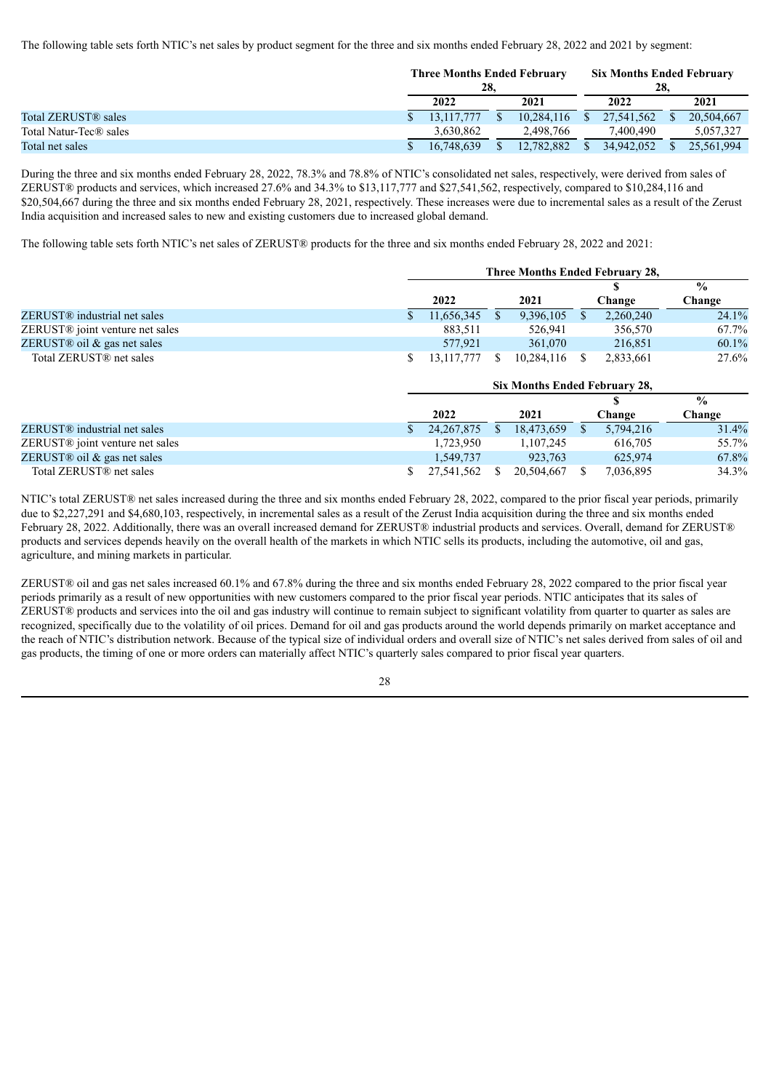The following table sets forth NTIC's net sales by product segment for the three and six months ended February 28, 2022 and 2021 by segment:

|                                 | <b>Three Months Ended February</b><br>28. |  | <b>Six Months Ended February</b><br>28. |            |  |            |
|---------------------------------|-------------------------------------------|--|-----------------------------------------|------------|--|------------|
|                                 | 2022                                      |  | 2021                                    | 2022       |  | 2021       |
| Total ZERUST <sup>®</sup> sales | 13.117.777                                |  | 10.284.116                              | 27.541.562 |  | 20.504.667 |
| Total Natur-Tec® sales          | 3.630.862                                 |  | 2.498.766                               | 7,400,490  |  | 5.057.327  |
| Total net sales                 | 16.748.639                                |  | 12.782.882                              | 34.942.052 |  | 25.561.994 |

During the three and six months ended February 28, 2022, 78.3% and 78.8% of NTIC's consolidated net sales, respectively, were derived from sales of ZERUST® products and services, which increased 27.6% and 34.3% to \$13,117,777 and \$27,541,562, respectively, compared to \$10,284,116 and \$20,504,667 during the three and six months ended February 28, 2021, respectively. These increases were due to incremental sales as a result of the Zerust India acquisition and increased sales to new and existing customers due to increased global demand.

The following table sets forth NTIC's net sales of ZERUST® products for the three and six months ended February 28, 2022 and 2021:

|                                             |    | Three Months Ended February 28, |    |                               |               |           |               |
|---------------------------------------------|----|---------------------------------|----|-------------------------------|---------------|-----------|---------------|
|                                             |    |                                 |    |                               |               |           | $\frac{0}{0}$ |
|                                             |    | 2022                            |    | 2021                          |               | Change    | Change        |
| ZERUST <sup>®</sup> industrial net sales    | \$ | 11,656,345                      |    | 9,396,105                     |               | 2,260,240 | 24.1%         |
| ZERUST <sup>®</sup> joint venture net sales |    | 883,511                         |    | 526,941                       |               | 356,570   | 67.7%         |
| ZERUST <sup>®</sup> oil $\&$ gas net sales  |    | 577,921                         |    | 361,070                       |               | 216,851   | $60.1\%$      |
| Total ZERUST <sup>®</sup> net sales         | S. | 13, 117, 777                    | S. | 10,284,116                    | S             | 2,833,661 | 27.6%         |
|                                             |    |                                 |    | Six Months Ended February 28, |               |           |               |
|                                             |    |                                 |    |                               |               |           | $\frac{0}{0}$ |
|                                             |    | 2022                            |    | 2021                          |               | Change    | Change        |
| ZERUST <sup>®</sup> industrial net sales    |    | 24, 267, 875                    | S. | 18,473,659                    | <sup>\$</sup> | 5,794,216 | 31.4%         |
| ZERUST <sup>®</sup> joint venture net sales |    | 1,723,950                       |    | 1,107,245                     |               | 616.705   | 55.7%         |
| ZERUST <sup>®</sup> oil $\&$ gas net sales  |    | 1,549,737                       |    | 923.763                       |               | 625.974   | 67.8%         |
| Total ZERUST® net sales                     |    | 27,541,562                      |    | 20,504,667                    |               | 7,036,895 | 34.3%         |

NTIC's total ZERUST® net sales increased during the three and six months ended February 28, 2022, compared to the prior fiscal year periods, primarily due to \$2,227,291 and \$4,680,103, respectively, in incremental sales as a result of the Zerust India acquisition during the three and six months ended February 28, 2022. Additionally, there was an overall increased demand for ZERUST® industrial products and services. Overall, demand for ZERUST® products and services depends heavily on the overall health of the markets in which NTIC sells its products, including the automotive, oil and gas, agriculture, and mining markets in particular.

ZERUST® oil and gas net sales increased 60.1% and 67.8% during the three and six months ended February 28, 2022 compared to the prior fiscal year periods primarily as a result of new opportunities with new customers compared to the prior fiscal year periods. NTIC anticipates that its sales of ZERUST® products and services into the oil and gas industry will continue to remain subject to significant volatility from quarter to quarter as sales are recognized, specifically due to the volatility of oil prices. Demand for oil and gas products around the world depends primarily on market acceptance and the reach of NTIC's distribution network. Because of the typical size of individual orders and overall size of NTIC's net sales derived from sales of oil and gas products, the timing of one or more orders can materially affect NTIC's quarterly sales compared to prior fiscal year quarters.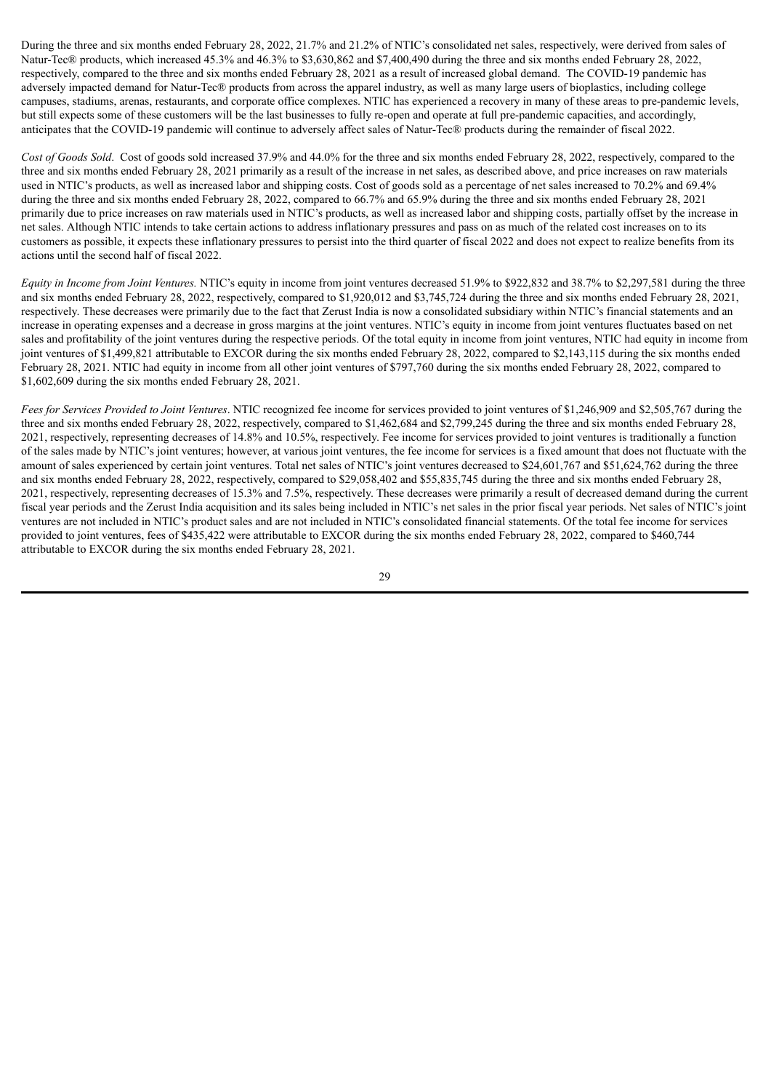During the three and six months ended February 28, 2022, 21.7% and 21.2% of NTIC's consolidated net sales, respectively, were derived from sales of Natur-Tec® products, which increased 45.3% and 46.3% to \$3,630,862 and \$7,400,490 during the three and six months ended February 28, 2022, respectively, compared to the three and six months ended February 28, 2021 as a result of increased global demand. The COVID-19 pandemic has adversely impacted demand for Natur-Tec® products from across the apparel industry, as well as many large users of bioplastics, including college campuses, stadiums, arenas, restaurants, and corporate office complexes. NTIC has experienced a recovery in many of these areas to pre-pandemic levels, but still expects some of these customers will be the last businesses to fully re-open and operate at full pre-pandemic capacities, and accordingly, anticipates that the COVID-19 pandemic will continue to adversely affect sales of Natur-Tec® products during the remainder of fiscal 2022.

*Cost of Goods Sold*. Cost of goods sold increased 37.9% and 44.0% for the three and six months ended February 28, 2022, respectively, compared to the three and six months ended February 28, 2021 primarily as a result of the increase in net sales, as described above, and price increases on raw materials used in NTIC's products, as well as increased labor and shipping costs. Cost of goods sold as a percentage of net sales increased to 70.2% and 69.4% during the three and six months ended February 28, 2022, compared to 66.7% and 65.9% during the three and six months ended February 28, 2021 primarily due to price increases on raw materials used in NTIC's products, as well as increased labor and shipping costs, partially offset by the increase in net sales. Although NTIC intends to take certain actions to address inflationary pressures and pass on as much of the related cost increases on to its customers as possible, it expects these inflationary pressures to persist into the third quarter of fiscal 2022 and does not expect to realize benefits from its actions until the second half of fiscal 2022.

*Equity in Income from Joint Ventures.* NTIC's equity in income from joint ventures decreased 51.9% to \$922,832 and 38.7% to \$2,297,581 during the three and six months ended February 28, 2022, respectively, compared to \$1,920,012 and \$3,745,724 during the three and six months ended February 28, 2021, respectively. These decreases were primarily due to the fact that Zerust India is now a consolidated subsidiary within NTIC's financial statements and an increase in operating expenses and a decrease in gross margins at the joint ventures. NTIC's equity in income from joint ventures fluctuates based on net sales and profitability of the joint ventures during the respective periods. Of the total equity in income from joint ventures, NTIC had equity in income from joint ventures of \$1,499,821 attributable to EXCOR during the six months ended February 28, 2022, compared to \$2,143,115 during the six months ended February 28, 2021. NTIC had equity in income from all other joint ventures of \$797,760 during the six months ended February 28, 2022, compared to \$1,602,609 during the six months ended February 28, 2021.

*Fees for Services Provided to Joint Ventures*. NTIC recognized fee income for services provided to joint ventures of \$1,246,909 and \$2,505,767 during the three and six months ended February 28, 2022, respectively, compared to \$1,462,684 and \$2,799,245 during the three and six months ended February 28, 2021, respectively, representing decreases of 14.8% and 10.5%, respectively. Fee income for services provided to joint ventures is traditionally a function of the sales made by NTIC's joint ventures; however, at various joint ventures, the fee income for services is a fixed amount that does not fluctuate with the amount of sales experienced by certain joint ventures. Total net sales of NTIC's joint ventures decreased to \$24,601,767 and \$51,624,762 during the three and six months ended February 28, 2022, respectively, compared to \$29,058,402 and \$55,835,745 during the three and six months ended February 28, 2021, respectively, representing decreases of 15.3% and 7.5%, respectively. These decreases were primarily a result of decreased demand during the current fiscal year periods and the Zerust India acquisition and its sales being included in NTIC's net sales in the prior fiscal year periods. Net sales of NTIC's joint ventures are not included in NTIC's product sales and are not included in NTIC's consolidated financial statements. Of the total fee income for services provided to joint ventures, fees of \$435,422 were attributable to EXCOR during the six months ended February 28, 2022, compared to \$460,744 attributable to EXCOR during the six months ended February 28, 2021.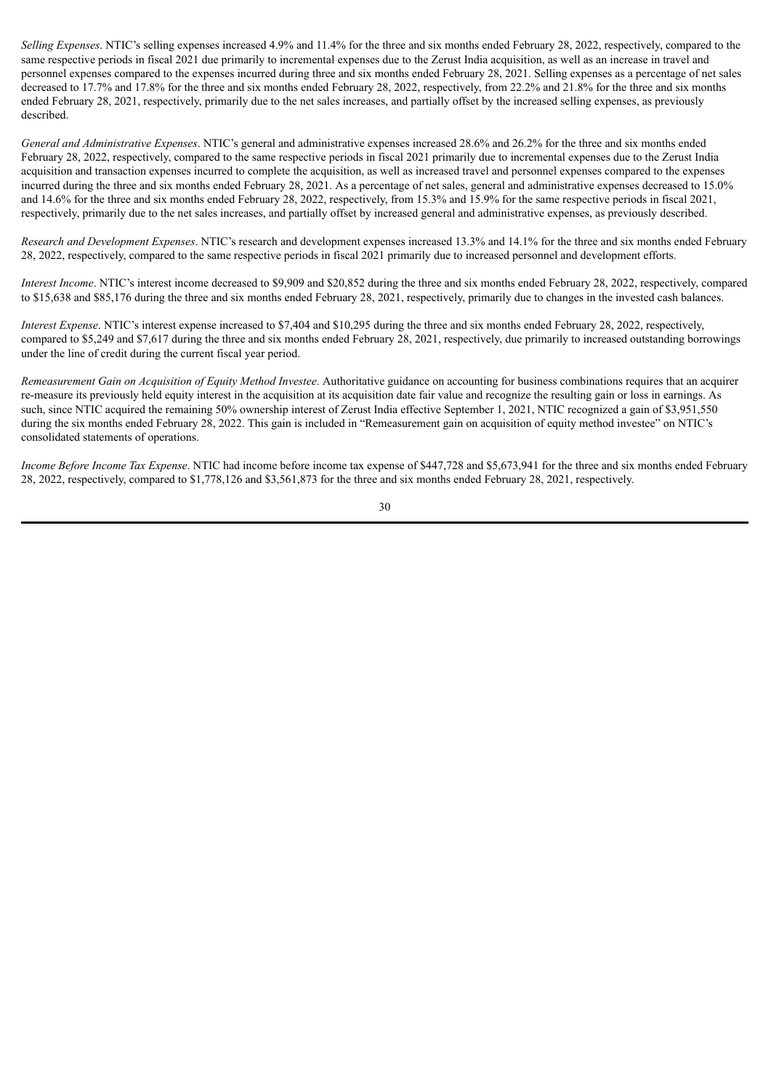*Selling Expenses*. NTIC's selling expenses increased 4.9% and 11.4% for the three and six months ended February 28, 2022, respectively, compared to the same respective periods in fiscal 2021 due primarily to incremental expenses due to the Zerust India acquisition, as well as an increase in travel and personnel expenses compared to the expenses incurred during three and six months ended February 28, 2021. Selling expenses as a percentage of net sales decreased to 17.7% and 17.8% for the three and six months ended February 28, 2022, respectively, from 22.2% and 21.8% for the three and six months ended February 28, 2021, respectively, primarily due to the net sales increases, and partially offset by the increased selling expenses, as previously described.

*General and Administrative Expenses*. NTIC's general and administrative expenses increased 28.6% and 26.2% for the three and six months ended February 28, 2022, respectively, compared to the same respective periods in fiscal 2021 primarily due to incremental expenses due to the Zerust India acquisition and transaction expenses incurred to complete the acquisition, as well as increased travel and personnel expenses compared to the expenses incurred during the three and six months ended February 28, 2021. As a percentage of net sales, general and administrative expenses decreased to 15.0% and 14.6% for the three and six months ended February 28, 2022, respectively, from 15.3% and 15.9% for the same respective periods in fiscal 2021, respectively, primarily due to the net sales increases, and partially offset by increased general and administrative expenses, as previously described.

*Research and Development Expenses*. NTIC's research and development expenses increased 13.3% and 14.1% for the three and six months ended February 28, 2022, respectively, compared to the same respective periods in fiscal 2021 primarily due to increased personnel and development efforts.

*Interest Income*. NTIC's interest income decreased to \$9,909 and \$20,852 during the three and six months ended February 28, 2022, respectively, compared to \$15,638 and \$85,176 during the three and six months ended February 28, 2021, respectively, primarily due to changes in the invested cash balances.

*Interest Expense*. NTIC's interest expense increased to \$7,404 and \$10,295 during the three and six months ended February 28, 2022, respectively, compared to \$5,249 and \$7,617 during the three and six months ended February 28, 2021, respectively, due primarily to increased outstanding borrowings under the line of credit during the current fiscal year period.

*Remeasurement Gain on Acquisition of Equity Method Investee*. Authoritative guidance on accounting for business combinations requires that an acquirer re-measure its previously held equity interest in the acquisition at its acquisition date fair value and recognize the resulting gain or loss in earnings. As such, since NTIC acquired the remaining 50% ownership interest of Zerust India effective September 1, 2021, NTIC recognized a gain of \$3,951,550 during the six months ended February 28, 2022. This gain is included in "Remeasurement gain on acquisition of equity method investee" on NTIC's consolidated statements of operations.

*Income Before Income Tax Expense*. NTIC had income before income tax expense of \$447,728 and \$5,673,941 for the three and six months ended February 28, 2022, respectively, compared to \$1,778,126 and \$3,561,873 for the three and six months ended February 28, 2021, respectively.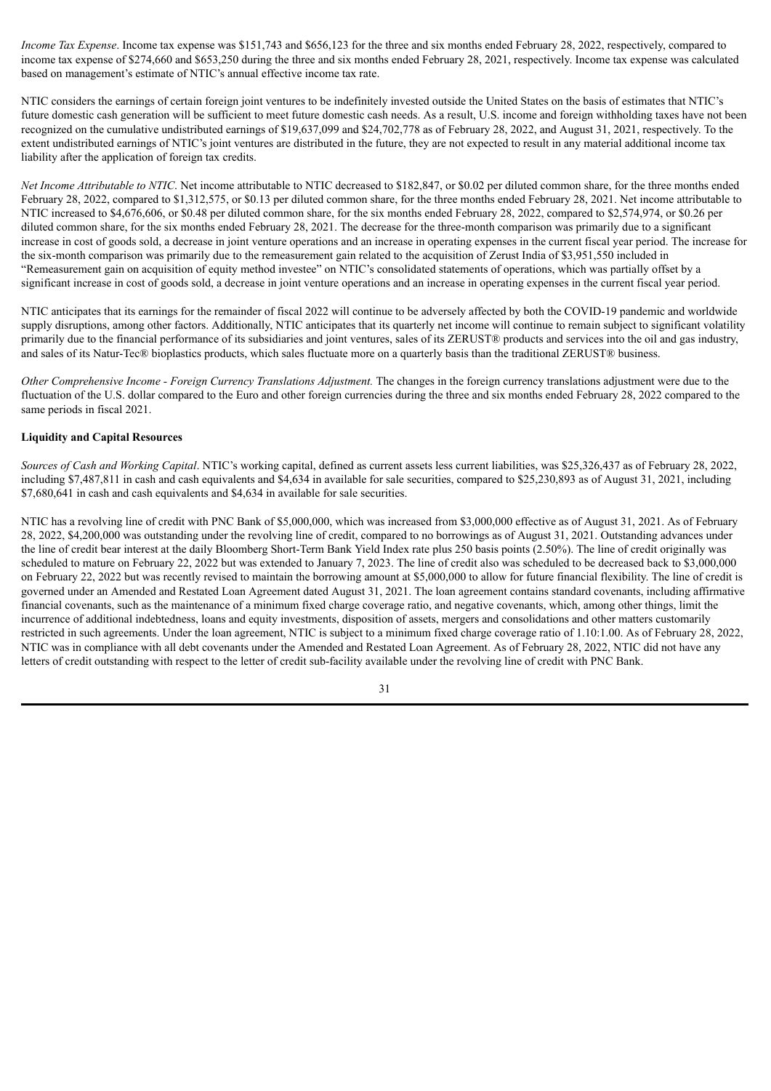*Income Tax Expense*. Income tax expense was \$151,743 and \$656,123 for the three and six months ended February 28, 2022, respectively, compared to income tax expense of \$274,660 and \$653,250 during the three and six months ended February 28, 2021, respectively. Income tax expense was calculated based on management's estimate of NTIC's annual effective income tax rate.

NTIC considers the earnings of certain foreign joint ventures to be indefinitely invested outside the United States on the basis of estimates that NTIC's future domestic cash generation will be sufficient to meet future domestic cash needs. As a result, U.S. income and foreign withholding taxes have not been recognized on the cumulative undistributed earnings of \$19,637,099 and \$24,702,778 as of February 28, 2022, and August 31, 2021, respectively. To the extent undistributed earnings of NTIC's joint ventures are distributed in the future, they are not expected to result in any material additional income tax liability after the application of foreign tax credits.

*Net Income Attributable to NTIC*. Net income attributable to NTIC decreased to \$182,847, or \$0.02 per diluted common share, for the three months ended February 28, 2022, compared to \$1,312,575, or \$0.13 per diluted common share, for the three months ended February 28, 2021. Net income attributable to NTIC increased to \$4,676,606, or \$0.48 per diluted common share, for the six months ended February 28, 2022, compared to \$2,574,974, or \$0.26 per diluted common share, for the six months ended February 28, 2021. The decrease for the three-month comparison was primarily due to a significant increase in cost of goods sold, a decrease in joint venture operations and an increase in operating expenses in the current fiscal year period. The increase for the six-month comparison was primarily due to the remeasurement gain related to the acquisition of Zerust India of \$3,951,550 included in "Remeasurement gain on acquisition of equity method investee" on NTIC's consolidated statements of operations, which was partially offset by a significant increase in cost of goods sold, a decrease in joint venture operations and an increase in operating expenses in the current fiscal year period.

NTIC anticipates that its earnings for the remainder of fiscal 2022 will continue to be adversely affected by both the COVID-19 pandemic and worldwide supply disruptions, among other factors. Additionally, NTIC anticipates that its quarterly net income will continue to remain subject to significant volatility primarily due to the financial performance of its subsidiaries and joint ventures, sales of its ZERUST® products and services into the oil and gas industry, and sales of its Natur-Tec® bioplastics products, which sales fluctuate more on a quarterly basis than the traditional ZERUST® business.

*Other Comprehensive Income - Foreign Currency Translations Adjustment.* The changes in the foreign currency translations adjustment were due to the fluctuation of the U.S. dollar compared to the Euro and other foreign currencies during the three and six months ended February 28, 2022 compared to the same periods in fiscal 2021.

## **Liquidity and Capital Resources**

*Sources of Cash and Working Capital*. NTIC's working capital, defined as current assets less current liabilities, was \$25,326,437 as of February 28, 2022, including \$7,487,811 in cash and cash equivalents and \$4,634 in available for sale securities, compared to \$25,230,893 as of August 31, 2021, including \$7,680,641 in cash and cash equivalents and \$4,634 in available for sale securities.

NTIC has a revolving line of credit with PNC Bank of \$5,000,000, which was increased from \$3,000,000 effective as of August 31, 2021. As of February 28, 2022, \$4,200,000 was outstanding under the revolving line of credit, compared to no borrowings as of August 31, 2021. Outstanding advances under the line of credit bear interest at the daily Bloomberg Short-Term Bank Yield Index rate plus 250 basis points (2.50%). The line of credit originally was scheduled to mature on February 22, 2022 but was extended to January 7, 2023. The line of credit also was scheduled to be decreased back to \$3,000,000 on February 22, 2022 but was recently revised to maintain the borrowing amount at \$5,000,000 to allow for future financial flexibility. The line of credit is governed under an Amended and Restated Loan Agreement dated August 31, 2021. The loan agreement contains standard covenants, including affirmative financial covenants, such as the maintenance of a minimum fixed charge coverage ratio, and negative covenants, which, among other things, limit the incurrence of additional indebtedness, loans and equity investments, disposition of assets, mergers and consolidations and other matters customarily restricted in such agreements. Under the loan agreement, NTIC is subject to a minimum fixed charge coverage ratio of 1.10:1.00. As of February 28, 2022, NTIC was in compliance with all debt covenants under the Amended and Restated Loan Agreement. As of February 28, 2022, NTIC did not have any letters of credit outstanding with respect to the letter of credit sub-facility available under the revolving line of credit with PNC Bank.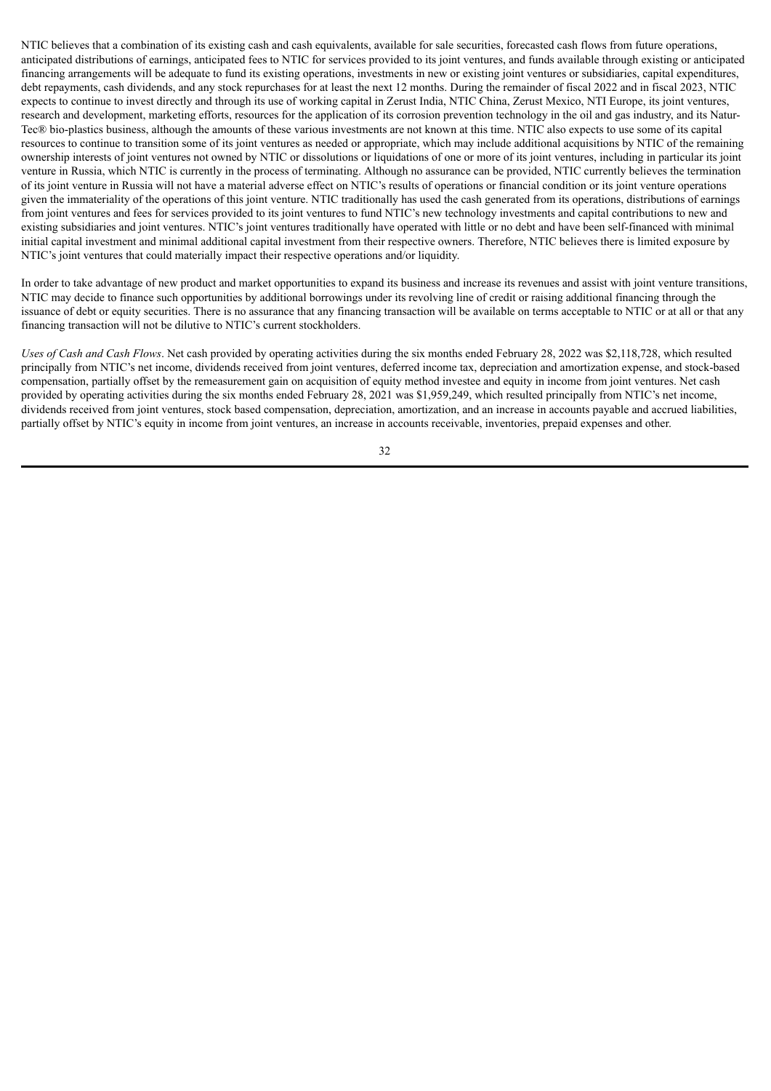NTIC believes that a combination of its existing cash and cash equivalents, available for sale securities, forecasted cash flows from future operations, anticipated distributions of earnings, anticipated fees to NTIC for services provided to its joint ventures, and funds available through existing or anticipated financing arrangements will be adequate to fund its existing operations, investments in new or existing joint ventures or subsidiaries, capital expenditures, debt repayments, cash dividends, and any stock repurchases for at least the next 12 months. During the remainder of fiscal 2022 and in fiscal 2023, NTIC expects to continue to invest directly and through its use of working capital in Zerust India, NTIC China, Zerust Mexico, NTI Europe, its joint ventures, research and development, marketing efforts, resources for the application of its corrosion prevention technology in the oil and gas industry, and its Natur-Tec® bio-plastics business, although the amounts of these various investments are not known at this time. NTIC also expects to use some of its capital resources to continue to transition some of its joint ventures as needed or appropriate, which may include additional acquisitions by NTIC of the remaining ownership interests of joint ventures not owned by NTIC or dissolutions or liquidations of one or more of its joint ventures, including in particular its joint venture in Russia, which NTIC is currently in the process of terminating. Although no assurance can be provided, NTIC currently believes the termination of its joint venture in Russia will not have a material adverse effect on NTIC's results of operations or financial condition or its joint venture operations given the immateriality of the operations of this joint venture. NTIC traditionally has used the cash generated from its operations, distributions of earnings from joint ventures and fees for services provided to its joint ventures to fund NTIC's new technology investments and capital contributions to new and existing subsidiaries and joint ventures. NTIC's joint ventures traditionally have operated with little or no debt and have been self-financed with minimal initial capital investment and minimal additional capital investment from their respective owners. Therefore, NTIC believes there is limited exposure by NTIC's joint ventures that could materially impact their respective operations and/or liquidity.

In order to take advantage of new product and market opportunities to expand its business and increase its revenues and assist with joint venture transitions, NTIC may decide to finance such opportunities by additional borrowings under its revolving line of credit or raising additional financing through the issuance of debt or equity securities. There is no assurance that any financing transaction will be available on terms acceptable to NTIC or at all or that any financing transaction will not be dilutive to NTIC's current stockholders.

*Uses of Cash and Cash Flows*. Net cash provided by operating activities during the six months ended February 28, 2022 was \$2,118,728, which resulted principally from NTIC's net income, dividends received from joint ventures, deferred income tax, depreciation and amortization expense, and stock-based compensation, partially offset by the remeasurement gain on acquisition of equity method investee and equity in income from joint ventures. Net cash provided by operating activities during the six months ended February 28, 2021 was \$1,959,249, which resulted principally from NTIC's net income, dividends received from joint ventures, stock based compensation, depreciation, amortization, and an increase in accounts payable and accrued liabilities, partially offset by NTIC's equity in income from joint ventures, an increase in accounts receivable, inventories, prepaid expenses and other.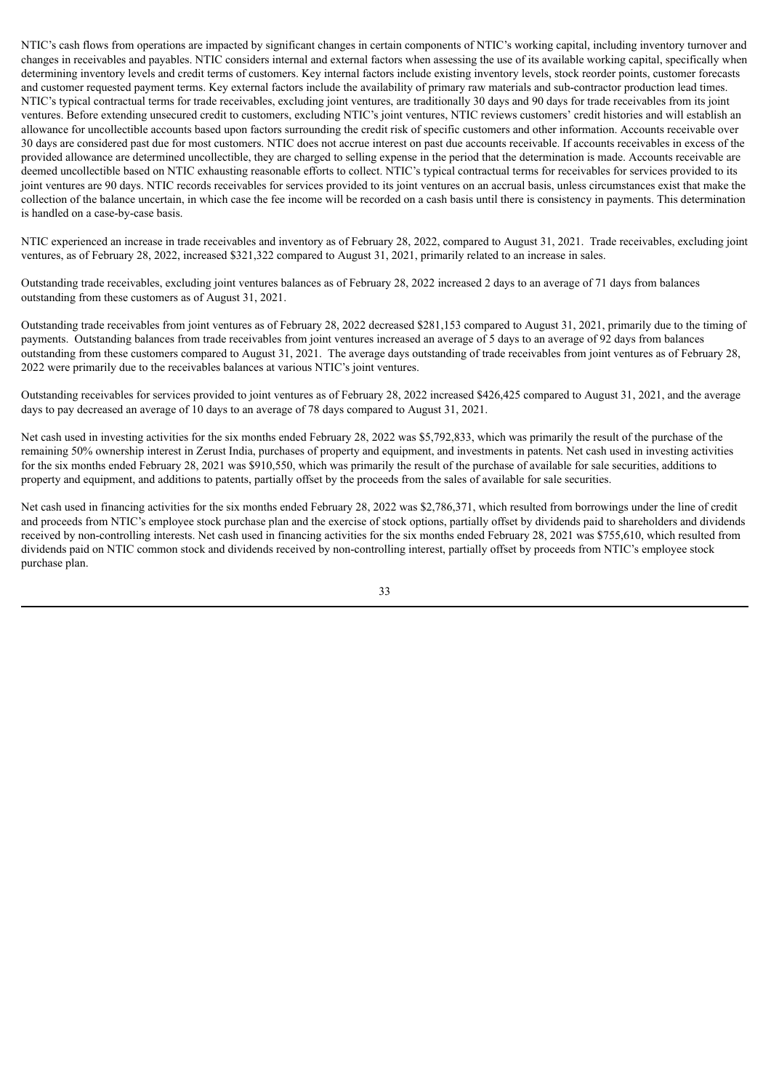NTIC's cash flows from operations are impacted by significant changes in certain components of NTIC's working capital, including inventory turnover and changes in receivables and payables. NTIC considers internal and external factors when assessing the use of its available working capital, specifically when determining inventory levels and credit terms of customers. Key internal factors include existing inventory levels, stock reorder points, customer forecasts and customer requested payment terms. Key external factors include the availability of primary raw materials and sub-contractor production lead times. NTIC's typical contractual terms for trade receivables, excluding joint ventures, are traditionally 30 days and 90 days for trade receivables from its joint ventures. Before extending unsecured credit to customers, excluding NTIC's joint ventures, NTIC reviews customers' credit histories and will establish an allowance for uncollectible accounts based upon factors surrounding the credit risk of specific customers and other information. Accounts receivable over 30 days are considered past due for most customers. NTIC does not accrue interest on past due accounts receivable. If accounts receivables in excess of the provided allowance are determined uncollectible, they are charged to selling expense in the period that the determination is made. Accounts receivable are deemed uncollectible based on NTIC exhausting reasonable efforts to collect. NTIC's typical contractual terms for receivables for services provided to its joint ventures are 90 days. NTIC records receivables for services provided to its joint ventures on an accrual basis, unless circumstances exist that make the collection of the balance uncertain, in which case the fee income will be recorded on a cash basis until there is consistency in payments. This determination is handled on a case-by-case basis.

NTIC experienced an increase in trade receivables and inventory as of February 28, 2022, compared to August 31, 2021. Trade receivables, excluding joint ventures, as of February 28, 2022, increased \$321,322 compared to August 31, 2021, primarily related to an increase in sales.

Outstanding trade receivables, excluding joint ventures balances as of February 28, 2022 increased 2 days to an average of 71 days from balances outstanding from these customers as of August 31, 2021.

Outstanding trade receivables from joint ventures as of February 28, 2022 decreased \$281,153 compared to August 31, 2021, primarily due to the timing of payments. Outstanding balances from trade receivables from joint ventures increased an average of 5 days to an average of 92 days from balances outstanding from these customers compared to August 31, 2021. The average days outstanding of trade receivables from joint ventures as of February 28, 2022 were primarily due to the receivables balances at various NTIC's joint ventures.

Outstanding receivables for services provided to joint ventures as of February 28, 2022 increased \$426,425 compared to August 31, 2021, and the average days to pay decreased an average of 10 days to an average of 78 days compared to August 31, 2021.

Net cash used in investing activities for the six months ended February 28, 2022 was \$5,792,833, which was primarily the result of the purchase of the remaining 50% ownership interest in Zerust India, purchases of property and equipment, and investments in patents. Net cash used in investing activities for the six months ended February 28, 2021 was \$910,550, which was primarily the result of the purchase of available for sale securities, additions to property and equipment, and additions to patents, partially offset by the proceeds from the sales of available for sale securities.

Net cash used in financing activities for the six months ended February 28, 2022 was \$2,786,371, which resulted from borrowings under the line of credit and proceeds from NTIC's employee stock purchase plan and the exercise of stock options, partially offset by dividends paid to shareholders and dividends received by non-controlling interests. Net cash used in financing activities for the six months ended February 28, 2021 was \$755,610, which resulted from dividends paid on NTIC common stock and dividends received by non-controlling interest, partially offset by proceeds from NTIC's employee stock purchase plan.

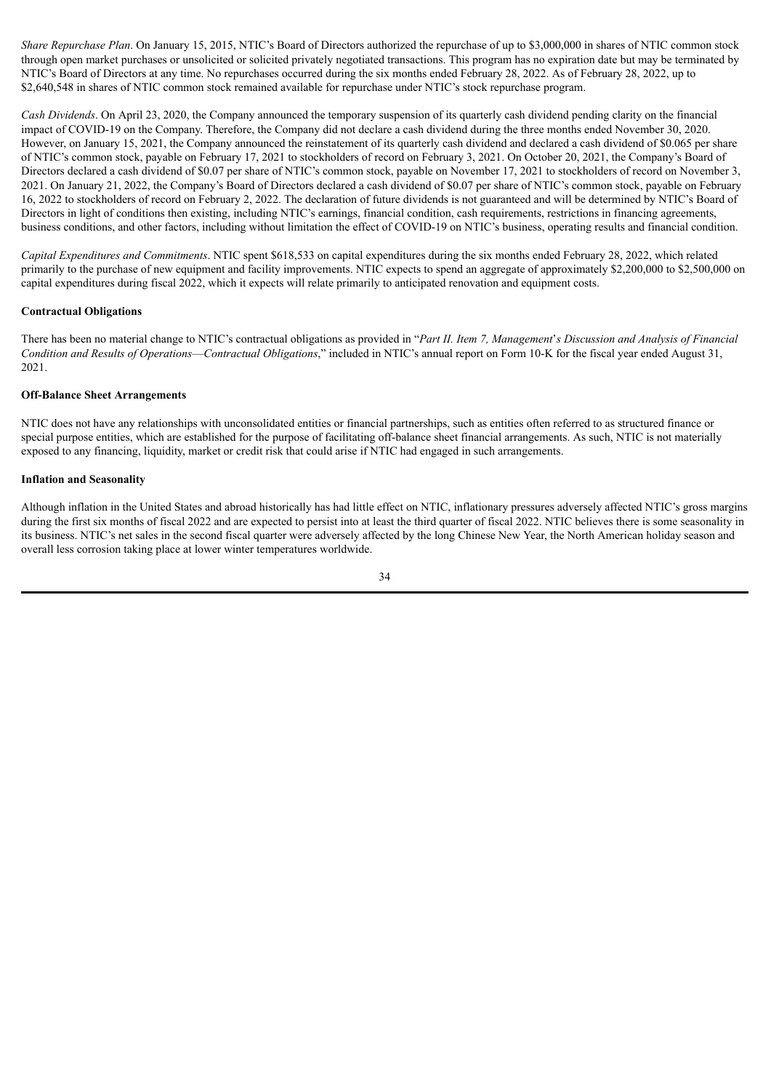*Share Repurchase Plan*. On January 15, 2015, NTIC's Board of Directors authorized the repurchase of up to \$3,000,000 in shares of NTIC common stock through open market purchases or unsolicited or solicited privately negotiated transactions. This program has no expiration date but may be terminated by NTIC's Board of Directors at any time. No repurchases occurred during the six months ended February 28, 2022. As of February 28, 2022, up to \$2,640,548 in shares of NTIC common stock remained available for repurchase under NTIC's stock repurchase program.

*Cash Dividends*. On April 23, 2020, the Company announced the temporary suspension of its quarterly cash dividend pending clarity on the financial impact of COVID-19 on the Company. Therefore, the Company did not declare a cash dividend during the three months ended November 30, 2020. However, on January 15, 2021, the Company announced the reinstatement of its quarterly cash dividend and declared a cash dividend of \$0.065 per share of NTIC's common stock, payable on February 17, 2021 to stockholders of record on February 3, 2021. On October 20, 2021, the Company's Board of Directors declared a cash dividend of \$0.07 per share of NTIC's common stock, payable on November 17, 2021 to stockholders of record on November 3, 2021. On January 21, 2022, the Company's Board of Directors declared a cash dividend of \$0.07 per share of NTIC's common stock, payable on February 16, 2022 to stockholders of record on February 2, 2022. The declaration of future dividends is not guaranteed and will be determined by NTIC's Board of Directors in light of conditions then existing, including NTIC's earnings, financial condition, cash requirements, restrictions in financing agreements, business conditions, and other factors, including without limitation the effect of COVID-19 on NTIC's business, operating results and financial condition.

*Capital Expenditures and Commitments*. NTIC spent \$618,533 on capital expenditures during the six months ended February 28, 2022, which related primarily to the purchase of new equipment and facility improvements. NTIC expects to spend an aggregate of approximately \$2,200,000 to \$2,500,000 on capital expenditures during fiscal 2022, which it expects will relate primarily to anticipated renovation and equipment costs.

#### **Contractual Obligations**

There has been no material change to NTIC's contractual obligations as provided in "Part II. Item 7. Management's Discussion and Analysis of Financial *Condition and Results of Operations*—*Contractual Obligations*," included in NTIC's annual report on Form 10-K for the fiscal year ended August 31, 2021.

#### **Off-Balance Sheet Arrangements**

NTIC does not have any relationships with unconsolidated entities or financial partnerships, such as entities often referred to as structured finance or special purpose entities, which are established for the purpose of facilitating off-balance sheet financial arrangements. As such, NTIC is not materially exposed to any financing, liquidity, market or credit risk that could arise if NTIC had engaged in such arrangements.

#### **Inflation and Seasonality**

Although inflation in the United States and abroad historically has had little effect on NTIC, inflationary pressures adversely affected NTIC's gross margins during the first six months of fiscal 2022 and are expected to persist into at least the third quarter of fiscal 2022. NTIC believes there is some seasonality in its business. NTIC's net sales in the second fiscal quarter were adversely affected by the long Chinese New Year, the North American holiday season and overall less corrosion taking place at lower winter temperatures worldwide.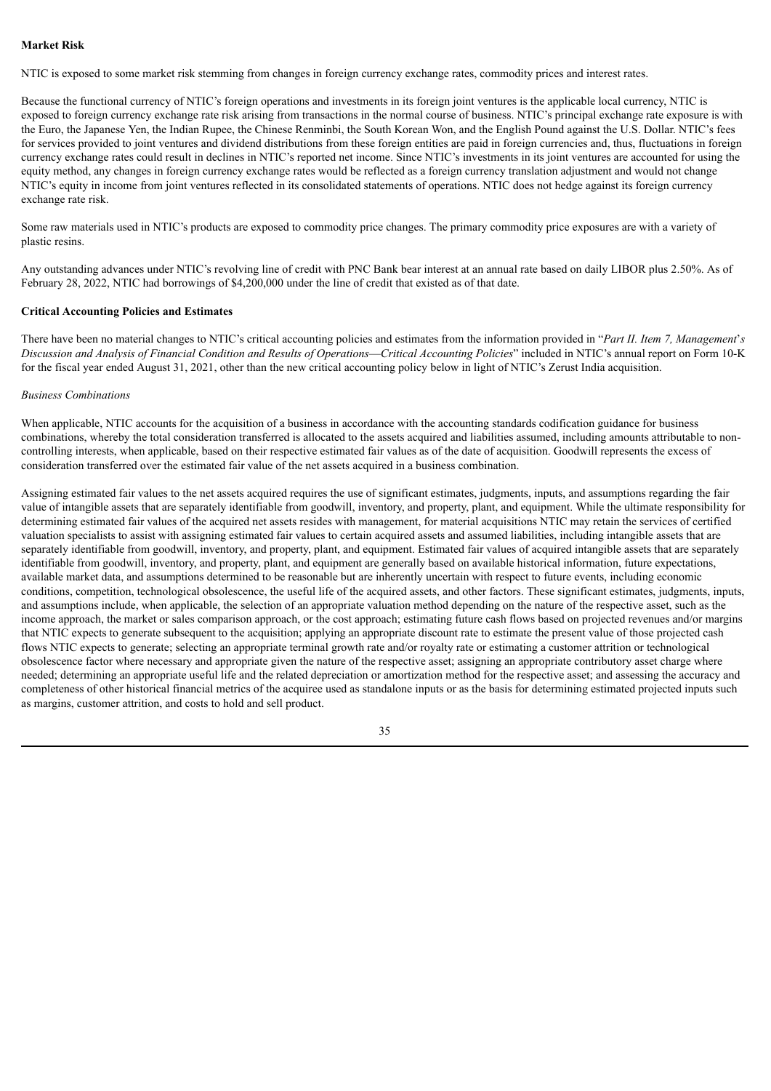#### **Market Risk**

NTIC is exposed to some market risk stemming from changes in foreign currency exchange rates, commodity prices and interest rates.

Because the functional currency of NTIC's foreign operations and investments in its foreign joint ventures is the applicable local currency, NTIC is exposed to foreign currency exchange rate risk arising from transactions in the normal course of business. NTIC's principal exchange rate exposure is with the Euro, the Japanese Yen, the Indian Rupee, the Chinese Renminbi, the South Korean Won, and the English Pound against the U.S. Dollar. NTIC's fees for services provided to joint ventures and dividend distributions from these foreign entities are paid in foreign currencies and, thus, fluctuations in foreign currency exchange rates could result in declines in NTIC's reported net income. Since NTIC's investments in its joint ventures are accounted for using the equity method, any changes in foreign currency exchange rates would be reflected as a foreign currency translation adjustment and would not change NTIC's equity in income from joint ventures reflected in its consolidated statements of operations. NTIC does not hedge against its foreign currency exchange rate risk.

Some raw materials used in NTIC's products are exposed to commodity price changes. The primary commodity price exposures are with a variety of plastic resins.

Any outstanding advances under NTIC's revolving line of credit with PNC Bank bear interest at an annual rate based on daily LIBOR plus 2.50%. As of February 28, 2022, NTIC had borrowings of \$4,200,000 under the line of credit that existed as of that date.

#### **Critical Accounting Policies and Estimates**

There have been no material changes to NTIC's critical accounting policies and estimates from the information provided in "*Part II. Item 7, Management*'*s* Discussion and Analysis of Financial Condition and Results of Operations—Critical Accounting Policies" included in NTIC's annual report on Form 10-K for the fiscal year ended August 31, 2021, other than the new critical accounting policy below in light of NTIC's Zerust India acquisition.

#### *Business Combinations*

When applicable, NTIC accounts for the acquisition of a business in accordance with the accounting standards codification guidance for business combinations, whereby the total consideration transferred is allocated to the assets acquired and liabilities assumed, including amounts attributable to noncontrolling interests, when applicable, based on their respective estimated fair values as of the date of acquisition. Goodwill represents the excess of consideration transferred over the estimated fair value of the net assets acquired in a business combination.

Assigning estimated fair values to the net assets acquired requires the use of significant estimates, judgments, inputs, and assumptions regarding the fair value of intangible assets that are separately identifiable from goodwill, inventory, and property, plant, and equipment. While the ultimate responsibility for determining estimated fair values of the acquired net assets resides with management, for material acquisitions NTIC may retain the services of certified valuation specialists to assist with assigning estimated fair values to certain acquired assets and assumed liabilities, including intangible assets that are separately identifiable from goodwill, inventory, and property, plant, and equipment. Estimated fair values of acquired intangible assets that are separately identifiable from goodwill, inventory, and property, plant, and equipment are generally based on available historical information, future expectations, available market data, and assumptions determined to be reasonable but are inherently uncertain with respect to future events, including economic conditions, competition, technological obsolescence, the useful life of the acquired assets, and other factors. These significant estimates, judgments, inputs, and assumptions include, when applicable, the selection of an appropriate valuation method depending on the nature of the respective asset, such as the income approach, the market or sales comparison approach, or the cost approach; estimating future cash flows based on projected revenues and/or margins that NTIC expects to generate subsequent to the acquisition; applying an appropriate discount rate to estimate the present value of those projected cash flows NTIC expects to generate; selecting an appropriate terminal growth rate and/or royalty rate or estimating a customer attrition or technological obsolescence factor where necessary and appropriate given the nature of the respective asset; assigning an appropriate contributory asset charge where needed; determining an appropriate useful life and the related depreciation or amortization method for the respective asset; and assessing the accuracy and completeness of other historical financial metrics of the acquiree used as standalone inputs or as the basis for determining estimated projected inputs such as margins, customer attrition, and costs to hold and sell product.

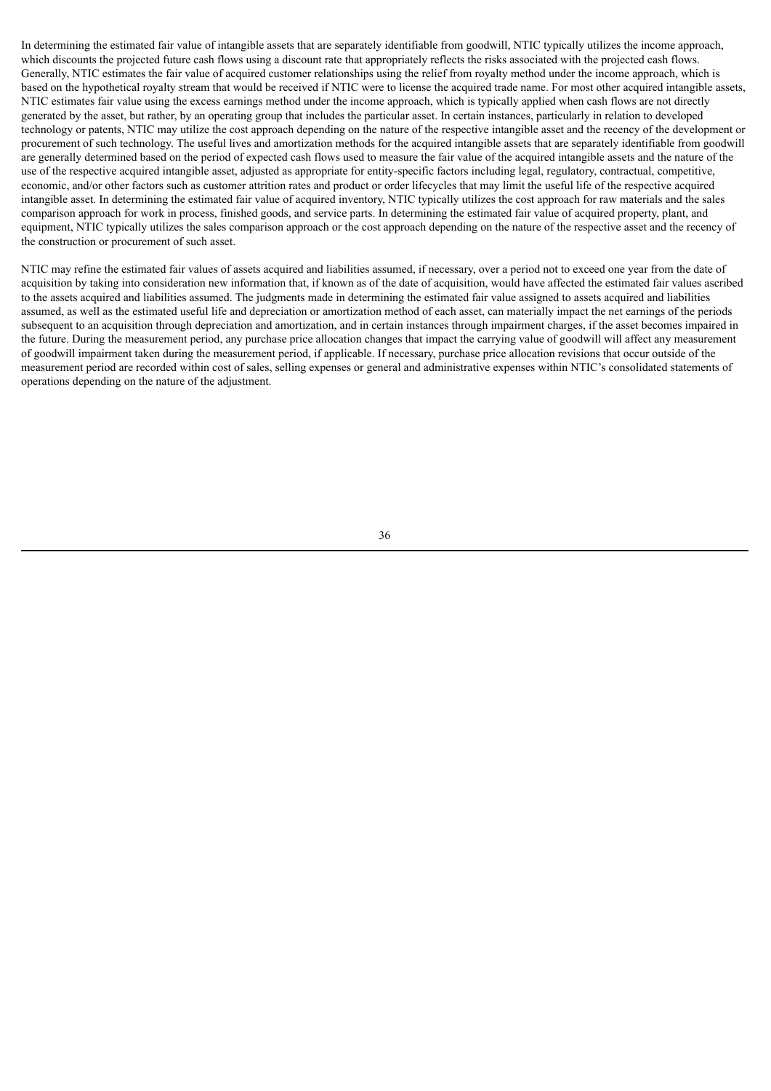In determining the estimated fair value of intangible assets that are separately identifiable from goodwill, NTIC typically utilizes the income approach, which discounts the projected future cash flows using a discount rate that appropriately reflects the risks associated with the projected cash flows. Generally, NTIC estimates the fair value of acquired customer relationships using the relief from royalty method under the income approach, which is based on the hypothetical royalty stream that would be received if NTIC were to license the acquired trade name. For most other acquired intangible assets, NTIC estimates fair value using the excess earnings method under the income approach, which is typically applied when cash flows are not directly generated by the asset, but rather, by an operating group that includes the particular asset. In certain instances, particularly in relation to developed technology or patents, NTIC may utilize the cost approach depending on the nature of the respective intangible asset and the recency of the development or procurement of such technology. The useful lives and amortization methods for the acquired intangible assets that are separately identifiable from goodwill are generally determined based on the period of expected cash flows used to measure the fair value of the acquired intangible assets and the nature of the use of the respective acquired intangible asset, adjusted as appropriate for entity-specific factors including legal, regulatory, contractual, competitive, economic, and/or other factors such as customer attrition rates and product or order lifecycles that may limit the useful life of the respective acquired intangible asset. In determining the estimated fair value of acquired inventory, NTIC typically utilizes the cost approach for raw materials and the sales comparison approach for work in process, finished goods, and service parts. In determining the estimated fair value of acquired property, plant, and equipment, NTIC typically utilizes the sales comparison approach or the cost approach depending on the nature of the respective asset and the recency of the construction or procurement of such asset.

NTIC may refine the estimated fair values of assets acquired and liabilities assumed, if necessary, over a period not to exceed one year from the date of acquisition by taking into consideration new information that, if known as of the date of acquisition, would have affected the estimated fair values ascribed to the assets acquired and liabilities assumed. The judgments made in determining the estimated fair value assigned to assets acquired and liabilities assumed, as well as the estimated useful life and depreciation or amortization method of each asset, can materially impact the net earnings of the periods subsequent to an acquisition through depreciation and amortization, and in certain instances through impairment charges, if the asset becomes impaired in the future. During the measurement period, any purchase price allocation changes that impact the carrying value of goodwill will affect any measurement of goodwill impairment taken during the measurement period, if applicable. If necessary, purchase price allocation revisions that occur outside of the measurement period are recorded within cost of sales, selling expenses or general and administrative expenses within NTIC's consolidated statements of operations depending on the nature of the adjustment.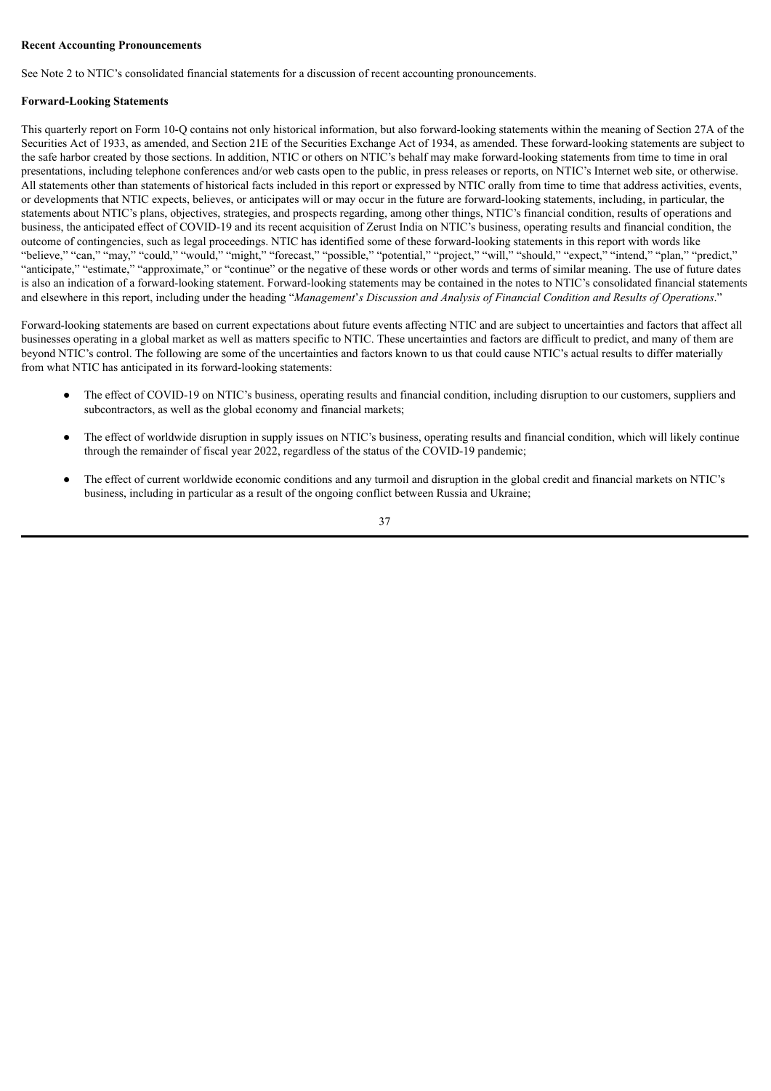#### **Recent Accounting Pronouncements**

See Note 2 to NTIC's consolidated financial statements for a discussion of recent accounting pronouncements.

#### **Forward-Looking Statements**

This quarterly report on Form 10-Q contains not only historical information, but also forward-looking statements within the meaning of Section 27A of the Securities Act of 1933, as amended, and Section 21E of the Securities Exchange Act of 1934, as amended. These forward-looking statements are subject to the safe harbor created by those sections. In addition, NTIC or others on NTIC's behalf may make forward-looking statements from time to time in oral presentations, including telephone conferences and/or web casts open to the public, in press releases or reports, on NTIC's Internet web site, or otherwise. All statements other than statements of historical facts included in this report or expressed by NTIC orally from time to time that address activities, events, or developments that NTIC expects, believes, or anticipates will or may occur in the future are forward-looking statements, including, in particular, the statements about NTIC's plans, objectives, strategies, and prospects regarding, among other things, NTIC's financial condition, results of operations and business, the anticipated effect of COVID-19 and its recent acquisition of Zerust India on NTIC's business, operating results and financial condition, the outcome of contingencies, such as legal proceedings. NTIC has identified some of these forward-looking statements in this report with words like "believe," "can," "may," "could," "would," "might," "forecast," "possible," "potential," "project," "will," "should," "expect," "intend," "plan," "predict," "anticipate," "estimate," "approximate," or "continue" or the negative of these words or other words and terms of similar meaning. The use of future dates is also an indication of a forward-looking statement. Forward-looking statements may be contained in the notes to NTIC's consolidated financial statements and elsewhere in this report, including under the heading "Management's Discussion and Analysis of Financial Condition and Results of Operations."

Forward-looking statements are based on current expectations about future events affecting NTIC and are subject to uncertainties and factors that affect all businesses operating in a global market as well as matters specific to NTIC. These uncertainties and factors are difficult to predict, and many of them are beyond NTIC's control. The following are some of the uncertainties and factors known to us that could cause NTIC's actual results to differ materially from what NTIC has anticipated in its forward-looking statements:

- The effect of COVID-19 on NTIC's business, operating results and financial condition, including disruption to our customers, suppliers and subcontractors, as well as the global economy and financial markets;
- The effect of worldwide disruption in supply issues on NTIC's business, operating results and financial condition, which will likely continue through the remainder of fiscal year 2022, regardless of the status of the COVID-19 pandemic;
- The effect of current worldwide economic conditions and any turmoil and disruption in the global credit and financial markets on NTIC's business, including in particular as a result of the ongoing conflict between Russia and Ukraine;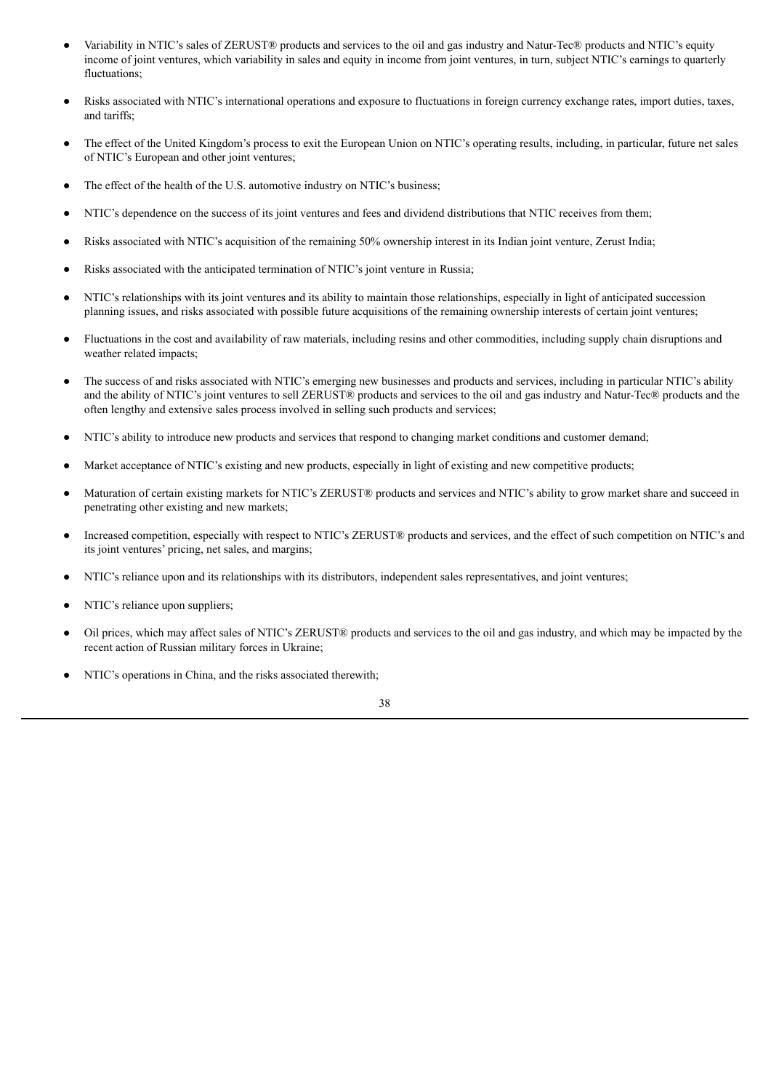- Variability in NTIC's sales of ZERUST® products and services to the oil and gas industry and Natur-Tec® products and NTIC's equity income of joint ventures, which variability in sales and equity in income from joint ventures, in turn, subject NTIC's earnings to quarterly fluctuations;
- Risks associated with NTIC's international operations and exposure to fluctuations in foreign currency exchange rates, import duties, taxes, and tariffs;
- The effect of the United Kingdom's process to exit the European Union on NTIC's operating results, including, in particular, future net sales of NTIC's European and other joint ventures;
- The effect of the health of the U.S. automotive industry on NTIC's business;
- NTIC's dependence on the success of its joint ventures and fees and dividend distributions that NTIC receives from them;
- Risks associated with NTIC's acquisition of the remaining 50% ownership interest in its Indian joint venture, Zerust India;
- Risks associated with the anticipated termination of NTIC's joint venture in Russia;
- NTIC's relationships with its joint ventures and its ability to maintain those relationships, especially in light of anticipated succession planning issues, and risks associated with possible future acquisitions of the remaining ownership interests of certain joint ventures;
- Fluctuations in the cost and availability of raw materials, including resins and other commodities, including supply chain disruptions and weather related impacts;
- The success of and risks associated with NTIC's emerging new businesses and products and services, including in particular NTIC's ability and the ability of NTIC's joint ventures to sell ZERUST® products and services to the oil and gas industry and Natur-Tec® products and the often lengthy and extensive sales process involved in selling such products and services;
- NTIC's ability to introduce new products and services that respond to changing market conditions and customer demand;
- Market acceptance of NTIC's existing and new products, especially in light of existing and new competitive products;
- Maturation of certain existing markets for NTIC's ZERUST® products and services and NTIC's ability to grow market share and succeed in penetrating other existing and new markets;
- Increased competition, especially with respect to NTIC's ZERUST® products and services, and the effect of such competition on NTIC's and its joint ventures' pricing, net sales, and margins;
- NTIC's reliance upon and its relationships with its distributors, independent sales representatives, and joint ventures;
- NTIC's reliance upon suppliers;
- Oil prices, which may affect sales of NTIC's ZERUST® products and services to the oil and gas industry, and which may be impacted by the recent action of Russian military forces in Ukraine;
- NTIC's operations in China, and the risks associated therewith;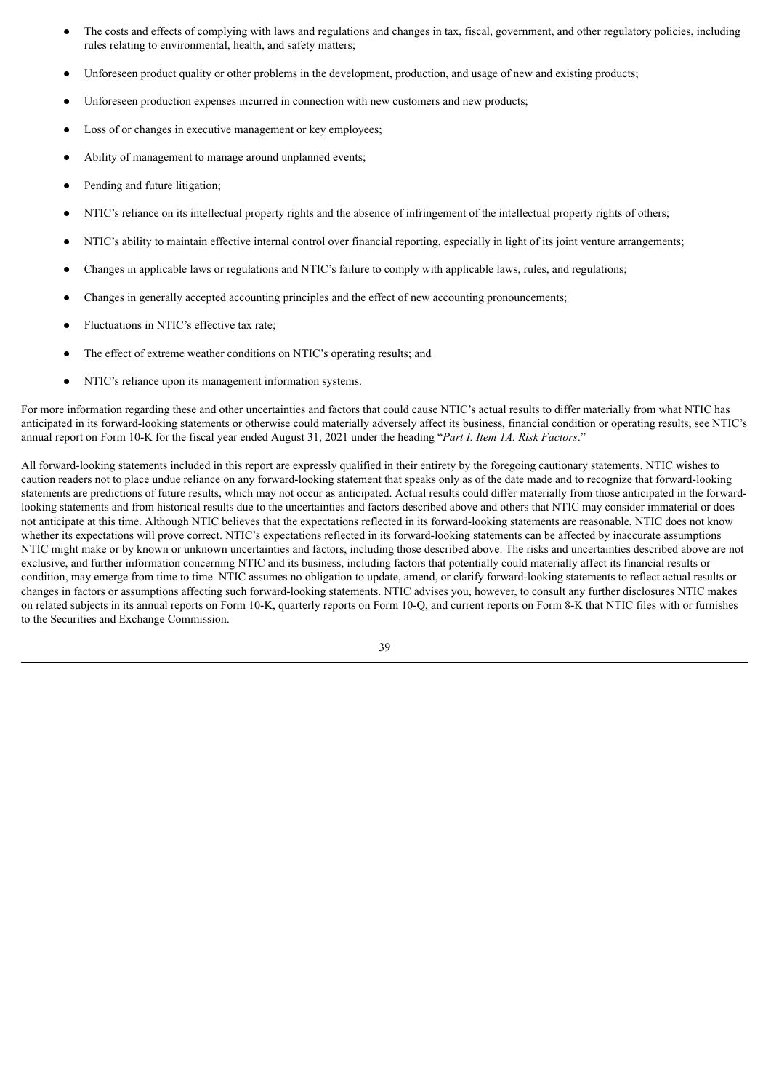- <span id="page-41-0"></span>The costs and effects of complying with laws and regulations and changes in tax, fiscal, government, and other regulatory policies, including rules relating to environmental, health, and safety matters;
- Unforeseen product quality or other problems in the development, production, and usage of new and existing products;
- Unforeseen production expenses incurred in connection with new customers and new products;
- Loss of or changes in executive management or key employees;
- Ability of management to manage around unplanned events;
- Pending and future litigation;
- NTIC's reliance on its intellectual property rights and the absence of infringement of the intellectual property rights of others;
- NTIC's ability to maintain effective internal control over financial reporting, especially in light of its joint venture arrangements;
- Changes in applicable laws or regulations and NTIC's failure to comply with applicable laws, rules, and regulations;
- Changes in generally accepted accounting principles and the effect of new accounting pronouncements;
- Fluctuations in NTIC's effective tax rate;
- The effect of extreme weather conditions on NTIC's operating results; and
- NTIC's reliance upon its management information systems.

For more information regarding these and other uncertainties and factors that could cause NTIC's actual results to differ materially from what NTIC has anticipated in its forward-looking statements or otherwise could materially adversely affect its business, financial condition or operating results, see NTIC's annual report on Form 10-K for the fiscal year ended August 31, 2021 under the heading "*Part I. Item 1A. Risk Factors*."

All forward-looking statements included in this report are expressly qualified in their entirety by the foregoing cautionary statements. NTIC wishes to caution readers not to place undue reliance on any forward-looking statement that speaks only as of the date made and to recognize that forward-looking statements are predictions of future results, which may not occur as anticipated. Actual results could differ materially from those anticipated in the forwardlooking statements and from historical results due to the uncertainties and factors described above and others that NTIC may consider immaterial or does not anticipate at this time. Although NTIC believes that the expectations reflected in its forward-looking statements are reasonable, NTIC does not know whether its expectations will prove correct. NTIC's expectations reflected in its forward-looking statements can be affected by inaccurate assumptions NTIC might make or by known or unknown uncertainties and factors, including those described above. The risks and uncertainties described above are not exclusive, and further information concerning NTIC and its business, including factors that potentially could materially affect its financial results or condition, may emerge from time to time. NTIC assumes no obligation to update, amend, or clarify forward-looking statements to reflect actual results or changes in factors or assumptions affecting such forward-looking statements. NTIC advises you, however, to consult any further disclosures NTIC makes on related subjects in its annual reports on Form 10-K, quarterly reports on Form 10-Q, and current reports on Form 8-K that NTIC files with or furnishes to the Securities and Exchange Commission.

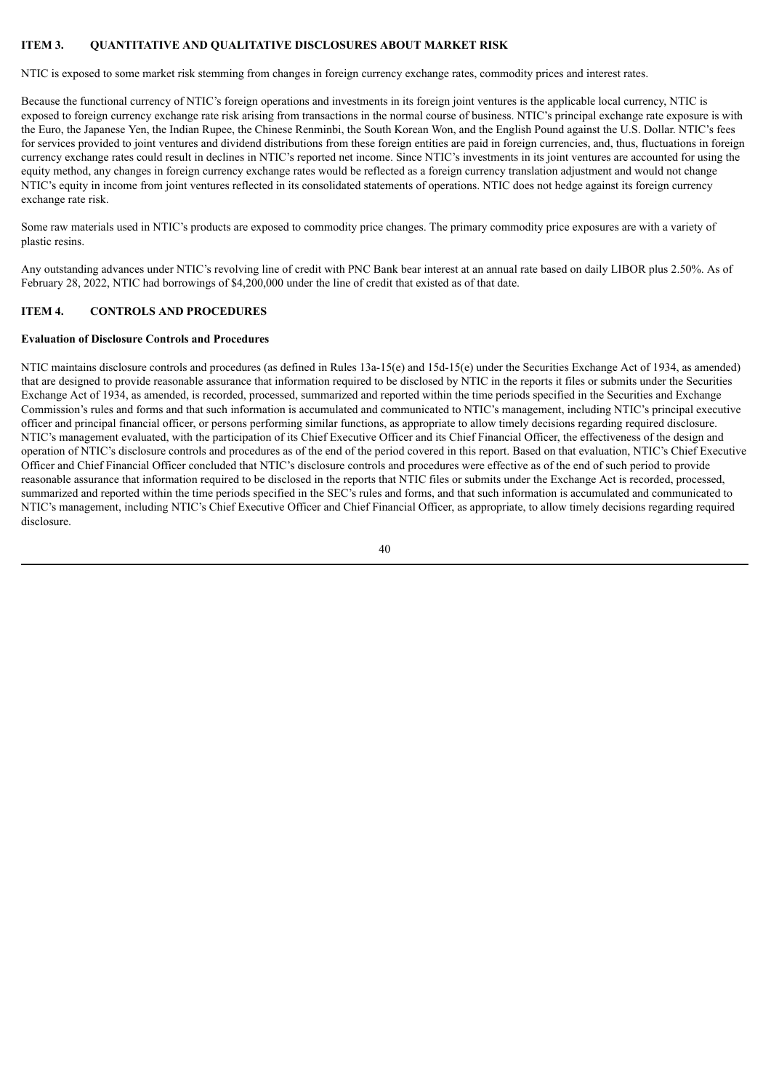## <span id="page-42-0"></span>**ITEM 3. QUANTITATIVE AND QUALITATIVE DISCLOSURES ABOUT MARKET RISK**

NTIC is exposed to some market risk stemming from changes in foreign currency exchange rates, commodity prices and interest rates.

Because the functional currency of NTIC's foreign operations and investments in its foreign joint ventures is the applicable local currency, NTIC is exposed to foreign currency exchange rate risk arising from transactions in the normal course of business. NTIC's principal exchange rate exposure is with the Euro, the Japanese Yen, the Indian Rupee, the Chinese Renminbi, the South Korean Won, and the English Pound against the U.S. Dollar. NTIC's fees for services provided to joint ventures and dividend distributions from these foreign entities are paid in foreign currencies, and, thus, fluctuations in foreign currency exchange rates could result in declines in NTIC's reported net income. Since NTIC's investments in its joint ventures are accounted for using the equity method, any changes in foreign currency exchange rates would be reflected as a foreign currency translation adjustment and would not change NTIC's equity in income from joint ventures reflected in its consolidated statements of operations. NTIC does not hedge against its foreign currency exchange rate risk.

Some raw materials used in NTIC's products are exposed to commodity price changes. The primary commodity price exposures are with a variety of plastic resins.

Any outstanding advances under NTIC's revolving line of credit with PNC Bank bear interest at an annual rate based on daily LIBOR plus 2.50%. As of February 28, 2022, NTIC had borrowings of \$4,200,000 under the line of credit that existed as of that date.

## <span id="page-42-1"></span>**ITEM 4. CONTROLS AND PROCEDURES**

#### **Evaluation of Disclosure Controls and Procedures**

NTIC maintains disclosure controls and procedures (as defined in Rules 13a-15(e) and 15d-15(e) under the Securities Exchange Act of 1934, as amended) that are designed to provide reasonable assurance that information required to be disclosed by NTIC in the reports it files or submits under the Securities Exchange Act of 1934, as amended, is recorded, processed, summarized and reported within the time periods specified in the Securities and Exchange Commission's rules and forms and that such information is accumulated and communicated to NTIC's management, including NTIC's principal executive officer and principal financial officer, or persons performing similar functions, as appropriate to allow timely decisions regarding required disclosure. NTIC's management evaluated, with the participation of its Chief Executive Officer and its Chief Financial Officer, the effectiveness of the design and operation of NTIC's disclosure controls and procedures as of the end of the period covered in this report. Based on that evaluation, NTIC's Chief Executive Officer and Chief Financial Officer concluded that NTIC's disclosure controls and procedures were effective as of the end of such period to provide reasonable assurance that information required to be disclosed in the reports that NTIC files or submits under the Exchange Act is recorded, processed, summarized and reported within the time periods specified in the SEC's rules and forms, and that such information is accumulated and communicated to NTIC's management, including NTIC's Chief Executive Officer and Chief Financial Officer, as appropriate, to allow timely decisions regarding required disclosure.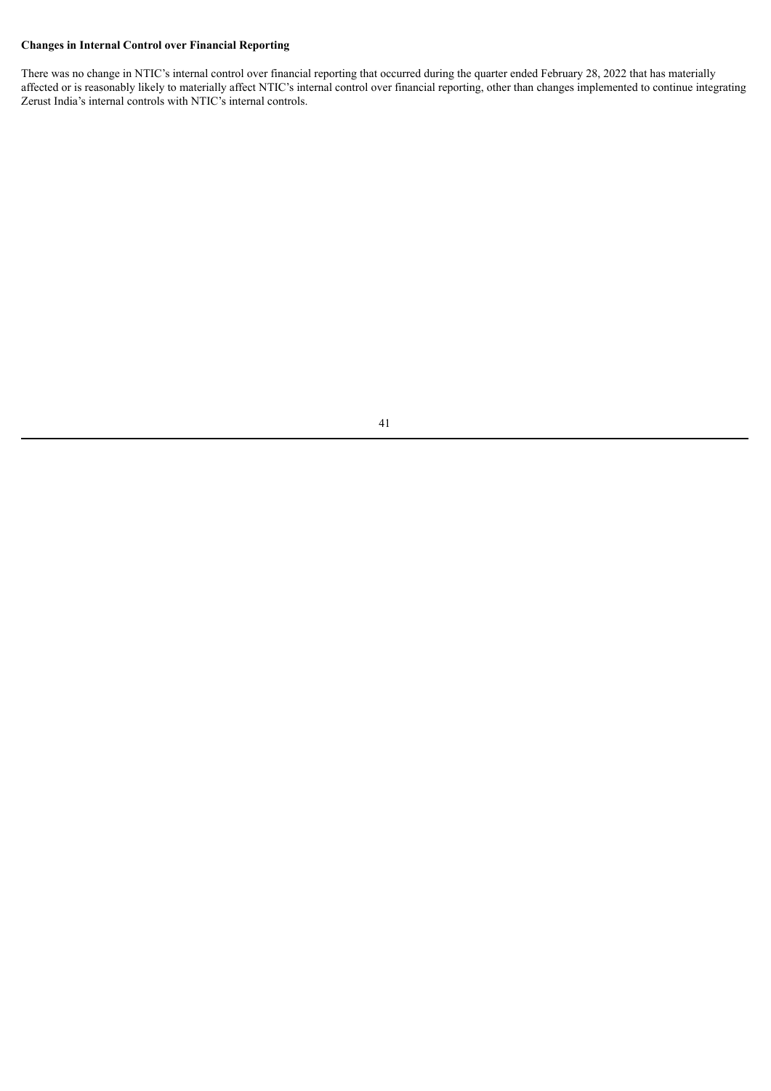## **Changes in Internal Control over Financial Reporting**

There was no change in NTIC's internal control over financial reporting that occurred during the quarter ended February 28, 2022 that has materially affected or is reasonably likely to materially affect NTIC's internal control over financial reporting, other than changes implemented to continue integrating Zerust India's internal controls with NTIC's internal controls.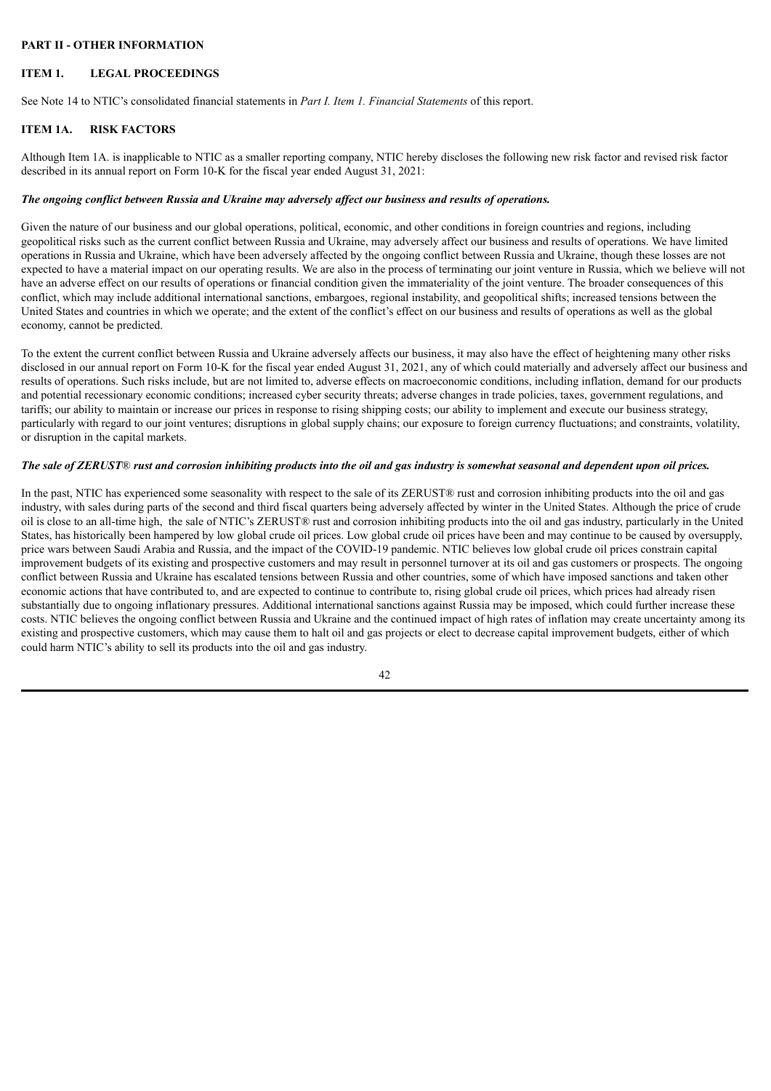#### <span id="page-44-0"></span>**PART II - OTHER INFORMATION**

#### <span id="page-44-1"></span>**ITEM 1. LEGAL PROCEEDINGS**

See Note 14 to NTIC's consolidated financial statements in *Part I. Item 1. Financial Statements* of this report.

#### <span id="page-44-2"></span>**ITEM 1A. RISK FACTORS**

Although Item 1A. is inapplicable to NTIC as a smaller reporting company, NTIC hereby discloses the following new risk factor and revised risk factor described in its annual report on Form 10-K for the fiscal year ended August 31, 2021:

#### The ongoing conflict between Russia and Ukraine may adversely affect our business and results of operations.

Given the nature of our business and our global operations, political, economic, and other conditions in foreign countries and regions, including geopolitical risks such as the current conflict between Russia and Ukraine, may adversely affect our business and results of operations. We have limited operations in Russia and Ukraine, which have been adversely affected by the ongoing conflict between Russia and Ukraine, though these losses are not expected to have a material impact on our operating results. We are also in the process of terminating our joint venture in Russia, which we believe will not have an adverse effect on our results of operations or financial condition given the immateriality of the joint venture. The broader consequences of this conflict, which may include additional international sanctions, embargoes, regional instability, and geopolitical shifts; increased tensions between the United States and countries in which we operate; and the extent of the conflict's effect on our business and results of operations as well as the global economy, cannot be predicted.

To the extent the current conflict between Russia and Ukraine adversely affects our business, it may also have the effect of heightening many other risks disclosed in our annual report on Form 10-K for the fiscal year ended August 31, 2021, any of which could materially and adversely affect our business and results of operations. Such risks include, but are not limited to, adverse effects on macroeconomic conditions, including inflation, demand for our products and potential recessionary economic conditions; increased cyber security threats; adverse changes in trade policies, taxes, government regulations, and tariffs; our ability to maintain or increase our prices in response to rising shipping costs; our ability to implement and execute our business strategy, particularly with regard to our joint ventures; disruptions in global supply chains; our exposure to foreign currency fluctuations; and constraints, volatility, or disruption in the capital markets.

#### The sale of ZERUST® rust and corrosion inhibiting products into the oil and gas industry is somewhat seasonal and dependent upon oil prices.

In the past, NTIC has experienced some seasonality with respect to the sale of its ZERUST® rust and corrosion inhibiting products into the oil and gas industry, with sales during parts of the second and third fiscal quarters being adversely affected by winter in the United States. Although the price of crude oil is close to an all-time high, the sale of NTIC's ZERUST® rust and corrosion inhibiting products into the oil and gas industry, particularly in the United States, has historically been hampered by low global crude oil prices. Low global crude oil prices have been and may continue to be caused by oversupply, price wars between Saudi Arabia and Russia, and the impact of the COVID-19 pandemic. NTIC believes low global crude oil prices constrain capital improvement budgets of its existing and prospective customers and may result in personnel turnover at its oil and gas customers or prospects. The ongoing conflict between Russia and Ukraine has escalated tensions between Russia and other countries, some of which have imposed sanctions and taken other economic actions that have contributed to, and are expected to continue to contribute to, rising global crude oil prices, which prices had already risen substantially due to ongoing inflationary pressures. Additional international sanctions against Russia may be imposed, which could further increase these costs. NTIC believes the ongoing conflict between Russia and Ukraine and the continued impact of high rates of inflation may create uncertainty among its existing and prospective customers, which may cause them to halt oil and gas projects or elect to decrease capital improvement budgets, either of which could harm NTIC's ability to sell its products into the oil and gas industry.

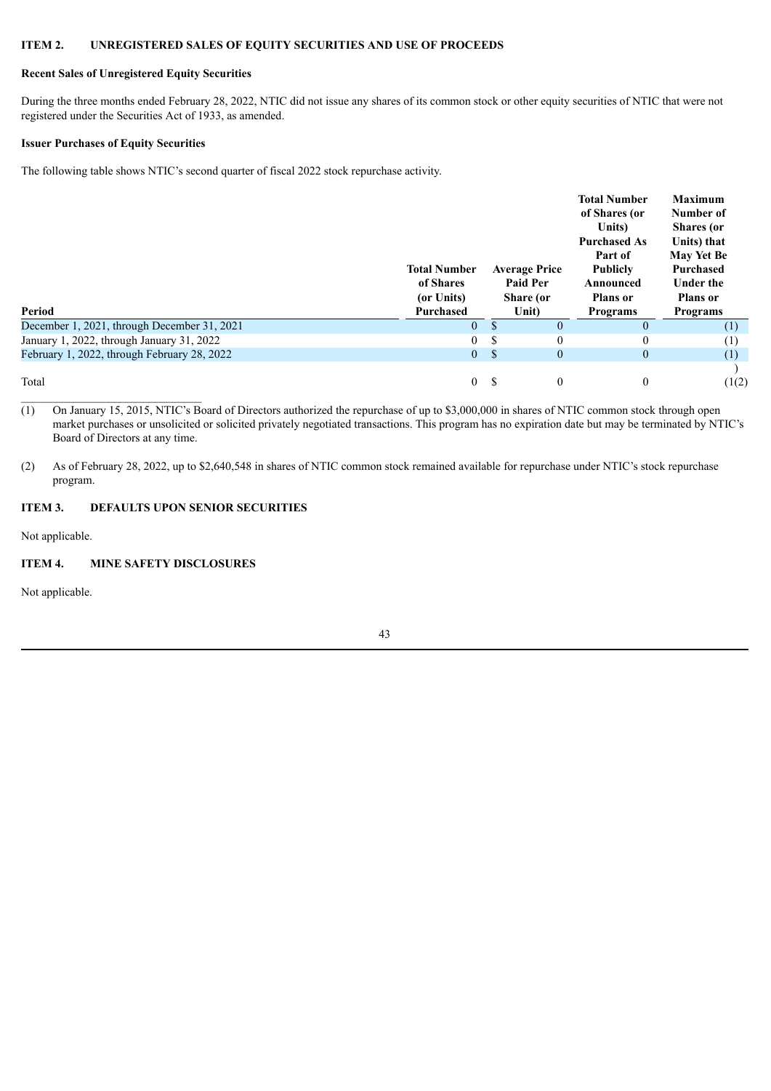## <span id="page-45-0"></span>**ITEM 2. UNREGISTERED SALES OF EQUITY SECURITIES AND USE OF PROCEEDS**

## **Recent Sales of Unregistered Equity Securities**

During the three months ended February 28, 2022, NTIC did not issue any shares of its common stock or other equity securities of NTIC that were not registered under the Securities Act of 1933, as amended.

#### **Issuer Purchases of Equity Securities**

The following table shows NTIC's second quarter of fiscal 2022 stock repurchase activity.

|                                             | <b>Total Number</b><br>of Shares<br>(or Units) |               | <b>Average Price</b><br><b>Paid Per</b><br><b>Share</b> (or | <b>Total Number</b><br>of Shares (or<br>Units)<br><b>Purchased As</b><br>Part of<br><b>Publicly</b><br>Announced<br><b>Plans or</b> | <b>Maximum</b><br>Number of<br><b>Shares</b> (or<br>Units) that<br><b>May Yet Be</b><br>Purchased<br>Under the<br><b>Plans or</b> |
|---------------------------------------------|------------------------------------------------|---------------|-------------------------------------------------------------|-------------------------------------------------------------------------------------------------------------------------------------|-----------------------------------------------------------------------------------------------------------------------------------|
| Period                                      | <b>Purchased</b>                               |               | Unit)                                                       | <b>Programs</b>                                                                                                                     | <b>Programs</b>                                                                                                                   |
| December 1, 2021, through December 31, 2021 | $\theta$                                       |               | $\Omega$                                                    | $\theta$                                                                                                                            | (1)                                                                                                                               |
| January 1, 2022, through January 31, 2022   | $\theta$                                       | -S            | $\theta$                                                    | $\theta$                                                                                                                            | $\left(1\right)$                                                                                                                  |
| February 1, 2022, through February 28, 2022 | $\overline{0}$                                 | - \$          | $\mathbf{0}$                                                | $\theta$                                                                                                                            | (1)                                                                                                                               |
|                                             |                                                |               |                                                             |                                                                                                                                     |                                                                                                                                   |
| Total                                       | $\overline{0}$                                 | <sup>\$</sup> | $\theta$                                                    | $\boldsymbol{0}$                                                                                                                    | (1(2)                                                                                                                             |

 $(1)$  On January 15, 2015, NTIC's Board of Directors authorized the repurchase of up to \$3,000,000 in shares of NTIC common stock through open market purchases or unsolicited or solicited privately negotiated transactions. This program has no expiration date but may be terminated by NTIC's Board of Directors at any time.

(2) As of February 28, 2022, up to \$2,640,548 in shares of NTIC common stock remained available for repurchase under NTIC's stock repurchase program.

## <span id="page-45-1"></span>**ITEM 3. DEFAULTS UPON SENIOR SECURITIES**

Not applicable.

## <span id="page-45-2"></span>**ITEM 4. MINE SAFETY DISCLOSURES**

Not applicable.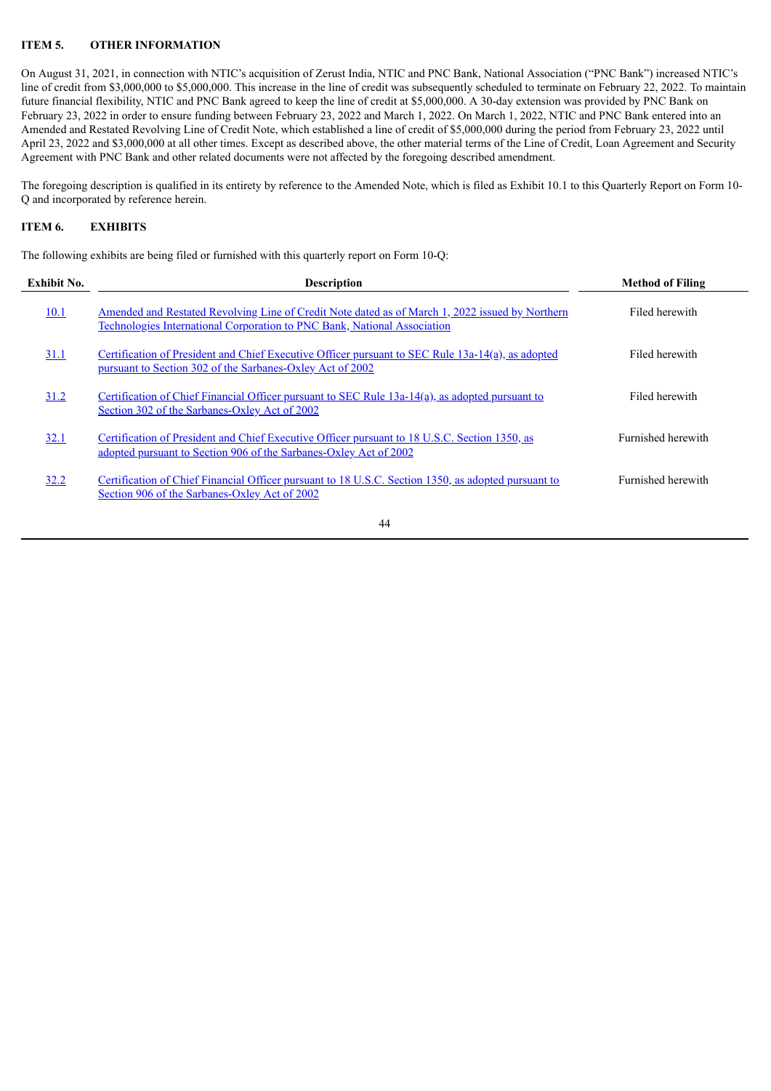## <span id="page-46-0"></span>**ITEM 5. OTHER INFORMATION**

On August 31, 2021, in connection with NTIC's acquisition of Zerust India, NTIC and PNC Bank, National Association ("PNC Bank") increased NTIC's line of credit from \$3,000,000 to \$5,000,000. This increase in the line of credit was subsequently scheduled to terminate on February 22, 2022. To maintain future financial flexibility, NTIC and PNC Bank agreed to keep the line of credit at \$5,000,000. A 30-day extension was provided by PNC Bank on February 23, 2022 in order to ensure funding between February 23, 2022 and March 1, 2022. On March 1, 2022, NTIC and PNC Bank entered into an Amended and Restated Revolving Line of Credit Note, which established a line of credit of \$5,000,000 during the period from February 23, 2022 until April 23, 2022 and \$3,000,000 at all other times. Except as described above, the other material terms of the Line of Credit, Loan Agreement and Security Agreement with PNC Bank and other related documents were not affected by the foregoing described amendment.

The foregoing description is qualified in its entirety by reference to the Amended Note, which is filed as Exhibit 10.1 to this Quarterly Report on Form 10- Q and incorporated by reference herein.

## <span id="page-46-1"></span>**ITEM 6. EXHIBITS**

The following exhibits are being filed or furnished with this quarterly report on Form 10-Q:

| <b>Exhibit No.</b> | <b>Description</b>                                                                                                                                                                 | <b>Method of Filing</b> |
|--------------------|------------------------------------------------------------------------------------------------------------------------------------------------------------------------------------|-------------------------|
| 10.1               | Amended and Restated Revolving Line of Credit Note dated as of March 1, 2022 issued by Northern<br><b>Technologies International Corporation to PNC Bank, National Association</b> | Filed herewith          |
| <b>31.1</b>        | Certification of President and Chief Executive Officer pursuant to SEC Rule 13a-14(a), as adopted<br>pursuant to Section 302 of the Sarbanes-Oxley Act of 2002                     | Filed herewith          |
| 31.2               | Certification of Chief Financial Officer pursuant to SEC Rule 13a-14(a), as adopted pursuant to<br>Section 302 of the Sarbanes-Oxley Act of 2002                                   | Filed herewith          |
| 32.1               | Certification of President and Chief Executive Officer pursuant to 18 U.S.C. Section 1350, as<br>adopted pursuant to Section 906 of the Sarbanes-Oxley Act of 2002                 | Furnished herewith      |
| 32.2               | Certification of Chief Financial Officer pursuant to 18 U.S.C. Section 1350, as adopted pursuant to<br>Section 906 of the Sarbanes-Oxley Act of 2002                               | Furnished herewith      |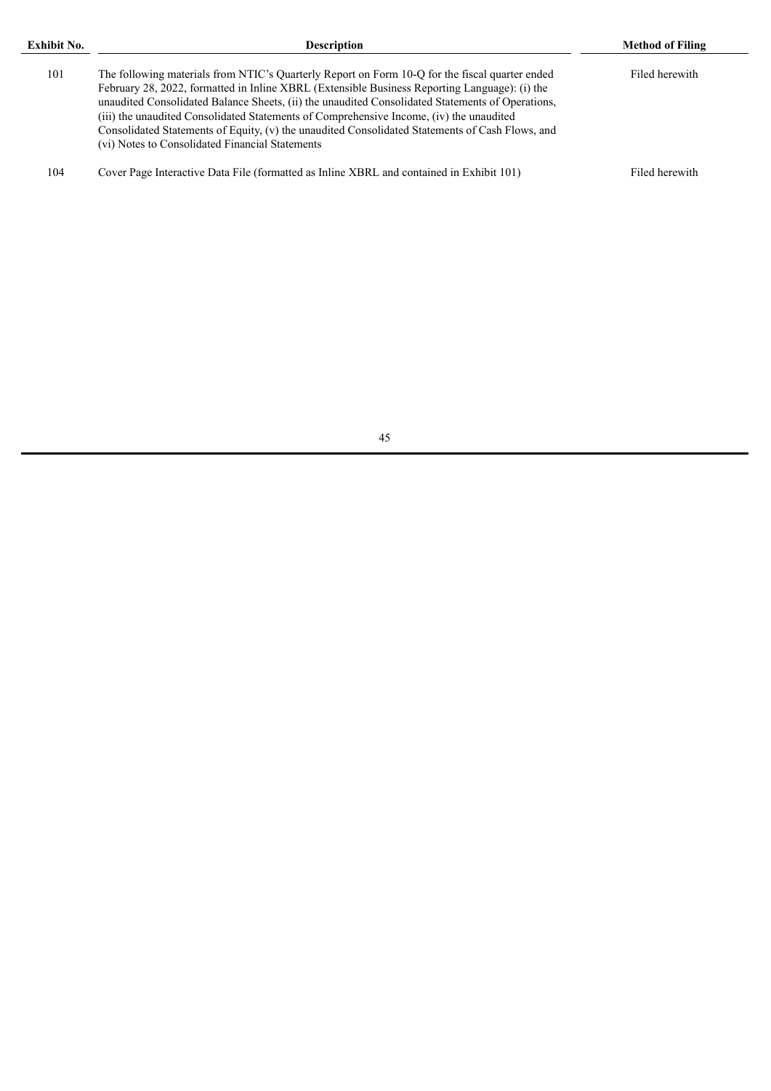| <b>Exhibit No.</b> | <b>Description</b>                                                                                                                                                                                                                                                                                                                                                                                                                                                                                                                                   | <b>Method of Filing</b> |  |
|--------------------|------------------------------------------------------------------------------------------------------------------------------------------------------------------------------------------------------------------------------------------------------------------------------------------------------------------------------------------------------------------------------------------------------------------------------------------------------------------------------------------------------------------------------------------------------|-------------------------|--|
| 101                | The following materials from NTIC's Quarterly Report on Form 10-Q for the fiscal quarter ended<br>February 28, 2022, formatted in Inline XBRL (Extensible Business Reporting Language): (i) the<br>unaudited Consolidated Balance Sheets, (ii) the unaudited Consolidated Statements of Operations,<br>(iii) the unaudited Consolidated Statements of Comprehensive Income, (iv) the unaudited<br>Consolidated Statements of Equity, (v) the unaudited Consolidated Statements of Cash Flows, and<br>(vi) Notes to Consolidated Financial Statements | Filed herewith          |  |
| 104                | Cover Page Interactive Data File (formatted as Inline XBRL and contained in Exhibit 101)                                                                                                                                                                                                                                                                                                                                                                                                                                                             | Filed herewith          |  |
|                    |                                                                                                                                                                                                                                                                                                                                                                                                                                                                                                                                                      |                         |  |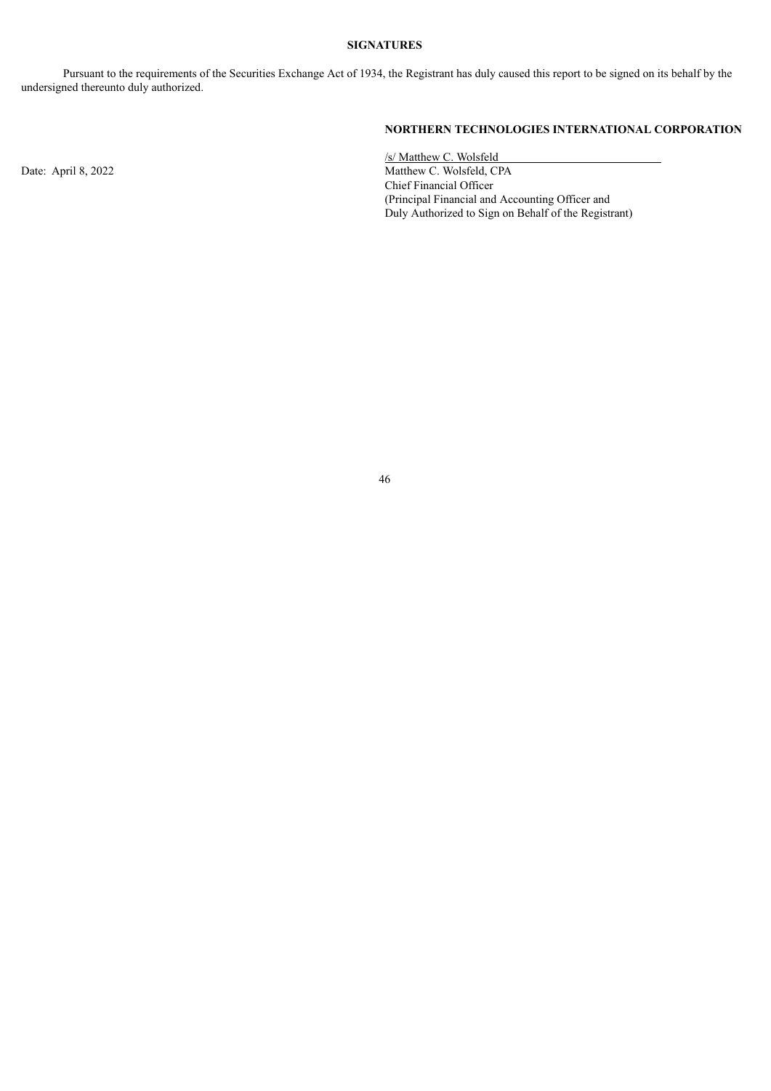#### **SIGNATURES**

<span id="page-48-0"></span>Pursuant to the requirements of the Securities Exchange Act of 1934, the Registrant has duly caused this report to be signed on its behalf by the undersigned thereunto duly authorized.

## **NORTHERN TECHNOLOGIES INTERNATIONAL CORPORATION**

/s/ Matthew C. Wolsfeld Date: April 8, 2022 Matthew C. Wolsfeld, CPA Chief Financial Officer (Principal Financial and Accounting Officer and Duly Authorized to Sign on Behalf of the Registrant)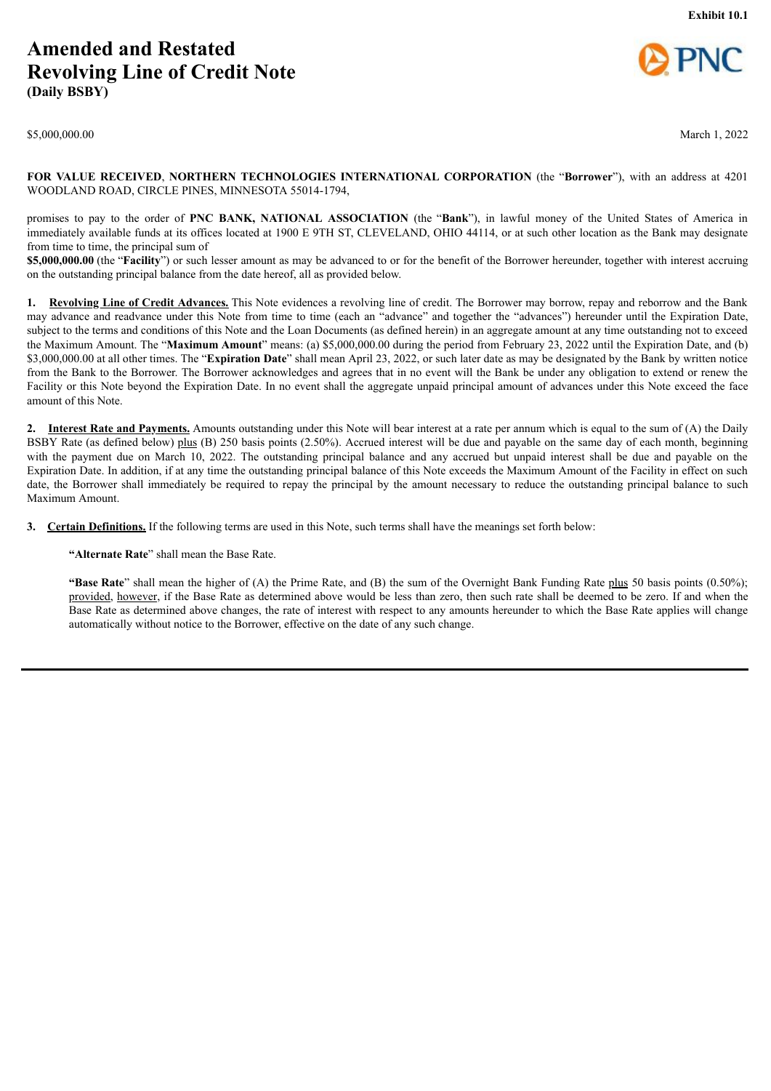## <span id="page-49-0"></span>**Amended and Restated Revolving Line of Credit Note (Daily BSBY)**



\$5,000,000.00 March 1, 2022

**FOR VALUE RECEIVED**, **NORTHERN TECHNOLOGIES INTERNATIONAL CORPORATION** (the "**Borrower**"), with an address at 4201 WOODLAND ROAD, CIRCLE PINES, MINNESOTA 55014-1794,

promises to pay to the order of **PNC BANK, NATIONAL ASSOCIATION** (the "**Bank**"), in lawful money of the United States of America in immediately available funds at its offices located at 1900 E 9TH ST, CLEVELAND, OHIO 44114, or at such other location as the Bank may designate from time to time, the principal sum of

**\$5,000,000.00** (the "**Facility**") or such lesser amount as may be advanced to or for the benefit of the Borrower hereunder, together with interest accruing on the outstanding principal balance from the date hereof, all as provided below.

**1. Revolving Line of Credit Advances.** This Note evidences a revolving line of credit. The Borrower may borrow, repay and reborrow and the Bank may advance and readvance under this Note from time to time (each an "advance" and together the "advances") hereunder until the Expiration Date, subject to the terms and conditions of this Note and the Loan Documents (as defined herein) in an aggregate amount at any time outstanding not to exceed the Maximum Amount. The "**Maximum Amount**" means: (a) \$5,000,000.00 during the period from February 23, 2022 until the Expiration Date, and (b) \$3,000,000.00 at all other times. The "**Expiration Date**" shall mean April 23, 2022, or such later date as may be designated by the Bank by written notice from the Bank to the Borrower. The Borrower acknowledges and agrees that in no event will the Bank be under any obligation to extend or renew the Facility or this Note beyond the Expiration Date. In no event shall the aggregate unpaid principal amount of advances under this Note exceed the face amount of this Note.

**2. Interest Rate and Payments.** Amounts outstanding under this Note will bear interest at a rate per annum which is equal to the sum of (A) the Daily BSBY Rate (as defined below) plus (B) 250 basis points (2.50%). Accrued interest will be due and payable on the same day of each month, beginning with the payment due on March 10, 2022. The outstanding principal balance and any accrued but unpaid interest shall be due and payable on the Expiration Date. In addition, if at any time the outstanding principal balance of this Note exceeds the Maximum Amount of the Facility in effect on such date, the Borrower shall immediately be required to repay the principal by the amount necessary to reduce the outstanding principal balance to such Maximum Amount.

**3. Certain Definitions.** If the following terms are used in this Note, such terms shall have the meanings set forth below:

**"Alternate Rate**" shall mean the Base Rate.

**"Base Rate**" shall mean the higher of (A) the Prime Rate, and (B) the sum of the Overnight Bank Funding Rate plus 50 basis points (0.50%); provided, however, if the Base Rate as determined above would be less than zero, then such rate shall be deemed to be zero. If and when the Base Rate as determined above changes, the rate of interest with respect to any amounts hereunder to which the Base Rate applies will change automatically without notice to the Borrower, effective on the date of any such change.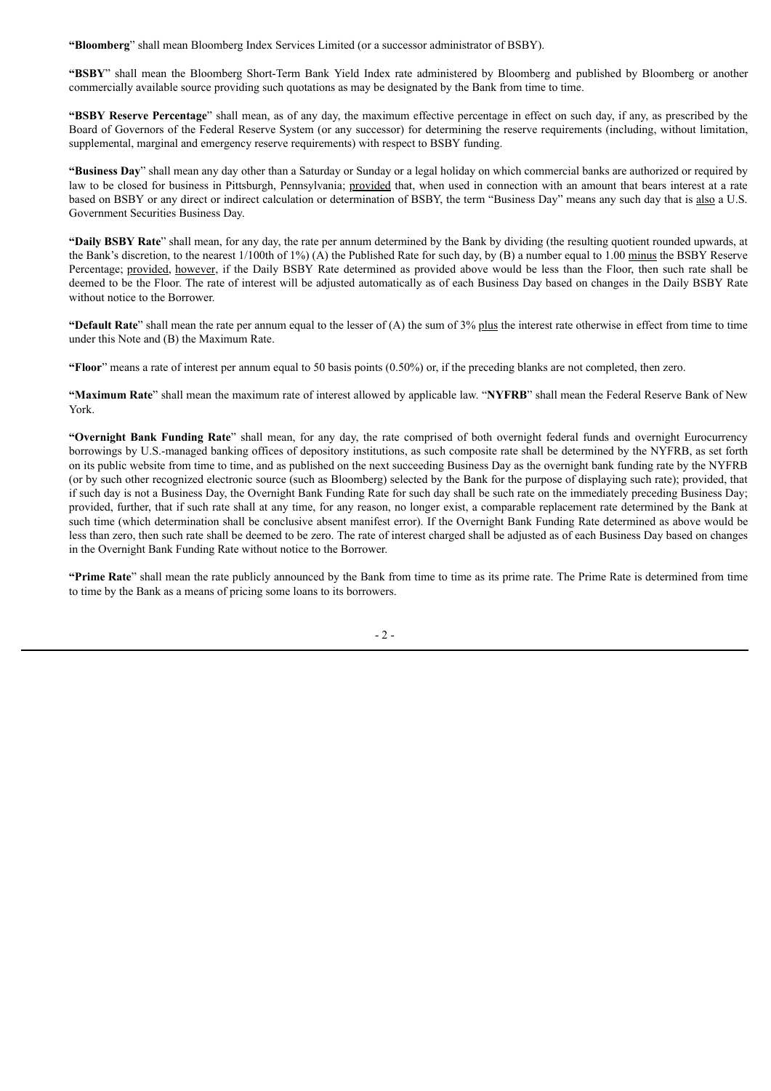**"Bloomberg**" shall mean Bloomberg Index Services Limited (or a successor administrator of BSBY).

**"BSBY**" shall mean the Bloomberg Short-Term Bank Yield Index rate administered by Bloomberg and published by Bloomberg or another commercially available source providing such quotations as may be designated by the Bank from time to time.

**"BSBY Reserve Percentage**" shall mean, as of any day, the maximum effective percentage in effect on such day, if any, as prescribed by the Board of Governors of the Federal Reserve System (or any successor) for determining the reserve requirements (including, without limitation, supplemental, marginal and emergency reserve requirements) with respect to BSBY funding.

**"Business Day**" shall mean any day other than a Saturday or Sunday or a legal holiday on which commercial banks are authorized or required by law to be closed for business in Pittsburgh, Pennsylvania; provided that, when used in connection with an amount that bears interest at a rate based on BSBY or any direct or indirect calculation or determination of BSBY, the term "Business Day" means any such day that is also a U.S. Government Securities Business Day.

**"Daily BSBY Rate**" shall mean, for any day, the rate per annum determined by the Bank by dividing (the resulting quotient rounded upwards, at the Bank's discretion, to the nearest 1/100th of 1%) (A) the Published Rate for such day, by (B) a number equal to 1.00 minus the BSBY Reserve Percentage; provided, however, if the Daily BSBY Rate determined as provided above would be less than the Floor, then such rate shall be deemed to be the Floor. The rate of interest will be adjusted automatically as of each Business Day based on changes in the Daily BSBY Rate without notice to the Borrower.

**"Default Rate**" shall mean the rate per annum equal to the lesser of (A) the sum of 3% plus the interest rate otherwise in effect from time to time under this Note and (B) the Maximum Rate.

**"Floor**" means a rate of interest per annum equal to 50 basis points (0.50%) or, if the preceding blanks are not completed, then zero.

**"Maximum Rate**" shall mean the maximum rate of interest allowed by applicable law. "**NYFRB**" shall mean the Federal Reserve Bank of New York.

**"Overnight Bank Funding Rate**" shall mean, for any day, the rate comprised of both overnight federal funds and overnight Eurocurrency borrowings by U.S.-managed banking offices of depository institutions, as such composite rate shall be determined by the NYFRB, as set forth on its public website from time to time, and as published on the next succeeding Business Day as the overnight bank funding rate by the NYFRB (or by such other recognized electronic source (such as Bloomberg) selected by the Bank for the purpose of displaying such rate); provided, that if such day is not a Business Day, the Overnight Bank Funding Rate for such day shall be such rate on the immediately preceding Business Day; provided, further, that if such rate shall at any time, for any reason, no longer exist, a comparable replacement rate determined by the Bank at such time (which determination shall be conclusive absent manifest error). If the Overnight Bank Funding Rate determined as above would be less than zero, then such rate shall be deemed to be zero. The rate of interest charged shall be adjusted as of each Business Day based on changes in the Overnight Bank Funding Rate without notice to the Borrower.

**"Prime Rate**" shall mean the rate publicly announced by the Bank from time to time as its prime rate. The Prime Rate is determined from time to time by the Bank as a means of pricing some loans to its borrowers.

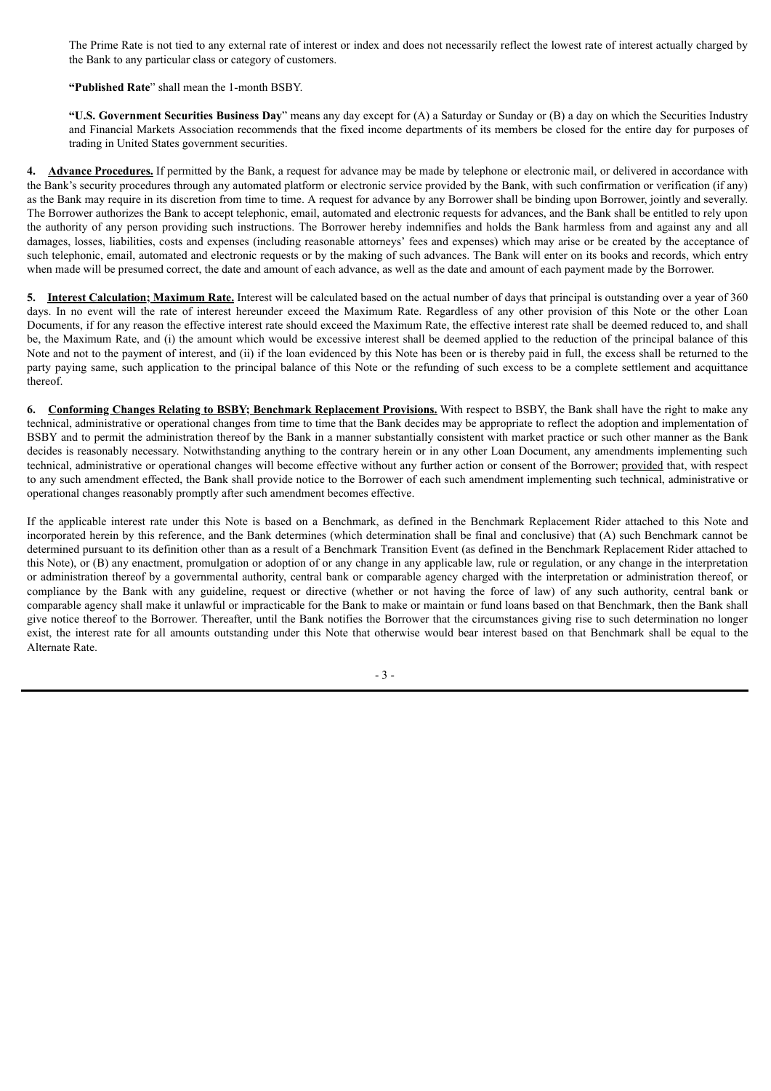The Prime Rate is not tied to any external rate of interest or index and does not necessarily reflect the lowest rate of interest actually charged by the Bank to any particular class or category of customers.

**"Published Rate**" shall mean the 1-month BSBY.

**"U.S. Government Securities Business Day**" means any day except for (A) a Saturday or Sunday or (B) a day on which the Securities Industry and Financial Markets Association recommends that the fixed income departments of its members be closed for the entire day for purposes of trading in United States government securities.

**4. Advance Procedures.** If permitted by the Bank, a request for advance may be made by telephone or electronic mail, or delivered in accordance with the Bank's security procedures through any automated platform or electronic service provided by the Bank, with such confirmation or verification (if any) as the Bank may require in its discretion from time to time. A request for advance by any Borrower shall be binding upon Borrower, jointly and severally. The Borrower authorizes the Bank to accept telephonic, email, automated and electronic requests for advances, and the Bank shall be entitled to rely upon the authority of any person providing such instructions. The Borrower hereby indemnifies and holds the Bank harmless from and against any and all damages, losses, liabilities, costs and expenses (including reasonable attorneys' fees and expenses) which may arise or be created by the acceptance of such telephonic, email, automated and electronic requests or by the making of such advances. The Bank will enter on its books and records, which entry when made will be presumed correct, the date and amount of each advance, as well as the date and amount of each payment made by the Borrower.

**5. Interest Calculation; Maximum Rate.** Interest will be calculated based on the actual number of days that principal is outstanding over a year of 360 days. In no event will the rate of interest hereunder exceed the Maximum Rate. Regardless of any other provision of this Note or the other Loan Documents, if for any reason the effective interest rate should exceed the Maximum Rate, the effective interest rate shall be deemed reduced to, and shall be, the Maximum Rate, and (i) the amount which would be excessive interest shall be deemed applied to the reduction of the principal balance of this Note and not to the payment of interest, and (ii) if the loan evidenced by this Note has been or is thereby paid in full, the excess shall be returned to the party paying same, such application to the principal balance of this Note or the refunding of such excess to be a complete settlement and acquittance thereof.

**6. Conforming Changes Relating to BSBY; Benchmark Replacement Provisions.** With respect to BSBY, the Bank shall have the right to make any technical, administrative or operational changes from time to time that the Bank decides may be appropriate to reflect the adoption and implementation of BSBY and to permit the administration thereof by the Bank in a manner substantially consistent with market practice or such other manner as the Bank decides is reasonably necessary. Notwithstanding anything to the contrary herein or in any other Loan Document, any amendments implementing such technical, administrative or operational changes will become effective without any further action or consent of the Borrower; provided that, with respect to any such amendment effected, the Bank shall provide notice to the Borrower of each such amendment implementing such technical, administrative or operational changes reasonably promptly after such amendment becomes effective.

If the applicable interest rate under this Note is based on a Benchmark, as defined in the Benchmark Replacement Rider attached to this Note and incorporated herein by this reference, and the Bank determines (which determination shall be final and conclusive) that (A) such Benchmark cannot be determined pursuant to its definition other than as a result of a Benchmark Transition Event (as defined in the Benchmark Replacement Rider attached to this Note), or (B) any enactment, promulgation or adoption of or any change in any applicable law, rule or regulation, or any change in the interpretation or administration thereof by a governmental authority, central bank or comparable agency charged with the interpretation or administration thereof, or compliance by the Bank with any guideline, request or directive (whether or not having the force of law) of any such authority, central bank or comparable agency shall make it unlawful or impracticable for the Bank to make or maintain or fund loans based on that Benchmark, then the Bank shall give notice thereof to the Borrower. Thereafter, until the Bank notifies the Borrower that the circumstances giving rise to such determination no longer exist, the interest rate for all amounts outstanding under this Note that otherwise would bear interest based on that Benchmark shall be equal to the Alternate Rate.

- 3 -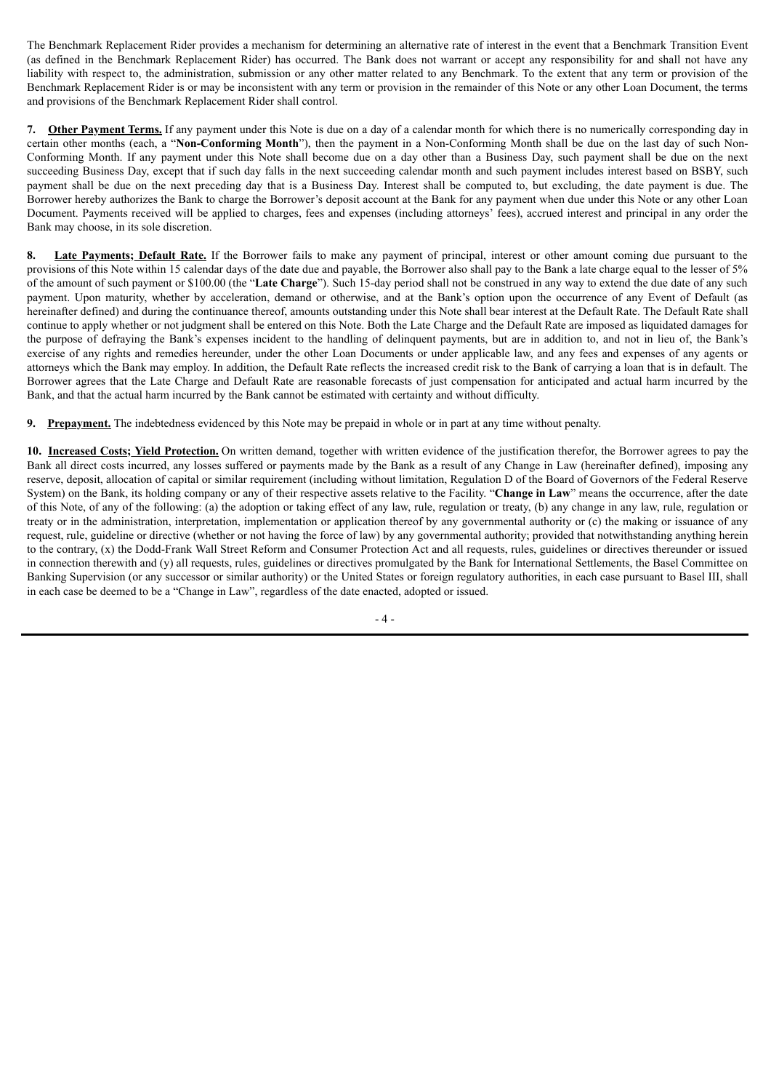The Benchmark Replacement Rider provides a mechanism for determining an alternative rate of interest in the event that a Benchmark Transition Event (as defined in the Benchmark Replacement Rider) has occurred. The Bank does not warrant or accept any responsibility for and shall not have any liability with respect to, the administration, submission or any other matter related to any Benchmark. To the extent that any term or provision of the Benchmark Replacement Rider is or may be inconsistent with any term or provision in the remainder of this Note or any other Loan Document, the terms and provisions of the Benchmark Replacement Rider shall control.

**7. Other Payment Terms.** If any payment under this Note is due on a day of a calendar month for which there is no numerically corresponding day in certain other months (each, a "**Non-Conforming Month**"), then the payment in a Non-Conforming Month shall be due on the last day of such Non-Conforming Month. If any payment under this Note shall become due on a day other than a Business Day, such payment shall be due on the next succeeding Business Day, except that if such day falls in the next succeeding calendar month and such payment includes interest based on BSBY, such payment shall be due on the next preceding day that is a Business Day. Interest shall be computed to, but excluding, the date payment is due. The Borrower hereby authorizes the Bank to charge the Borrower's deposit account at the Bank for any payment when due under this Note or any other Loan Document. Payments received will be applied to charges, fees and expenses (including attorneys' fees), accrued interest and principal in any order the Bank may choose, in its sole discretion.

**8. Late Payments; Default Rate.** If the Borrower fails to make any payment of principal, interest or other amount coming due pursuant to the provisions of this Note within 15 calendar days of the date due and payable, the Borrower also shall pay to the Bank a late charge equal to the lesser of 5% of the amount of such payment or \$100.00 (the "**Late Charge**"). Such 15-day period shall not be construed in any way to extend the due date of any such payment. Upon maturity, whether by acceleration, demand or otherwise, and at the Bank's option upon the occurrence of any Event of Default (as hereinafter defined) and during the continuance thereof, amounts outstanding under this Note shall bear interest at the Default Rate. The Default Rate shall continue to apply whether or not judgment shall be entered on this Note. Both the Late Charge and the Default Rate are imposed as liquidated damages for the purpose of defraying the Bank's expenses incident to the handling of delinquent payments, but are in addition to, and not in lieu of, the Bank's exercise of any rights and remedies hereunder, under the other Loan Documents or under applicable law, and any fees and expenses of any agents or attorneys which the Bank may employ. In addition, the Default Rate reflects the increased credit risk to the Bank of carrying a loan that is in default. The Borrower agrees that the Late Charge and Default Rate are reasonable forecasts of just compensation for anticipated and actual harm incurred by the Bank, and that the actual harm incurred by the Bank cannot be estimated with certainty and without difficulty.

**9. Prepayment.** The indebtedness evidenced by this Note may be prepaid in whole or in part at any time without penalty.

**10. Increased Costs; Yield Protection.** On written demand, together with written evidence of the justification therefor, the Borrower agrees to pay the Bank all direct costs incurred, any losses suffered or payments made by the Bank as a result of any Change in Law (hereinafter defined), imposing any reserve, deposit, allocation of capital or similar requirement (including without limitation, Regulation D of the Board of Governors of the Federal Reserve System) on the Bank, its holding company or any of their respective assets relative to the Facility. "**Change in Law**" means the occurrence, after the date of this Note, of any of the following: (a) the adoption or taking effect of any law, rule, regulation or treaty, (b) any change in any law, rule, regulation or treaty or in the administration, interpretation, implementation or application thereof by any governmental authority or (c) the making or issuance of any request, rule, guideline or directive (whether or not having the force of law) by any governmental authority; provided that notwithstanding anything herein to the contrary, (x) the Dodd-Frank Wall Street Reform and Consumer Protection Act and all requests, rules, guidelines or directives thereunder or issued in connection therewith and (y) all requests, rules, guidelines or directives promulgated by the Bank for International Settlements, the Basel Committee on Banking Supervision (or any successor or similar authority) or the United States or foreign regulatory authorities, in each case pursuant to Basel III, shall in each case be deemed to be a "Change in Law", regardless of the date enacted, adopted or issued.

 $-4-$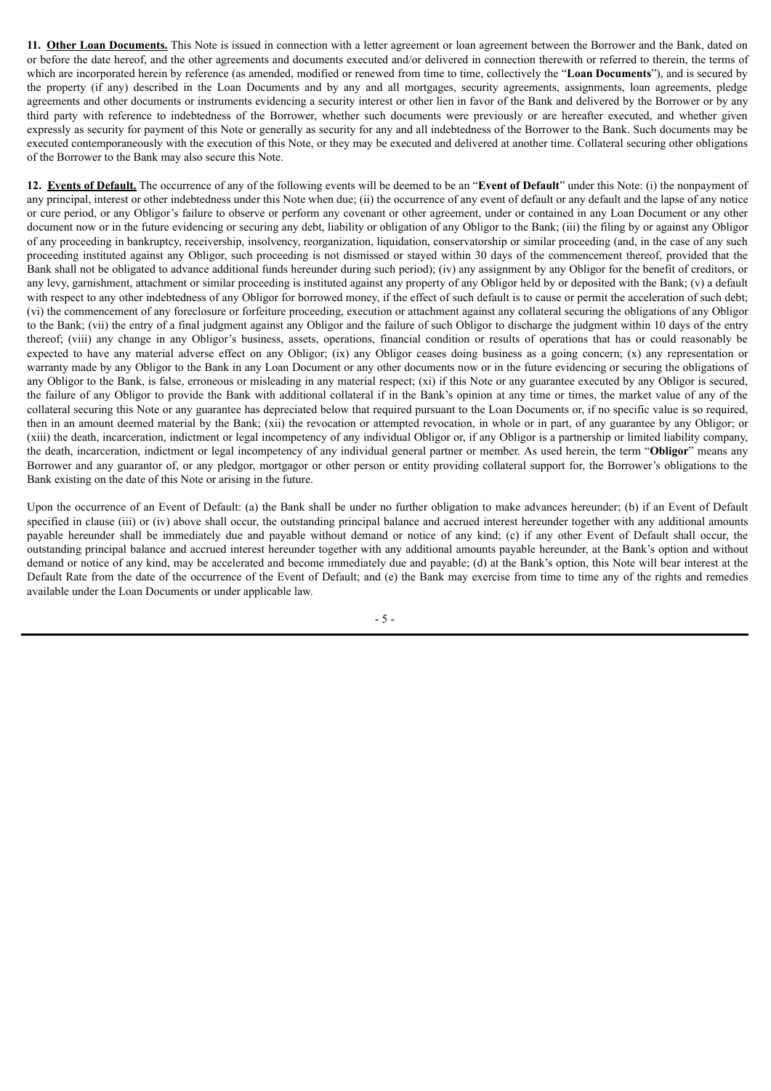**11. Other Loan Documents.** This Note is issued in connection with a letter agreement or loan agreement between the Borrower and the Bank, dated on or before the date hereof, and the other agreements and documents executed and/or delivered in connection therewith or referred to therein, the terms of which are incorporated herein by reference (as amended, modified or renewed from time to time, collectively the "**Loan Documents**"), and is secured by the property (if any) described in the Loan Documents and by any and all mortgages, security agreements, assignments, loan agreements, pledge agreements and other documents or instruments evidencing a security interest or other lien in favor of the Bank and delivered by the Borrower or by any third party with reference to indebtedness of the Borrower, whether such documents were previously or are hereafter executed, and whether given expressly as security for payment of this Note or generally as security for any and all indebtedness of the Borrower to the Bank. Such documents may be executed contemporaneously with the execution of this Note, or they may be executed and delivered at another time. Collateral securing other obligations of the Borrower to the Bank may also secure this Note.

**12. Events of Default.** The occurrence of any of the following events will be deemed to be an "**Event of Default**" under this Note: (i) the nonpayment of any principal, interest or other indebtedness under this Note when due; (ii) the occurrence of any event of default or any default and the lapse of any notice or cure period, or any Obligor's failure to observe or perform any covenant or other agreement, under or contained in any Loan Document or any other document now or in the future evidencing or securing any debt, liability or obligation of any Obligor to the Bank; (iii) the filing by or against any Obligor of any proceeding in bankruptcy, receivership, insolvency, reorganization, liquidation, conservatorship or similar proceeding (and, in the case of any such proceeding instituted against any Obligor, such proceeding is not dismissed or stayed within 30 days of the commencement thereof, provided that the Bank shall not be obligated to advance additional funds hereunder during such period); (iv) any assignment by any Obligor for the benefit of creditors, or any levy, garnishment, attachment or similar proceeding is instituted against any property of any Obligor held by or deposited with the Bank; (v) a default with respect to any other indebtedness of any Obligor for borrowed money, if the effect of such default is to cause or permit the acceleration of such debt; (vi) the commencement of any foreclosure or forfeiture proceeding, execution or attachment against any collateral securing the obligations of any Obligor to the Bank; (vii) the entry of a final judgment against any Obligor and the failure of such Obligor to discharge the judgment within 10 days of the entry thereof; (viii) any change in any Obligor's business, assets, operations, financial condition or results of operations that has or could reasonably be expected to have any material adverse effect on any Obligor; (ix) any Obligor ceases doing business as a going concern; (x) any representation or warranty made by any Obligor to the Bank in any Loan Document or any other documents now or in the future evidencing or securing the obligations of any Obligor to the Bank, is false, erroneous or misleading in any material respect; (xi) if this Note or any guarantee executed by any Obligor is secured, the failure of any Obligor to provide the Bank with additional collateral if in the Bank's opinion at any time or times, the market value of any of the collateral securing this Note or any guarantee has depreciated below that required pursuant to the Loan Documents or, if no specific value is so required, then in an amount deemed material by the Bank; (xii) the revocation or attempted revocation, in whole or in part, of any guarantee by any Obligor; or (xiii) the death, incarceration, indictment or legal incompetency of any individual Obligor or, if any Obligor is a partnership or limited liability company, the death, incarceration, indictment or legal incompetency of any individual general partner or member. As used herein, the term "**Obligor**" means any Borrower and any guarantor of, or any pledgor, mortgagor or other person or entity providing collateral support for, the Borrower's obligations to the Bank existing on the date of this Note or arising in the future.

Upon the occurrence of an Event of Default: (a) the Bank shall be under no further obligation to make advances hereunder; (b) if an Event of Default specified in clause (iii) or (iv) above shall occur, the outstanding principal balance and accrued interest hereunder together with any additional amounts payable hereunder shall be immediately due and payable without demand or notice of any kind; (c) if any other Event of Default shall occur, the outstanding principal balance and accrued interest hereunder together with any additional amounts payable hereunder, at the Bank's option and without demand or notice of any kind, may be accelerated and become immediately due and payable; (d) at the Bank's option, this Note will bear interest at the Default Rate from the date of the occurrence of the Event of Default; and (e) the Bank may exercise from time to time any of the rights and remedies available under the Loan Documents or under applicable law.

- 5 -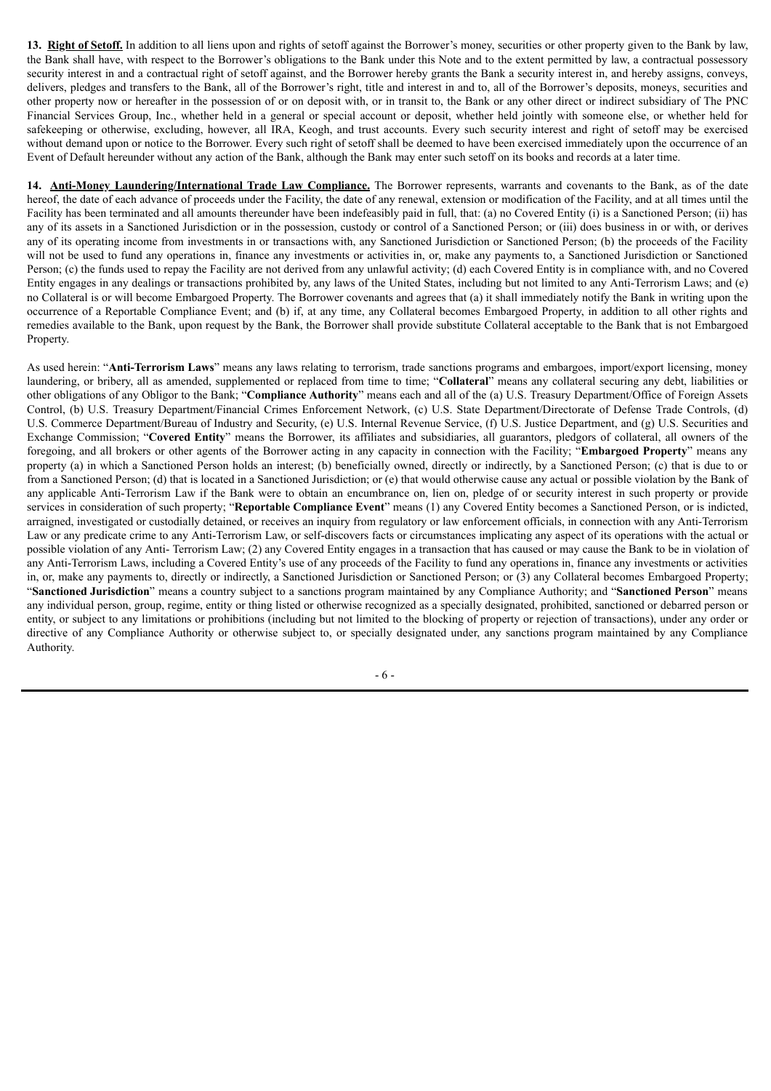13. Right of Setoff. In addition to all liens upon and rights of setoff against the Borrower's money, securities or other property given to the Bank by law, the Bank shall have, with respect to the Borrower's obligations to the Bank under this Note and to the extent permitted by law, a contractual possessory security interest in and a contractual right of setoff against, and the Borrower hereby grants the Bank a security interest in, and hereby assigns, conveys, delivers, pledges and transfers to the Bank, all of the Borrower's right, title and interest in and to, all of the Borrower's deposits, moneys, securities and other property now or hereafter in the possession of or on deposit with, or in transit to, the Bank or any other direct or indirect subsidiary of The PNC Financial Services Group, Inc., whether held in a general or special account or deposit, whether held jointly with someone else, or whether held for safekeeping or otherwise, excluding, however, all IRA, Keogh, and trust accounts. Every such security interest and right of setoff may be exercised without demand upon or notice to the Borrower. Every such right of setoff shall be deemed to have been exercised immediately upon the occurrence of an Event of Default hereunder without any action of the Bank, although the Bank may enter such setoff on its books and records at a later time.

**14. Anti-Money Laundering/International Trade Law Compliance.** The Borrower represents, warrants and covenants to the Bank, as of the date hereof, the date of each advance of proceeds under the Facility, the date of any renewal, extension or modification of the Facility, and at all times until the Facility has been terminated and all amounts thereunder have been indefeasibly paid in full, that: (a) no Covered Entity (i) is a Sanctioned Person; (ii) has any of its assets in a Sanctioned Jurisdiction or in the possession, custody or control of a Sanctioned Person; or (iii) does business in or with, or derives any of its operating income from investments in or transactions with, any Sanctioned Jurisdiction or Sanctioned Person; (b) the proceeds of the Facility will not be used to fund any operations in, finance any investments or activities in, or, make any payments to, a Sanctioned Jurisdiction or Sanctioned Person; (c) the funds used to repay the Facility are not derived from any unlawful activity; (d) each Covered Entity is in compliance with, and no Covered Entity engages in any dealings or transactions prohibited by, any laws of the United States, including but not limited to any Anti-Terrorism Laws; and (e) no Collateral is or will become Embargoed Property. The Borrower covenants and agrees that (a) it shall immediately notify the Bank in writing upon the occurrence of a Reportable Compliance Event; and (b) if, at any time, any Collateral becomes Embargoed Property, in addition to all other rights and remedies available to the Bank, upon request by the Bank, the Borrower shall provide substitute Collateral acceptable to the Bank that is not Embargoed Property.

As used herein: "**Anti-Terrorism Laws**" means any laws relating to terrorism, trade sanctions programs and embargoes, import/export licensing, money laundering, or bribery, all as amended, supplemented or replaced from time to time; "**Collateral**" means any collateral securing any debt, liabilities or other obligations of any Obligor to the Bank; "**Compliance Authority**" means each and all of the (a) U.S. Treasury Department/Office of Foreign Assets Control, (b) U.S. Treasury Department/Financial Crimes Enforcement Network, (c) U.S. State Department/Directorate of Defense Trade Controls, (d) U.S. Commerce Department/Bureau of Industry and Security, (e) U.S. Internal Revenue Service, (f) U.S. Justice Department, and (g) U.S. Securities and Exchange Commission; "**Covered Entity**" means the Borrower, its affiliates and subsidiaries, all guarantors, pledgors of collateral, all owners of the foregoing, and all brokers or other agents of the Borrower acting in any capacity in connection with the Facility; "**Embargoed Property**" means any property (a) in which a Sanctioned Person holds an interest; (b) beneficially owned, directly or indirectly, by a Sanctioned Person; (c) that is due to or from a Sanctioned Person; (d) that is located in a Sanctioned Jurisdiction; or (e) that would otherwise cause any actual or possible violation by the Bank of any applicable Anti-Terrorism Law if the Bank were to obtain an encumbrance on, lien on, pledge of or security interest in such property or provide services in consideration of such property; "**Reportable Compliance Event**" means (1) any Covered Entity becomes a Sanctioned Person, or is indicted, arraigned, investigated or custodially detained, or receives an inquiry from regulatory or law enforcement officials, in connection with any Anti-Terrorism Law or any predicate crime to any Anti-Terrorism Law, or self-discovers facts or circumstances implicating any aspect of its operations with the actual or possible violation of any Anti- Terrorism Law; (2) any Covered Entity engages in a transaction that has caused or may cause the Bank to be in violation of any Anti-Terrorism Laws, including a Covered Entity's use of any proceeds of the Facility to fund any operations in, finance any investments or activities in, or, make any payments to, directly or indirectly, a Sanctioned Jurisdiction or Sanctioned Person; or (3) any Collateral becomes Embargoed Property; "**Sanctioned Jurisdiction**" means a country subject to a sanctions program maintained by any Compliance Authority; and "**Sanctioned Person**" means any individual person, group, regime, entity or thing listed or otherwise recognized as a specially designated, prohibited, sanctioned or debarred person or entity, or subject to any limitations or prohibitions (including but not limited to the blocking of property or rejection of transactions), under any order or directive of any Compliance Authority or otherwise subject to, or specially designated under, any sanctions program maintained by any Compliance Authority.

- 6 -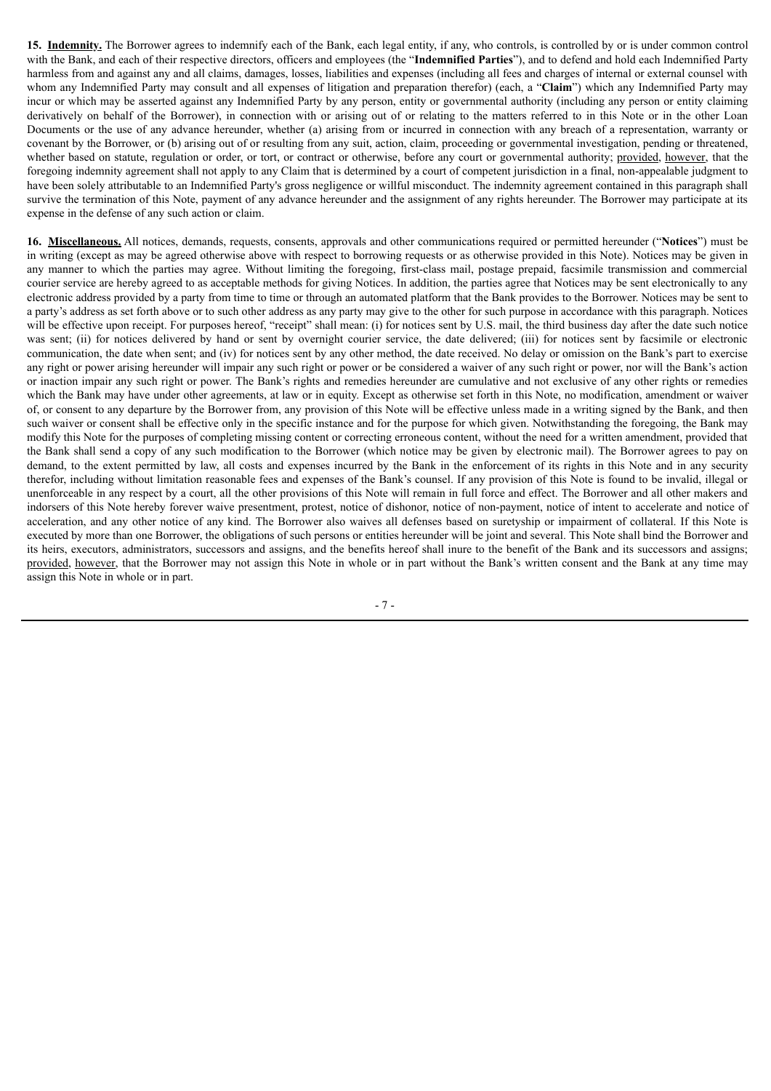**15. Indemnity.** The Borrower agrees to indemnify each of the Bank, each legal entity, if any, who controls, is controlled by or is under common control with the Bank, and each of their respective directors, officers and employees (the "**Indemnified Parties**"), and to defend and hold each Indemnified Party harmless from and against any and all claims, damages, losses, liabilities and expenses (including all fees and charges of internal or external counsel with whom any Indemnified Party may consult and all expenses of litigation and preparation therefor) (each, a "**Claim**") which any Indemnified Party may incur or which may be asserted against any Indemnified Party by any person, entity or governmental authority (including any person or entity claiming derivatively on behalf of the Borrower), in connection with or arising out of or relating to the matters referred to in this Note or in the other Loan Documents or the use of any advance hereunder, whether (a) arising from or incurred in connection with any breach of a representation, warranty or covenant by the Borrower, or (b) arising out of or resulting from any suit, action, claim, proceeding or governmental investigation, pending or threatened, whether based on statute, regulation or order, or tort, or contract or otherwise, before any court or governmental authority; provided, however, that the foregoing indemnity agreement shall not apply to any Claim that is determined by a court of competent jurisdiction in a final, non-appealable judgment to have been solely attributable to an Indemnified Party's gross negligence or willful misconduct. The indemnity agreement contained in this paragraph shall survive the termination of this Note, payment of any advance hereunder and the assignment of any rights hereunder. The Borrower may participate at its expense in the defense of any such action or claim.

**16. Miscellaneous.** All notices, demands, requests, consents, approvals and other communications required or permitted hereunder ("**Notices**") must be in writing (except as may be agreed otherwise above with respect to borrowing requests or as otherwise provided in this Note). Notices may be given in any manner to which the parties may agree. Without limiting the foregoing, first-class mail, postage prepaid, facsimile transmission and commercial courier service are hereby agreed to as acceptable methods for giving Notices. In addition, the parties agree that Notices may be sent electronically to any electronic address provided by a party from time to time or through an automated platform that the Bank provides to the Borrower. Notices may be sent to a party's address as set forth above or to such other address as any party may give to the other for such purpose in accordance with this paragraph. Notices will be effective upon receipt. For purposes hereof, "receipt" shall mean: (i) for notices sent by U.S. mail, the third business day after the date such notice was sent; (ii) for notices delivered by hand or sent by overnight courier service, the date delivered; (iii) for notices sent by facsimile or electronic communication, the date when sent; and (iv) for notices sent by any other method, the date received. No delay or omission on the Bank's part to exercise any right or power arising hereunder will impair any such right or power or be considered a waiver of any such right or power, nor will the Bank's action or inaction impair any such right or power. The Bank's rights and remedies hereunder are cumulative and not exclusive of any other rights or remedies which the Bank may have under other agreements, at law or in equity. Except as otherwise set forth in this Note, no modification, amendment or waiver of, or consent to any departure by the Borrower from, any provision of this Note will be effective unless made in a writing signed by the Bank, and then such waiver or consent shall be effective only in the specific instance and for the purpose for which given. Notwithstanding the foregoing, the Bank may modify this Note for the purposes of completing missing content or correcting erroneous content, without the need for a written amendment, provided that the Bank shall send a copy of any such modification to the Borrower (which notice may be given by electronic mail). The Borrower agrees to pay on demand, to the extent permitted by law, all costs and expenses incurred by the Bank in the enforcement of its rights in this Note and in any security therefor, including without limitation reasonable fees and expenses of the Bank's counsel. If any provision of this Note is found to be invalid, illegal or unenforceable in any respect by a court, all the other provisions of this Note will remain in full force and effect. The Borrower and all other makers and indorsers of this Note hereby forever waive presentment, protest, notice of dishonor, notice of non-payment, notice of intent to accelerate and notice of acceleration, and any other notice of any kind. The Borrower also waives all defenses based on suretyship or impairment of collateral. If this Note is executed by more than one Borrower, the obligations of such persons or entities hereunder will be joint and several. This Note shall bind the Borrower and its heirs, executors, administrators, successors and assigns, and the benefits hereof shall inure to the benefit of the Bank and its successors and assigns; provided, however, that the Borrower may not assign this Note in whole or in part without the Bank's written consent and the Bank at any time may assign this Note in whole or in part.

- 7 -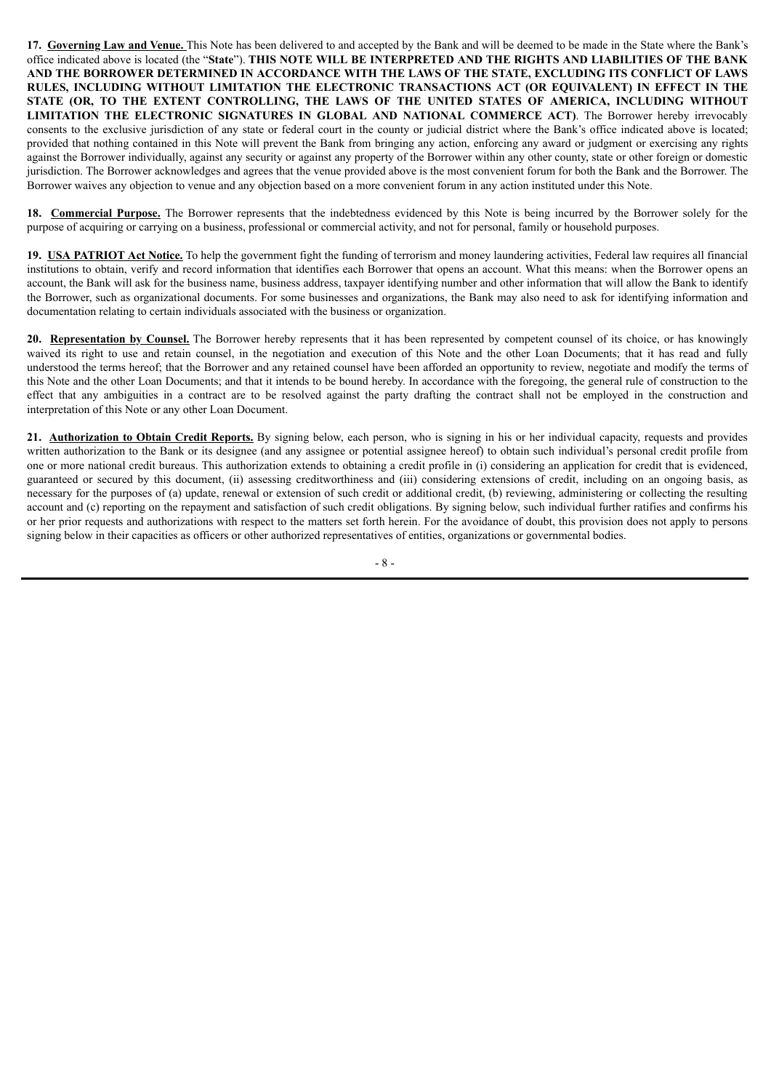**17. Governing Law and Venue.** This Note has been delivered to and accepted by the Bank and will be deemed to be made in the State where the Bank's office indicated above is located (the "**State**"). **THIS NOTE WILL BE INTERPRETED AND THE RIGHTS AND LIABILITIES OF THE BANK AND THE BORROWER DETERMINED IN ACCORDANCE WITH THE LAWS OF THE STATE, EXCLUDING ITS CONFLICT OF LAWS RULES, INCLUDING WITHOUT LIMITATION THE ELECTRONIC TRANSACTIONS ACT (OR EQUIVALENT) IN EFFECT IN THE STATE (OR, TO THE EXTENT CONTROLLING, THE LAWS OF THE UNITED STATES OF AMERICA, INCLUDING WITHOUT LIMITATION THE ELECTRONIC SIGNATURES IN GLOBAL AND NATIONAL COMMERCE ACT)**. The Borrower hereby irrevocably consents to the exclusive jurisdiction of any state or federal court in the county or judicial district where the Bank's office indicated above is located; provided that nothing contained in this Note will prevent the Bank from bringing any action, enforcing any award or judgment or exercising any rights against the Borrower individually, against any security or against any property of the Borrower within any other county, state or other foreign or domestic jurisdiction. The Borrower acknowledges and agrees that the venue provided above is the most convenient forum for both the Bank and the Borrower. The Borrower waives any objection to venue and any objection based on a more convenient forum in any action instituted under this Note.

**18. Commercial Purpose.** The Borrower represents that the indebtedness evidenced by this Note is being incurred by the Borrower solely for the purpose of acquiring or carrying on a business, professional or commercial activity, and not for personal, family or household purposes.

**19. USA PATRIOT Act Notice.** To help the government fight the funding of terrorism and money laundering activities, Federal law requires all financial institutions to obtain, verify and record information that identifies each Borrower that opens an account. What this means: when the Borrower opens an account, the Bank will ask for the business name, business address, taxpayer identifying number and other information that will allow the Bank to identify the Borrower, such as organizational documents. For some businesses and organizations, the Bank may also need to ask for identifying information and documentation relating to certain individuals associated with the business or organization.

**20. Representation by Counsel.** The Borrower hereby represents that it has been represented by competent counsel of its choice, or has knowingly waived its right to use and retain counsel, in the negotiation and execution of this Note and the other Loan Documents; that it has read and fully understood the terms hereof; that the Borrower and any retained counsel have been afforded an opportunity to review, negotiate and modify the terms of this Note and the other Loan Documents; and that it intends to be bound hereby. In accordance with the foregoing, the general rule of construction to the effect that any ambiguities in a contract are to be resolved against the party drafting the contract shall not be employed in the construction and interpretation of this Note or any other Loan Document.

**21. Authorization to Obtain Credit Reports.** By signing below, each person, who is signing in his or her individual capacity, requests and provides written authorization to the Bank or its designee (and any assignee or potential assignee hereof) to obtain such individual's personal credit profile from one or more national credit bureaus. This authorization extends to obtaining a credit profile in (i) considering an application for credit that is evidenced, guaranteed or secured by this document, (ii) assessing creditworthiness and (iii) considering extensions of credit, including on an ongoing basis, as necessary for the purposes of (a) update, renewal or extension of such credit or additional credit, (b) reviewing, administering or collecting the resulting account and (c) reporting on the repayment and satisfaction of such credit obligations. By signing below, such individual further ratifies and confirms his or her prior requests and authorizations with respect to the matters set forth herein. For the avoidance of doubt, this provision does not apply to persons signing below in their capacities as officers or other authorized representatives of entities, organizations or governmental bodies.

- 8 -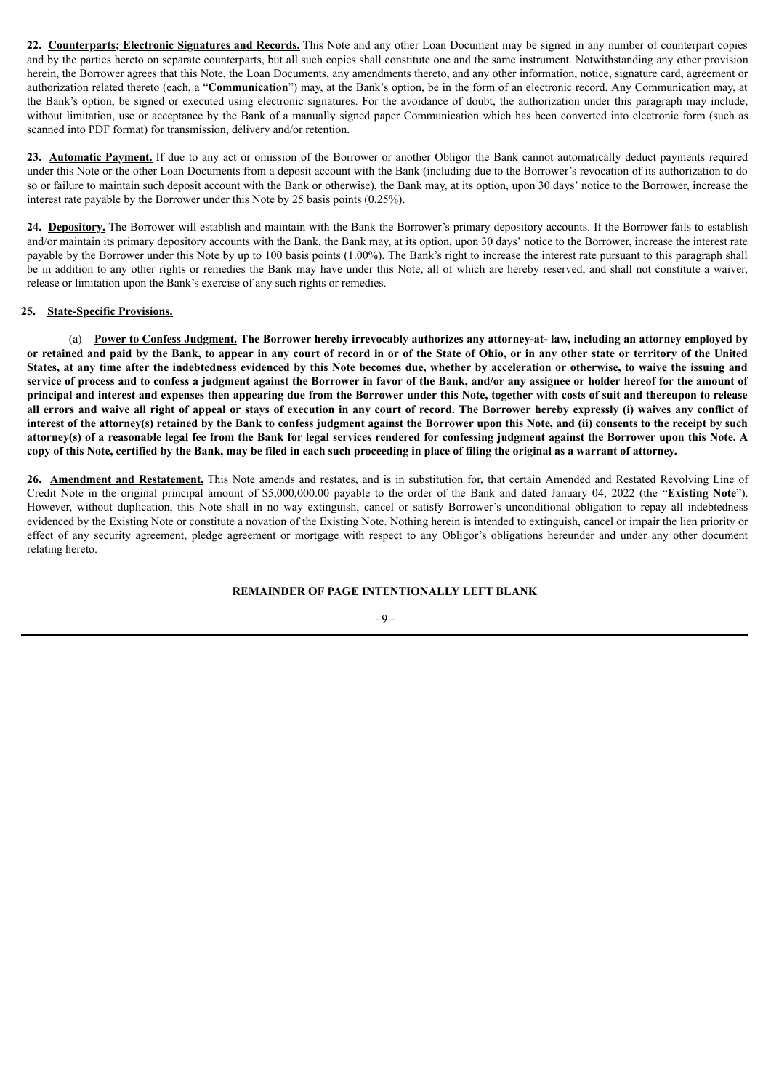**22. Counterparts; Electronic Signatures and Records.** This Note and any other Loan Document may be signed in any number of counterpart copies and by the parties hereto on separate counterparts, but all such copies shall constitute one and the same instrument. Notwithstanding any other provision herein, the Borrower agrees that this Note, the Loan Documents, any amendments thereto, and any other information, notice, signature card, agreement or authorization related thereto (each, a "**Communication**") may, at the Bank's option, be in the form of an electronic record. Any Communication may, at the Bank's option, be signed or executed using electronic signatures. For the avoidance of doubt, the authorization under this paragraph may include, without limitation, use or acceptance by the Bank of a manually signed paper Communication which has been converted into electronic form (such as scanned into PDF format) for transmission, delivery and/or retention.

**23. Automatic Payment.** If due to any act or omission of the Borrower or another Obligor the Bank cannot automatically deduct payments required under this Note or the other Loan Documents from a deposit account with the Bank (including due to the Borrower's revocation of its authorization to do so or failure to maintain such deposit account with the Bank or otherwise), the Bank may, at its option, upon 30 days' notice to the Borrower, increase the interest rate payable by the Borrower under this Note by 25 basis points (0.25%).

24. Depository. The Borrower will establish and maintain with the Bank the Borrower's primary depository accounts. If the Borrower fails to establish and/or maintain its primary depository accounts with the Bank, the Bank may, at its option, upon 30 days' notice to the Borrower, increase the interest rate payable by the Borrower under this Note by up to 100 basis points (1.00%). The Bank's right to increase the interest rate pursuant to this paragraph shall be in addition to any other rights or remedies the Bank may have under this Note, all of which are hereby reserved, and shall not constitute a waiver, release or limitation upon the Bank's exercise of any such rights or remedies.

## **25. State-Specific Provisions.**

(a) Power to Confess Judgment. The Borrower hereby irrevocably authorizes any attorney-at-law, including an attorney employed by or retained and paid by the Bank, to appear in any court of record in or of the State of Ohio, or in any other state or territory of the United States, at any time after the indebtedness evidenced by this Note becomes due, whether by acceleration or otherwise, to waive the issuing and service of process and to confess a judgment against the Borrower in favor of the Bank, and/or any assignee or holder hereof for the amount of principal and interest and expenses then appearing due from the Borrower under this Note, together with costs of suit and thereupon to release all errors and waive all right of appeal or stays of execution in any court of record. The Borrower hereby expressly (i) waives any conflict of interest of the attorney(s) retained by the Bank to confess judgment against the Borrower upon this Note, and (ii) consents to the receipt by such attorney(s) of a reasonable legal fee from the Bank for legal services rendered for confessing judgment against the Borrower upon this Note. A copy of this Note, certified by the Bank, may be filed in each such proceeding in place of filing the original as a warrant of attorney.

**26. Amendment and Restatement.** This Note amends and restates, and is in substitution for, that certain Amended and Restated Revolving Line of Credit Note in the original principal amount of \$5,000,000.00 payable to the order of the Bank and dated January 04, 2022 (the "**Existing Note**"). However, without duplication, this Note shall in no way extinguish, cancel or satisfy Borrower's unconditional obligation to repay all indebtedness evidenced by the Existing Note or constitute a novation of the Existing Note. Nothing herein is intended to extinguish, cancel or impair the lien priority or effect of any security agreement, pledge agreement or mortgage with respect to any Obligor's obligations hereunder and under any other document relating hereto.

## **REMAINDER OF PAGE INTENTIONALLY LEFT BLANK**

#### - 9 -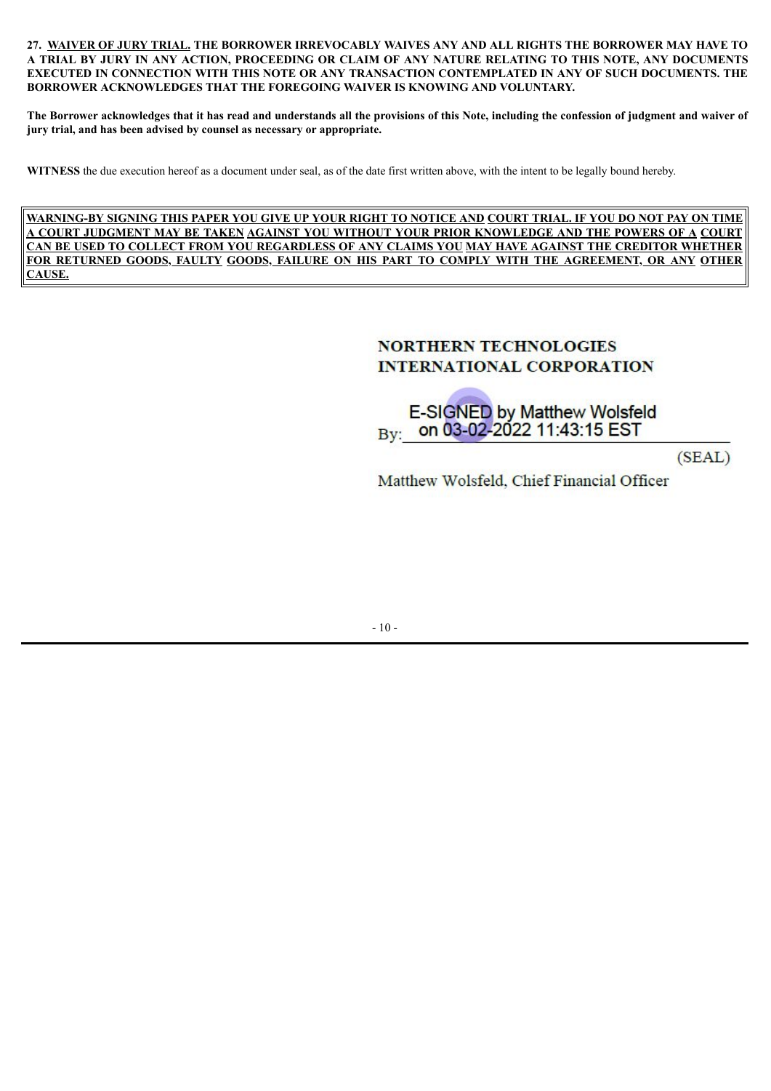27. WAIVER OF JURY TRIAL, THE BORROWER IRREVOCABLY WAIVES ANY AND ALL RIGHTS THE BORROWER MAY HAVE TO A TRIAL BY JURY IN ANY ACTION, PROCEEDING OR CLAIM OF ANY NATURE RELATING TO THIS NOTE, ANY DOCUMENTS **EXECUTED IN CONNECTION WITH THIS NOTE OR ANY TRANSACTION CONTEMPLATED IN ANY OF SUCH DOCUMENTS. THE BORROWER ACKNOWLEDGES THAT THE FOREGOING WAIVER IS KNOWING AND VOLUNTARY.**

The Borrower acknowledges that it has read and understands all the provisions of this Note, including the confession of judgment and waiver of **jury trial, and has been advised by counsel as necessary or appropriate.**

**WITNESS** the due execution hereof as a document under seal, as of the date first written above, with the intent to be legally bound hereby.

WARNING-BY SIGNING THIS PAPER YOU GIVE UP YOUR RIGHT TO NOTICE AND COURT TRIAL. IF YOU DO NOT PAY ON TIME **A COURT JUDGMENT MAY BE TAKEN AGAINST YOU WITHOUT YOUR PRIOR KNOWLEDGE AND THE POWERS OF A COURT CAN BE USED TO COLLECT FROM YOU REGARDLESS OF ANY CLAIMS YOU MAY HAVE AGAINST THE CREDITOR WHETHER FOR RETURNED GOODS, FAULTY GOODS, FAILURE ON HIS PART TO COMPLY WITH THE AGREEMENT, OR ANY OTHER CAUSE.**

## **NORTHERN TECHNOLOGIES INTERNATIONAL CORPORATION**

**E-SIGNED by Matthew Wolsfeld** By: on 03-02-2022 11:43:15 EST

 $(SEAL)$ 

Matthew Wolsfeld, Chief Financial Officer

 $-10-$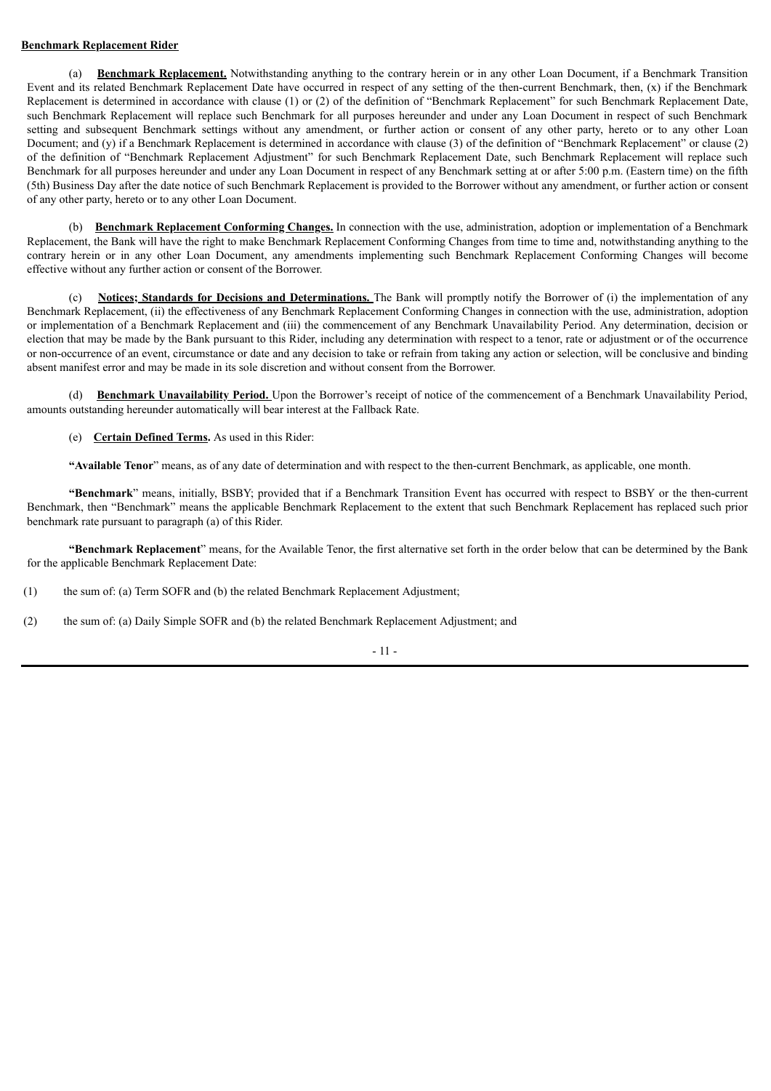#### **Benchmark Replacement Rider**

(a) **Benchmark Replacement.** Notwithstanding anything to the contrary herein or in any other Loan Document, if a Benchmark Transition Event and its related Benchmark Replacement Date have occurred in respect of any setting of the then-current Benchmark, then, (x) if the Benchmark Replacement is determined in accordance with clause (1) or (2) of the definition of "Benchmark Replacement" for such Benchmark Replacement Date, such Benchmark Replacement will replace such Benchmark for all purposes hereunder and under any Loan Document in respect of such Benchmark setting and subsequent Benchmark settings without any amendment, or further action or consent of any other party, hereto or to any other Loan Document; and (y) if a Benchmark Replacement is determined in accordance with clause (3) of the definition of "Benchmark Replacement" or clause (2) of the definition of "Benchmark Replacement Adjustment" for such Benchmark Replacement Date, such Benchmark Replacement will replace such Benchmark for all purposes hereunder and under any Loan Document in respect of any Benchmark setting at or after 5:00 p.m. (Eastern time) on the fifth (5th) Business Day after the date notice of such Benchmark Replacement is provided to the Borrower without any amendment, or further action or consent of any other party, hereto or to any other Loan Document.

(b) **Benchmark Replacement Conforming Changes.** In connection with the use, administration, adoption or implementation of a Benchmark Replacement, the Bank will have the right to make Benchmark Replacement Conforming Changes from time to time and, notwithstanding anything to the contrary herein or in any other Loan Document, any amendments implementing such Benchmark Replacement Conforming Changes will become effective without any further action or consent of the Borrower.

(c) **Notices; Standards for Decisions and Determinations.** The Bank will promptly notify the Borrower of (i) the implementation of any Benchmark Replacement, (ii) the effectiveness of any Benchmark Replacement Conforming Changes in connection with the use, administration, adoption or implementation of a Benchmark Replacement and (iii) the commencement of any Benchmark Unavailability Period. Any determination, decision or election that may be made by the Bank pursuant to this Rider, including any determination with respect to a tenor, rate or adjustment or of the occurrence or non-occurrence of an event, circumstance or date and any decision to take or refrain from taking any action or selection, will be conclusive and binding absent manifest error and may be made in its sole discretion and without consent from the Borrower.

**Benchmark Unavailability Period.** Upon the Borrower's receipt of notice of the commencement of a Benchmark Unavailability Period, amounts outstanding hereunder automatically will bear interest at the Fallback Rate.

(e) **Certain Defined Terms.** As used in this Rider:

**"Available Tenor**" means, as of any date of determination and with respect to the then-current Benchmark, as applicable, one month.

**"Benchmark**" means, initially, BSBY; provided that if a Benchmark Transition Event has occurred with respect to BSBY or the then-current Benchmark, then "Benchmark" means the applicable Benchmark Replacement to the extent that such Benchmark Replacement has replaced such prior benchmark rate pursuant to paragraph (a) of this Rider.

**"Benchmark Replacement**" means, for the Available Tenor, the first alternative set forth in the order below that can be determined by the Bank for the applicable Benchmark Replacement Date:

(1) the sum of: (a) Term SOFR and (b) the related Benchmark Replacement Adjustment;

(2) the sum of: (a) Daily Simple SOFR and (b) the related Benchmark Replacement Adjustment; and

- 11 -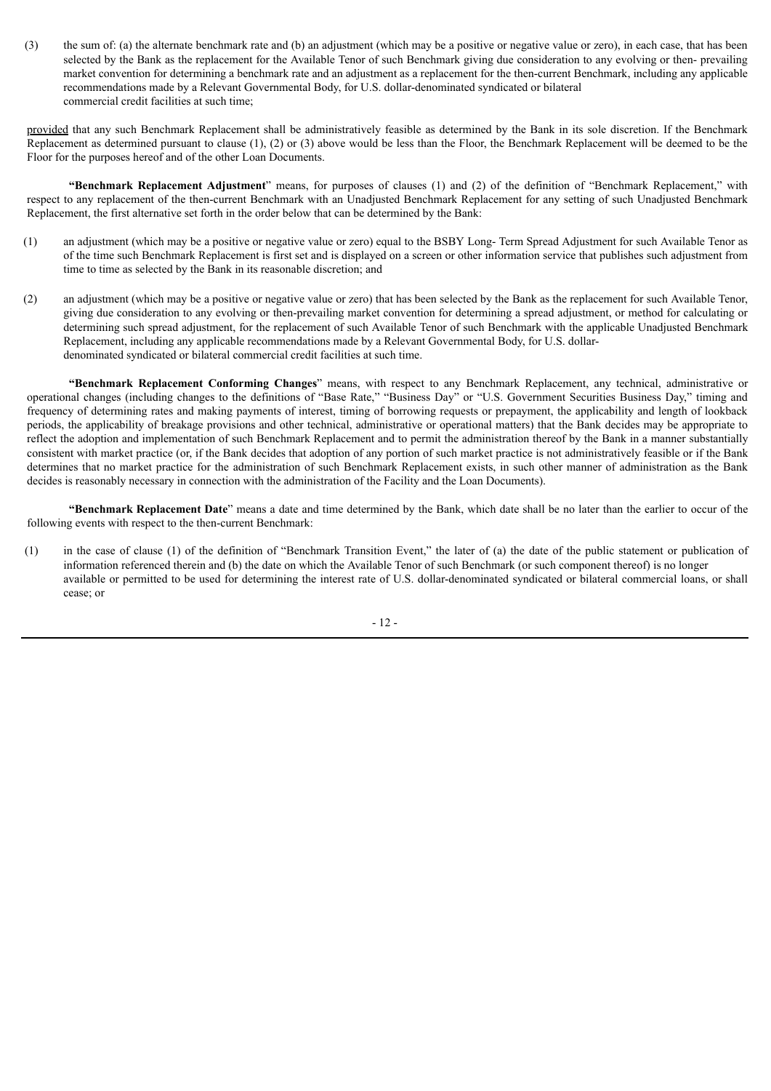(3) the sum of: (a) the alternate benchmark rate and (b) an adjustment (which may be a positive or negative value or zero), in each case, that has been selected by the Bank as the replacement for the Available Tenor of such Benchmark giving due consideration to any evolving or then- prevailing market convention for determining a benchmark rate and an adjustment as a replacement for the then-current Benchmark, including any applicable recommendations made by a Relevant Governmental Body, for U.S. dollar-denominated syndicated or bilateral commercial credit facilities at such time;

provided that any such Benchmark Replacement shall be administratively feasible as determined by the Bank in its sole discretion. If the Benchmark Replacement as determined pursuant to clause (1), (2) or (3) above would be less than the Floor, the Benchmark Replacement will be deemed to be the Floor for the purposes hereof and of the other Loan Documents.

**"Benchmark Replacement Adjustment**" means, for purposes of clauses (1) and (2) of the definition of "Benchmark Replacement," with respect to any replacement of the then-current Benchmark with an Unadjusted Benchmark Replacement for any setting of such Unadjusted Benchmark Replacement, the first alternative set forth in the order below that can be determined by the Bank:

- (1) an adjustment (which may be a positive or negative value or zero) equal to the BSBY Long- Term Spread Adjustment for such Available Tenor as of the time such Benchmark Replacement is first set and is displayed on a screen or other information service that publishes such adjustment from time to time as selected by the Bank in its reasonable discretion; and
- (2) an adjustment (which may be a positive or negative value or zero) that has been selected by the Bank as the replacement for such Available Tenor, giving due consideration to any evolving or then-prevailing market convention for determining a spread adjustment, or method for calculating or determining such spread adjustment, for the replacement of such Available Tenor of such Benchmark with the applicable Unadjusted Benchmark Replacement, including any applicable recommendations made by a Relevant Governmental Body, for U.S. dollardenominated syndicated or bilateral commercial credit facilities at such time.

**"Benchmark Replacement Conforming Changes**" means, with respect to any Benchmark Replacement, any technical, administrative or operational changes (including changes to the definitions of "Base Rate," "Business Day" or "U.S. Government Securities Business Day," timing and frequency of determining rates and making payments of interest, timing of borrowing requests or prepayment, the applicability and length of lookback periods, the applicability of breakage provisions and other technical, administrative or operational matters) that the Bank decides may be appropriate to reflect the adoption and implementation of such Benchmark Replacement and to permit the administration thereof by the Bank in a manner substantially consistent with market practice (or, if the Bank decides that adoption of any portion of such market practice is not administratively feasible or if the Bank determines that no market practice for the administration of such Benchmark Replacement exists, in such other manner of administration as the Bank decides is reasonably necessary in connection with the administration of the Facility and the Loan Documents).

**"Benchmark Replacement Date**" means a date and time determined by the Bank, which date shall be no later than the earlier to occur of the following events with respect to the then-current Benchmark:

(1) in the case of clause (1) of the definition of "Benchmark Transition Event," the later of (a) the date of the public statement or publication of information referenced therein and (b) the date on which the Available Tenor of such Benchmark (or such component thereof) is no longer available or permitted to be used for determining the interest rate of U.S. dollar-denominated syndicated or bilateral commercial loans, or shall cease; or

- 12 -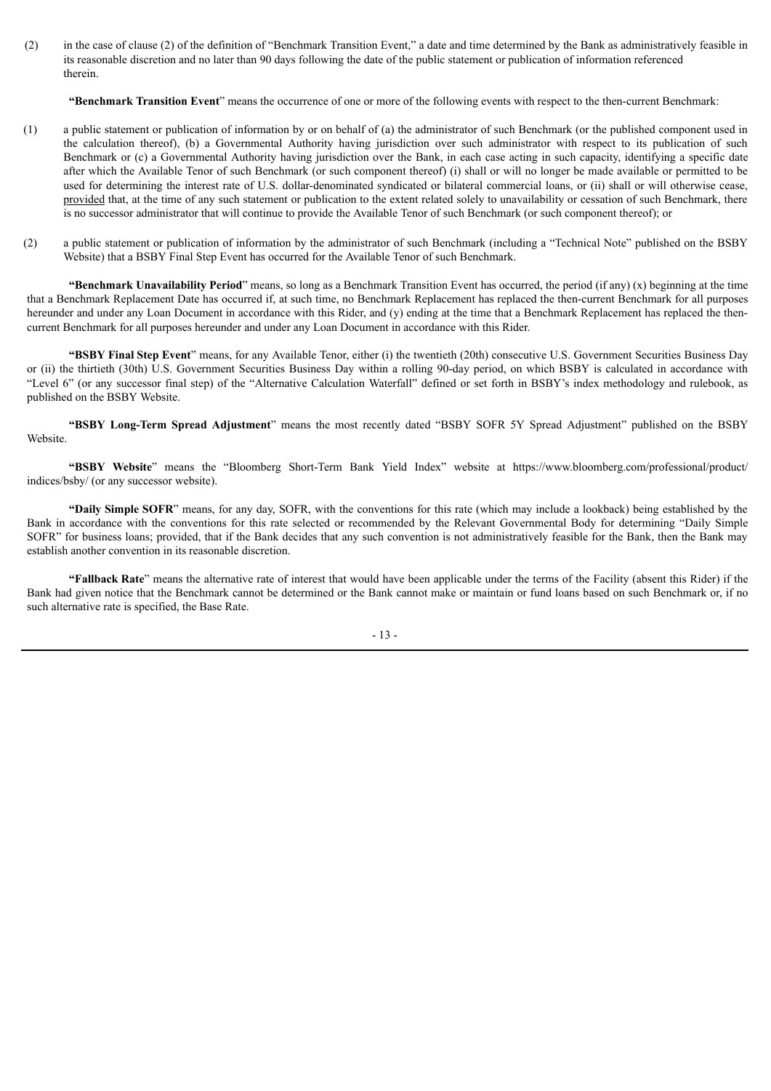(2) in the case of clause (2) of the definition of "Benchmark Transition Event," a date and time determined by the Bank as administratively feasible in its reasonable discretion and no later than 90 days following the date of the public statement or publication of information referenced therein.

**"Benchmark Transition Event**" means the occurrence of one or more of the following events with respect to the then-current Benchmark:

- (1) a public statement or publication of information by or on behalf of (a) the administrator of such Benchmark (or the published component used in the calculation thereof), (b) a Governmental Authority having jurisdiction over such administrator with respect to its publication of such Benchmark or (c) a Governmental Authority having jurisdiction over the Bank, in each case acting in such capacity, identifying a specific date after which the Available Tenor of such Benchmark (or such component thereof) (i) shall or will no longer be made available or permitted to be used for determining the interest rate of U.S. dollar-denominated syndicated or bilateral commercial loans, or (ii) shall or will otherwise cease, provided that, at the time of any such statement or publication to the extent related solely to unavailability or cessation of such Benchmark, there is no successor administrator that will continue to provide the Available Tenor of such Benchmark (or such component thereof); or
- (2) a public statement or publication of information by the administrator of such Benchmark (including a "Technical Note" published on the BSBY Website) that a BSBY Final Step Event has occurred for the Available Tenor of such Benchmark.

**"Benchmark Unavailability Period**" means, so long as a Benchmark Transition Event has occurred, the period (if any) (x) beginning at the time that a Benchmark Replacement Date has occurred if, at such time, no Benchmark Replacement has replaced the then-current Benchmark for all purposes hereunder and under any Loan Document in accordance with this Rider, and (y) ending at the time that a Benchmark Replacement has replaced the thencurrent Benchmark for all purposes hereunder and under any Loan Document in accordance with this Rider.

**"BSBY Final Step Event**" means, for any Available Tenor, either (i) the twentieth (20th) consecutive U.S. Government Securities Business Day or (ii) the thirtieth (30th) U.S. Government Securities Business Day within a rolling 90-day period, on which BSBY is calculated in accordance with "Level 6" (or any successor final step) of the "Alternative Calculation Waterfall" defined or set forth in BSBY's index methodology and rulebook, as published on the BSBY Website.

**"BSBY Long-Term Spread Adjustment**" means the most recently dated "BSBY SOFR 5Y Spread Adjustment" published on the BSBY Website.

**"BSBY Website**" means the "Bloomberg Short-Term Bank Yield Index" website at https://www.bloomberg.com/professional/product/ indices/bsby/ (or any successor website).

**"Daily Simple SOFR**" means, for any day, SOFR, with the conventions for this rate (which may include a lookback) being established by the Bank in accordance with the conventions for this rate selected or recommended by the Relevant Governmental Body for determining "Daily Simple SOFR" for business loans; provided, that if the Bank decides that any such convention is not administratively feasible for the Bank, then the Bank may establish another convention in its reasonable discretion.

**"Fallback Rate**" means the alternative rate of interest that would have been applicable under the terms of the Facility (absent this Rider) if the Bank had given notice that the Benchmark cannot be determined or the Bank cannot make or maintain or fund loans based on such Benchmark or, if no such alternative rate is specified, the Base Rate.

- 13 -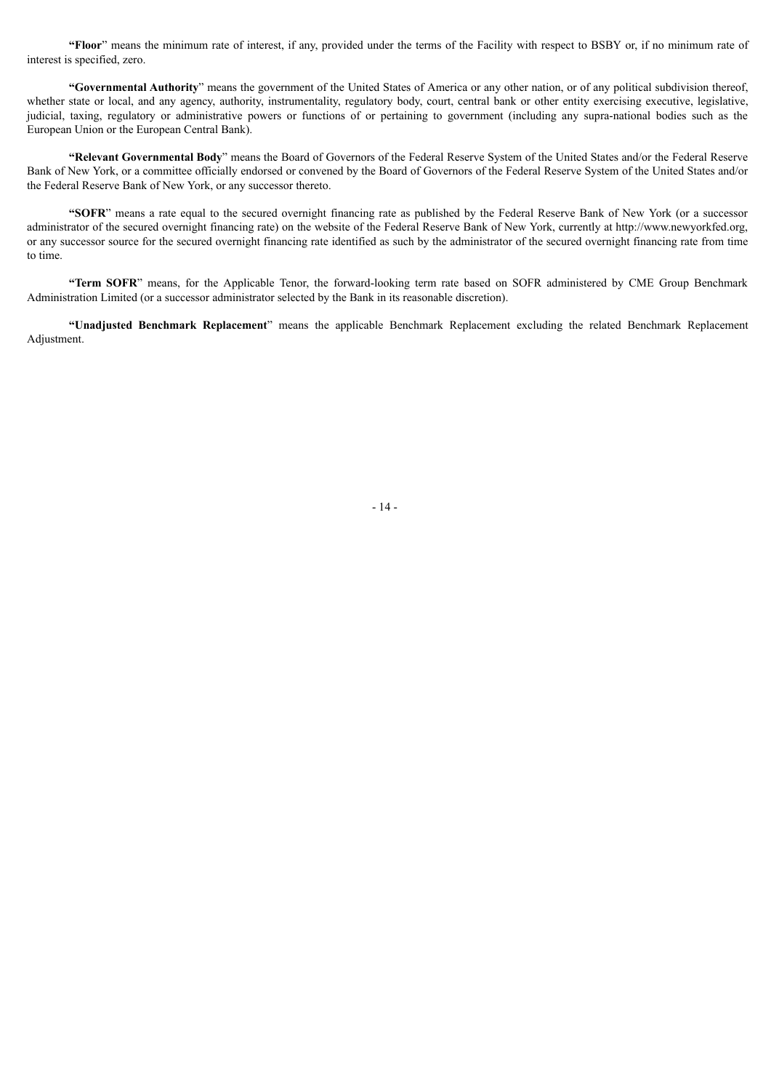**"Floor**" means the minimum rate of interest, if any, provided under the terms of the Facility with respect to BSBY or, if no minimum rate of interest is specified, zero.

**"Governmental Authority**" means the government of the United States of America or any other nation, or of any political subdivision thereof, whether state or local, and any agency, authority, instrumentality, regulatory body, court, central bank or other entity exercising executive, legislative, judicial, taxing, regulatory or administrative powers or functions of or pertaining to government (including any supra-national bodies such as the European Union or the European Central Bank).

**"Relevant Governmental Body**" means the Board of Governors of the Federal Reserve System of the United States and/or the Federal Reserve Bank of New York, or a committee officially endorsed or convened by the Board of Governors of the Federal Reserve System of the United States and/or the Federal Reserve Bank of New York, or any successor thereto.

**"SOFR**" means a rate equal to the secured overnight financing rate as published by the Federal Reserve Bank of New York (or a successor administrator of the secured overnight financing rate) on the website of the Federal Reserve Bank of New York, currently at http://www.newyorkfed.org, or any successor source for the secured overnight financing rate identified as such by the administrator of the secured overnight financing rate from time to time.

**"Term SOFR**" means, for the Applicable Tenor, the forward-looking term rate based on SOFR administered by CME Group Benchmark Administration Limited (or a successor administrator selected by the Bank in its reasonable discretion).

**"Unadjusted Benchmark Replacement**" means the applicable Benchmark Replacement excluding the related Benchmark Replacement Adjustment.

- 14 -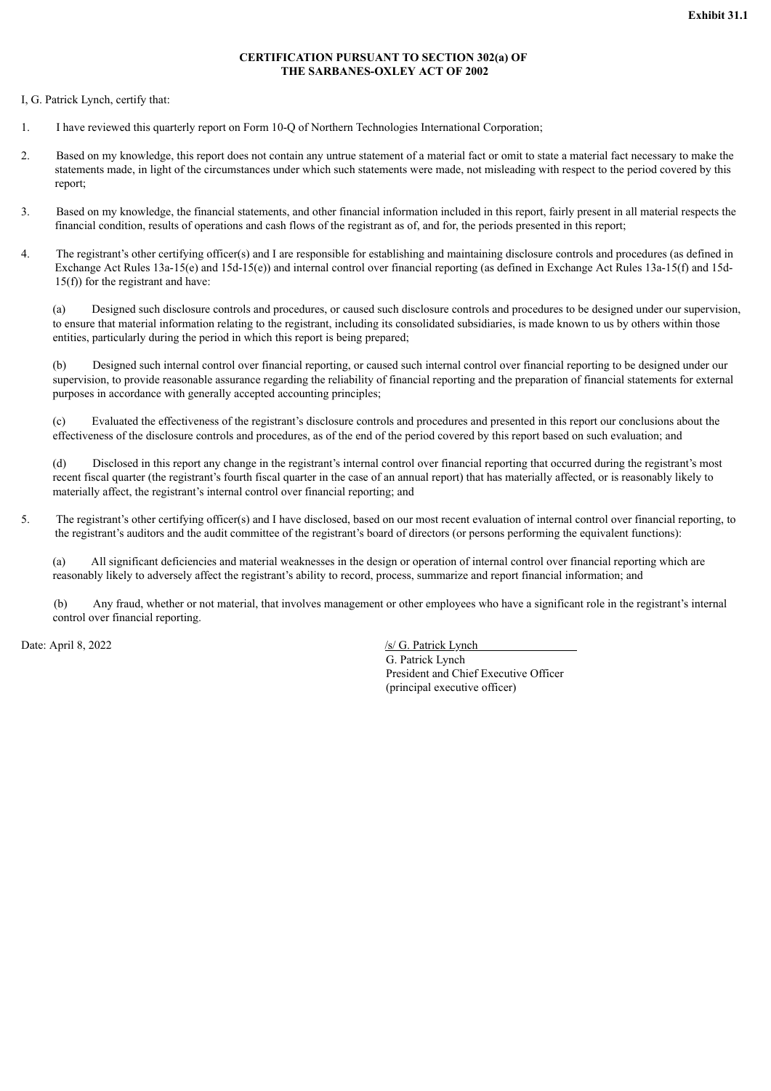### **CERTIFICATION PURSUANT TO SECTION 302(a) OF THE SARBANES-OXLEY ACT OF 2002**

<span id="page-63-0"></span>I, G. Patrick Lynch, certify that:

- 1. I have reviewed this quarterly report on Form 10-Q of Northern Technologies International Corporation;
- 2. Based on my knowledge, this report does not contain any untrue statement of a material fact or omit to state a material fact necessary to make the statements made, in light of the circumstances under which such statements were made, not misleading with respect to the period covered by this report;
- 3. Based on my knowledge, the financial statements, and other financial information included in this report, fairly present in all material respects the financial condition, results of operations and cash flows of the registrant as of, and for, the periods presented in this report;
- 4. The registrant's other certifying officer(s) and I are responsible for establishing and maintaining disclosure controls and procedures (as defined in Exchange Act Rules 13a-15(e) and 15d-15(e)) and internal control over financial reporting (as defined in Exchange Act Rules 13a-15(f) and 15d-15(f)) for the registrant and have:

(a) Designed such disclosure controls and procedures, or caused such disclosure controls and procedures to be designed under our supervision, to ensure that material information relating to the registrant, including its consolidated subsidiaries, is made known to us by others within those entities, particularly during the period in which this report is being prepared;

(b) Designed such internal control over financial reporting, or caused such internal control over financial reporting to be designed under our supervision, to provide reasonable assurance regarding the reliability of financial reporting and the preparation of financial statements for external purposes in accordance with generally accepted accounting principles;

(c) Evaluated the effectiveness of the registrant's disclosure controls and procedures and presented in this report our conclusions about the effectiveness of the disclosure controls and procedures, as of the end of the period covered by this report based on such evaluation; and

(d) Disclosed in this report any change in the registrant's internal control over financial reporting that occurred during the registrant's most recent fiscal quarter (the registrant's fourth fiscal quarter in the case of an annual report) that has materially affected, or is reasonably likely to materially affect, the registrant's internal control over financial reporting; and

5. The registrant's other certifying officer(s) and I have disclosed, based on our most recent evaluation of internal control over financial reporting, to the registrant's auditors and the audit committee of the registrant's board of directors (or persons performing the equivalent functions):

(a) All significant deficiencies and material weaknesses in the design or operation of internal control over financial reporting which are reasonably likely to adversely affect the registrant's ability to record, process, summarize and report financial information; and

(b) Any fraud, whether or not material, that involves management or other employees who have a significant role in the registrant's internal control over financial reporting.

Date: April 8, 2022 /s/ G. Patrick Lynch

G. Patrick Lynch President and Chief Executive Officer (principal executive officer)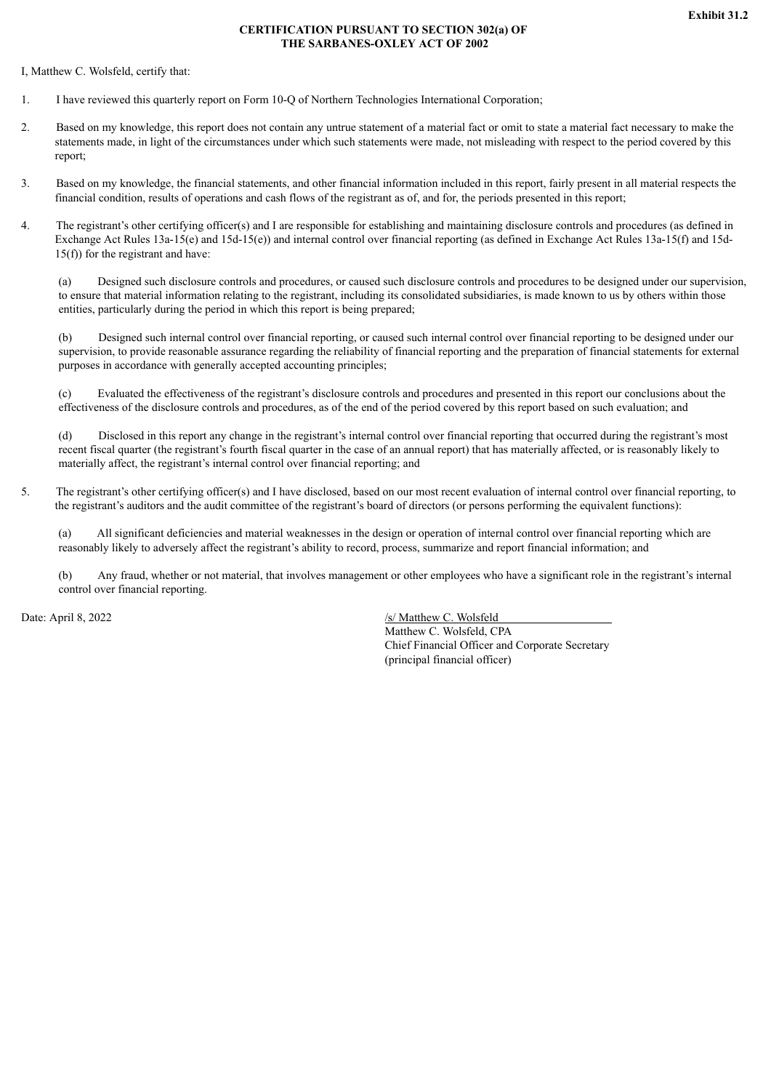#### **CERTIFICATION PURSUANT TO SECTION 302(a) OF THE SARBANES-OXLEY ACT OF 2002**

<span id="page-64-0"></span>I, Matthew C. Wolsfeld, certify that:

- 1. I have reviewed this quarterly report on Form 10-Q of Northern Technologies International Corporation;
- 2. Based on my knowledge, this report does not contain any untrue statement of a material fact or omit to state a material fact necessary to make the statements made, in light of the circumstances under which such statements were made, not misleading with respect to the period covered by this report;
- 3. Based on my knowledge, the financial statements, and other financial information included in this report, fairly present in all material respects the financial condition, results of operations and cash flows of the registrant as of, and for, the periods presented in this report;
- 4. The registrant's other certifying officer(s) and I are responsible for establishing and maintaining disclosure controls and procedures (as defined in Exchange Act Rules 13a-15(e) and 15d-15(e)) and internal control over financial reporting (as defined in Exchange Act Rules 13a-15(f) and 15d-15(f)) for the registrant and have:

(a) Designed such disclosure controls and procedures, or caused such disclosure controls and procedures to be designed under our supervision, to ensure that material information relating to the registrant, including its consolidated subsidiaries, is made known to us by others within those entities, particularly during the period in which this report is being prepared;

(b) Designed such internal control over financial reporting, or caused such internal control over financial reporting to be designed under our supervision, to provide reasonable assurance regarding the reliability of financial reporting and the preparation of financial statements for external purposes in accordance with generally accepted accounting principles;

(c) Evaluated the effectiveness of the registrant's disclosure controls and procedures and presented in this report our conclusions about the effectiveness of the disclosure controls and procedures, as of the end of the period covered by this report based on such evaluation; and

Disclosed in this report any change in the registrant's internal control over financial reporting that occurred during the registrant's most recent fiscal quarter (the registrant's fourth fiscal quarter in the case of an annual report) that has materially affected, or is reasonably likely to materially affect, the registrant's internal control over financial reporting; and

5. The registrant's other certifying officer(s) and I have disclosed, based on our most recent evaluation of internal control over financial reporting, to the registrant's auditors and the audit committee of the registrant's board of directors (or persons performing the equivalent functions):

(a) All significant deficiencies and material weaknesses in the design or operation of internal control over financial reporting which are reasonably likely to adversely affect the registrant's ability to record, process, summarize and report financial information; and

(b) Any fraud, whether or not material, that involves management or other employees who have a significant role in the registrant's internal control over financial reporting.

Date: April 8, 2022 /s/ Matthew C. Wolsfeld Matthew C. Wolsfeld, CPA Chief Financial Officer and Corporate Secretary (principal financial officer)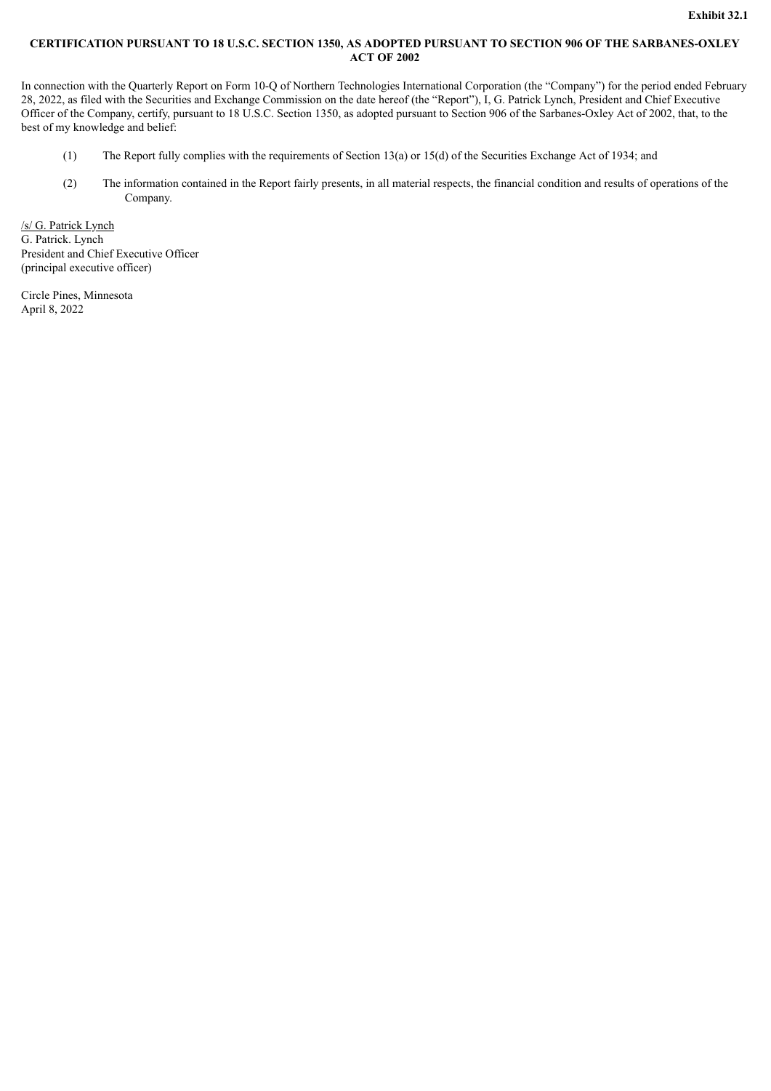#### <span id="page-65-0"></span>**CERTIFICATION PURSUANT TO 18 U.S.C. SECTION 1350, AS ADOPTED PURSUANT TO SECTION 906 OF THE SARBANES-OXLEY ACT OF 2002**

In connection with the Quarterly Report on Form 10-Q of Northern Technologies International Corporation (the "Company") for the period ended February 28, 2022, as filed with the Securities and Exchange Commission on the date hereof (the "Report"), I, G. Patrick Lynch, President and Chief Executive Officer of the Company, certify, pursuant to 18 U.S.C. Section 1350, as adopted pursuant to Section 906 of the Sarbanes-Oxley Act of 2002, that, to the best of my knowledge and belief:

- (1) The Report fully complies with the requirements of Section 13(a) or 15(d) of the Securities Exchange Act of 1934; and
- (2) The information contained in the Report fairly presents, in all material respects, the financial condition and results of operations of the Company.

/s/ G. Patrick Lynch G. Patrick. Lynch President and Chief Executive Officer (principal executive officer)

Circle Pines, Minnesota April 8, 2022